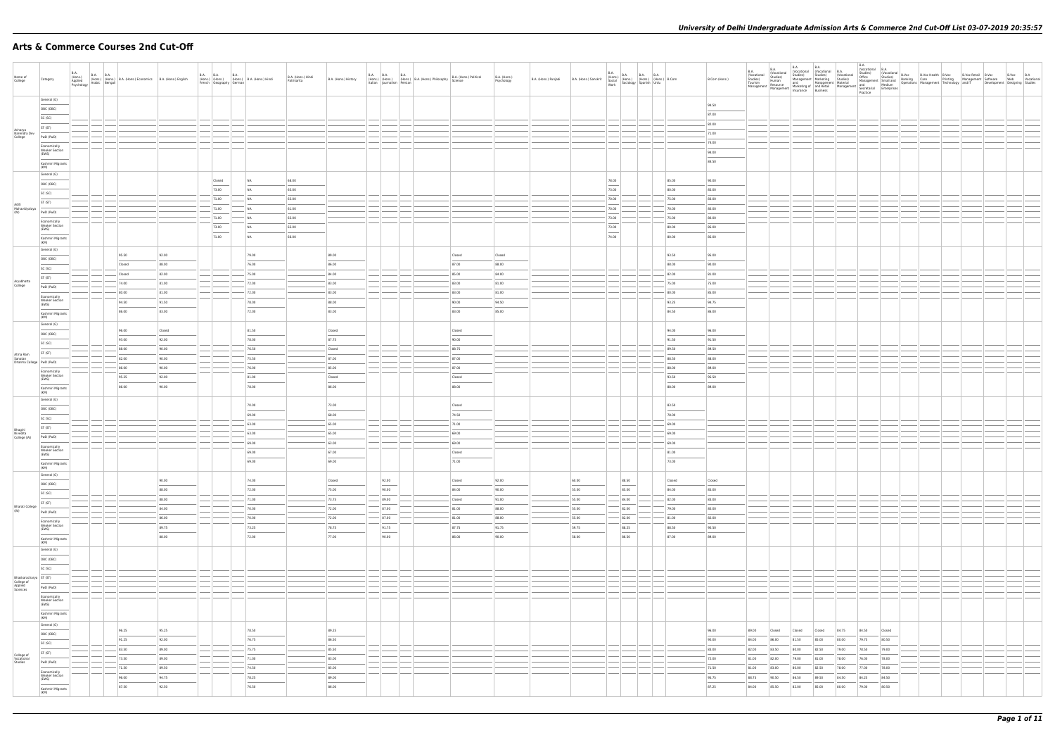## **Arts & Commerce Courses 2nd Cut-Off**

| Name of<br>College                                          | Category                                                                                          | <b>B.A.</b><br>(Hons.)<br>Applied<br>Psychology | B.A. B.A. (Hons.) B.A. (Hons.) Economics B.A. (Hons.) English<br>v Arabic Bengali |                                   |               | French Geography German          | B.A. B.A. B.A. B.A. (Hons.) B.A. (Hons.) Hindi | B.A. (Hons.) Hindi<br>Patrikarita | B.A. (Hons.) History                 |                                                     | B.A. (Hons.) B.A. (Hons.) B.A. (Hons.) Philosophy Italian Journalism Persian (B.A. (Hons.) Philosophy<br>B.A. (Hons.) Political<br>Science | B.A. (Hons.)<br>Psychology       | B.A. (Hons.) Punjabi | B.A. (Hons.) Sanskrit            | $\begin{array}{ l l } \hline \text{B.A.} & \text{B.A.} & \text{B.A.} \\ \text{(Hons.)} & \text{(Hons.)} & \text{(Hons.)} & \text{(Hons.)} \\ \hline \text{Socially} & \text{Sociology} & \text{Spanish} & \text{Urdu} \\ \hline \end{array} \hspace{0.2cm} \begin{array}{ l } \hline \text{B.A.} & \text{B.A.} \\ \hline \text{(Hons.)} & \text{(Hons.)} & \text{B.Com} \\ \hline \end{array}$ |                                                      | B.Com (Hons.)                    |                                  |                                                                      |                                  |                                  | <b>B.A.</b><br>Practice          |                                  |  |  |  |
|-------------------------------------------------------------|---------------------------------------------------------------------------------------------------|-------------------------------------------------|-----------------------------------------------------------------------------------|-----------------------------------|---------------|----------------------------------|------------------------------------------------|-----------------------------------|--------------------------------------|-----------------------------------------------------|--------------------------------------------------------------------------------------------------------------------------------------------|----------------------------------|----------------------|----------------------------------|------------------------------------------------------------------------------------------------------------------------------------------------------------------------------------------------------------------------------------------------------------------------------------------------------------------------------------------------------------------------------------------------|------------------------------------------------------|----------------------------------|----------------------------------|----------------------------------------------------------------------|----------------------------------|----------------------------------|----------------------------------|----------------------------------|--|--|--|
|                                                             | General (G)<br>OBC (OBC)<br>SC (SC)<br>ST (ST)                                                    |                                                 |                                                                                   |                                   |               |                                  |                                                |                                   |                                      |                                                     |                                                                                                                                            |                                  |                      |                                  |                                                                                                                                                                                                                                                                                                                                                                                                |                                                      | 94.50<br>87.00<br>82.00          |                                  |                                                                      |                                  |                                  |                                  |                                  |  |  |  |
| Acharya<br>Narendra Dev<br>College                          | PwD (PwD)<br>Economically<br><b>Weaker Section</b><br>(EWS)                                       |                                                 |                                                                                   |                                   |               |                                  |                                                |                                   |                                      |                                                     |                                                                                                                                            |                                  |                      |                                  |                                                                                                                                                                                                                                                                                                                                                                                                |                                                      | 71.00<br>74.00<br>94.00<br>84.50 |                                  |                                                                      |                                  |                                  |                                  |                                  |  |  |  |
|                                                             | Kashmiri Migrants<br>(KM)<br>General (G)<br>OBC (OBC)<br>SC (SC)                                  |                                                 |                                                                                   |                                   |               | Closed<br>73.00                  | NA<br>NA                                       | 68.00<br>65.00                    |                                      |                                                     |                                                                                                                                            |                                  |                      |                                  | 78.00<br>73.00                                                                                                                                                                                                                                                                                                                                                                                 | 85.00<br>80.00                                       | 90.00<br>85.00                   |                                  |                                                                      |                                  |                                  |                                  |                                  |  |  |  |
| Aditi<br>Mahavidyalaya<br>(W)                               | ST (ST)<br>PwD (PwD)<br>Economically<br><b>Weaker Section</b><br>(EWS)                            |                                                 |                                                                                   |                                   |               | 71.00<br>71.00<br>71.00<br>73.00 | NA<br>NA<br>' NA<br>NA                         | 63.00<br>61.00<br>63.00<br>65.00  |                                      |                                                     |                                                                                                                                            |                                  |                      |                                  | 70.00<br>70.00<br>73.00<br>73.00                                                                                                                                                                                                                                                                                                                                                               | 75.00<br>70.00<br>75.00<br>80.00                     | 83.00<br>80.00<br>80.00<br>85.00 |                                  |                                                                      |                                  |                                  |                                  |                                  |  |  |  |
|                                                             | Kashmiri Migrants<br>(KM)<br>General (G)<br>OBC (OBC)                                             |                                                 | 95.50                                                                             | 92.00                             |               | 71.00                            | NA<br>79.00<br>76.00                           | 66.00                             | 89.00<br>86.00                       |                                                     | Closed<br>87.00                                                                                                                            | Closed                           |                      |                                  | 74.00                                                                                                                                                                                                                                                                                                                                                                                          | 80.00<br>93.50                                       | 85.00<br>95.00                   |                                  |                                                                      |                                  |                                  |                                  |                                  |  |  |  |
| Aryabhatta<br>College                                       | SC (SC)<br>ST (ST)<br>PwD (PwD)<br>Economically                                                   |                                                 | Closed<br>Closed<br>74.00<br>80.00                                                | 88.00<br>82.00<br>81.00<br>81.00  |               |                                  | 75.00<br>72.00<br>72.00                        |                                   | 84.00<br>83.00<br>83.00              |                                                     | 85.00<br>83.00<br>83.00                                                                                                                    | 88.00<br>84.00<br>81.00<br>81.00 |                      |                                  |                                                                                                                                                                                                                                                                                                                                                                                                | 88.00<br>82.00<br>75.00<br>80.00                     | 90.00<br>81.00<br>75.00<br>85.00 |                                  |                                                                      |                                  |                                  |                                  |                                  |  |  |  |
|                                                             | <b>Weaker Section</b><br>(EWS)<br>Kashmiri Migrants<br>(KM)<br>General (G)                        |                                                 | 94.50<br>86.00<br>96.00                                                           | 91.50<br>83.00<br>Closed          |               |                                  | 78.00<br>72.00<br>81.50                        |                                   | 88.00<br>83.00<br>Closed             |                                                     | 90.00<br>83.00<br>Closed                                                                                                                   | 94.50<br>85.00                   |                      |                                  |                                                                                                                                                                                                                                                                                                                                                                                                | 93.25<br>84.50<br>94.00                              | 94.75<br>86.00<br>96.00          |                                  |                                                                      |                                  |                                  |                                  |                                  |  |  |  |
| Atma Ram<br>Sanatan                                         | OBC (OBC)<br>SC (SC)<br>ST (ST)<br>Dharma College   PwD (PwD)                                     |                                                 | 93.00<br>88.00<br>82.00                                                           | 92.00<br>90.00<br>90.00           |               |                                  | 78.00<br>76.50<br>75.50                        |                                   | 87.75<br>Closed<br>87.00             |                                                     | 90.00<br>88.75<br>87.00                                                                                                                    |                                  |                      |                                  |                                                                                                                                                                                                                                                                                                                                                                                                | 91.50<br>89.50<br>88.50                              | 91.50<br>89.50<br>88.00          |                                  |                                                                      |                                  |                                  |                                  |                                  |  |  |  |
|                                                             | Economically<br><b>Weaker Section</b><br>(EWS)<br>Kashmiri Migrants<br>(KM)<br>General (G)        |                                                 | 86.00<br>95.25<br>86.00                                                           | 90.00<br>92.00<br>90.00           |               |                                  | 76.00<br>81.00<br>78.00                        |                                   | 85.00<br>Closed<br>86.00             |                                                     | 87.00<br>Closed<br>88.00                                                                                                                   |                                  |                      |                                  |                                                                                                                                                                                                                                                                                                                                                                                                | 88.00<br>93.50<br>88.00                              | 89.00<br>95.50<br>89.00          |                                  |                                                                      |                                  |                                  |                                  |                                  |  |  |  |
| Bhagini<br>Nivedita<br>College (W)                          | OBC (OBC)<br>SC (SC)<br>ST (ST)                                                                   |                                                 |                                                                                   |                                   |               |                                  | 70.00<br>69.00<br>63.00<br>63.00               |                                   | 73.00<br>68.00<br>65.00<br>65.00     |                                                     | Closed<br>74.50<br>$- 71.00$<br>69.00                                                                                                      |                                  |                      |                                  |                                                                                                                                                                                                                                                                                                                                                                                                | 83.50<br>78.00<br>69.00<br>69.00                     |                                  |                                  |                                                                      |                                  |                                  |                                  |                                  |  |  |  |
|                                                             | PwD (PwD)<br>Economically<br><b>Weaker Section</b><br>(EWS)<br>Kashmiri Migrants<br>(KM)          |                                                 |                                                                                   |                                   |               |                                  | 69.00<br>69.00<br>69.00                        |                                   | $-63.00$<br>67.00<br>69.00           |                                                     | 69.00<br>Closed<br>71.00                                                                                                                   |                                  |                      |                                  |                                                                                                                                                                                                                                                                                                                                                                                                | 69.00<br>81.00<br>73.00                              |                                  |                                  |                                                                      |                                  |                                  |                                  |                                  |  |  |  |
|                                                             | General (G)<br>OBC (OBC)<br>SC (SC)<br>ST (ST)                                                    |                                                 |                                                                                   | 90.00<br>$\sim$<br>88.00<br>88.00 |               |                                  | 74.00<br>72.00<br>$- 71.00$                    |                                   | Closed<br>75.00<br>$-$ 73.75         | 92.00<br>$\overline{\phantom{a}}$<br>90.00<br>89.00 | Closed<br>84.00<br>Closed                                                                                                                  | 92.00<br>90.00<br>91.00          |                      | 60.00<br>55.00<br>55.00          | 88.50<br>$\sim$<br>85.00<br>84.00                                                                                                                                                                                                                                                                                                                                                              | Closed<br>$\overline{\phantom{a}}$<br>84.00<br>82.00 | Closed<br>85.00<br>83.00         |                                  |                                                                      |                                  |                                  |                                  |                                  |  |  |  |
| <b>Bharati College</b><br>(W)                               | PwD (PwD)<br>Economically<br><b>Weaker Section</b><br>(EWS)<br>$\sim$ $\sim$<br>Kashmiri Migrants |                                                 |                                                                                   | 84.00<br>86.00<br>89.75<br>88.00  | $\frac{1}{2}$ |                                  | 70.00<br>$- 70.00$<br>73.25<br>72.00           |                                   | 72.00<br>$- 72.00$<br>78.75<br>77.00 | 87.00<br> 87.00 <br>91.75<br>90.00                  | 81.00<br>81.00<br>87.75<br>86.00                                                                                                           | 88.00<br>88.00<br>91.75<br>90.00 |                      | 55.00<br>55.00<br>59.75<br>58.00 | 82.00<br>82.00<br>88.25<br>$\overline{\phantom{a}}$<br>86.50                                                                                                                                                                                                                                                                                                                                   | 79.00<br>81.00<br>88.50<br>87.00                     | 80.00<br>82.00<br>90.50<br>89.00 |                                  |                                                                      |                                  |                                  |                                  |                                  |  |  |  |
|                                                             | (KM)<br>General (G)<br>OBC (OBC)<br>SC (SC)                                                       |                                                 |                                                                                   |                                   |               |                                  |                                                |                                   |                                      |                                                     |                                                                                                                                            |                                  |                      |                                  |                                                                                                                                                                                                                                                                                                                                                                                                |                                                      |                                  |                                  |                                                                      |                                  |                                  |                                  |                                  |  |  |  |
| Bhaskaracharya ST (ST)<br>College of<br>Applied<br>Sciences | PwD (PwD)<br>Economically<br><b>Weaker Section</b><br>(EWS)                                       |                                                 |                                                                                   |                                   |               |                                  |                                                |                                   |                                      |                                                     |                                                                                                                                            |                                  |                      |                                  |                                                                                                                                                                                                                                                                                                                                                                                                |                                                      |                                  |                                  |                                                                      |                                  |                                  |                                  |                                  |  |  |  |
|                                                             | Kashmiri Migrants<br>(KM)<br>General (G)<br>OBC (OBC)<br>SC (SC)                                  |                                                 | 96.25<br>91.25                                                                    | 95.25<br>92.00                    |               |                                  | 78.50<br>76.75                                 |                                   | 89.25<br>86.50                       |                                                     |                                                                                                                                            |                                  |                      |                                  |                                                                                                                                                                                                                                                                                                                                                                                                |                                                      | 96.00<br>90.00                   | 89.00<br>84.00                   | Closed<br>Closed<br>86.00<br>81.50                                   | Closed<br>85.00                  | 84.75<br>80.00                   | 84.50<br>79.75                   | Closed<br>80.50                  |  |  |  |
| College of<br>Vocational<br>Studies                         | ST (ST)<br>PwD (PwD)<br>Economically<br><b>Weaker Section</b>                                     |                                                 | 83.50<br>73.50<br>71.50<br>96.00                                                  | 89.00<br>89.00<br>89.50<br>94.75  |               |                                  | $-$ 75.75<br>71.00<br>$- 74.50$<br>78.25       |                                   | 85.50<br>83.00<br>85.00<br>89.00     |                                                     |                                                                                                                                            |                                  |                      |                                  |                                                                                                                                                                                                                                                                                                                                                                                                |                                                      | 83.00<br>72.00<br>71.50<br>95.75 | 82.00<br>81.00<br>81.00<br>88.75 | 80.00<br>83.50<br>82.00<br>79.00<br>83.00<br>80.00<br>86.50<br>90.50 | 82.50<br>81.00<br>82.50<br>89.50 | 79.00<br>78.00<br>78.00<br>84.50 | 78.50<br>76.00<br>77.00<br>84.25 | 79.00<br>78.00<br>78.00<br>84.50 |  |  |  |
|                                                             | (EWS)<br>Kashmiri Migrants<br>(KM)                                                                |                                                 | 87.50                                                                             | 92.50                             |               |                                  | 76.50                                          |                                   | 86.00                                |                                                     |                                                                                                                                            |                                  |                      |                                  |                                                                                                                                                                                                                                                                                                                                                                                                |                                                      | 87.25                            | 84.00                            | 85.50<br>82.00                                                       | 85.00                            | 80.00                            | 79.00                            | 80.50                            |  |  |  |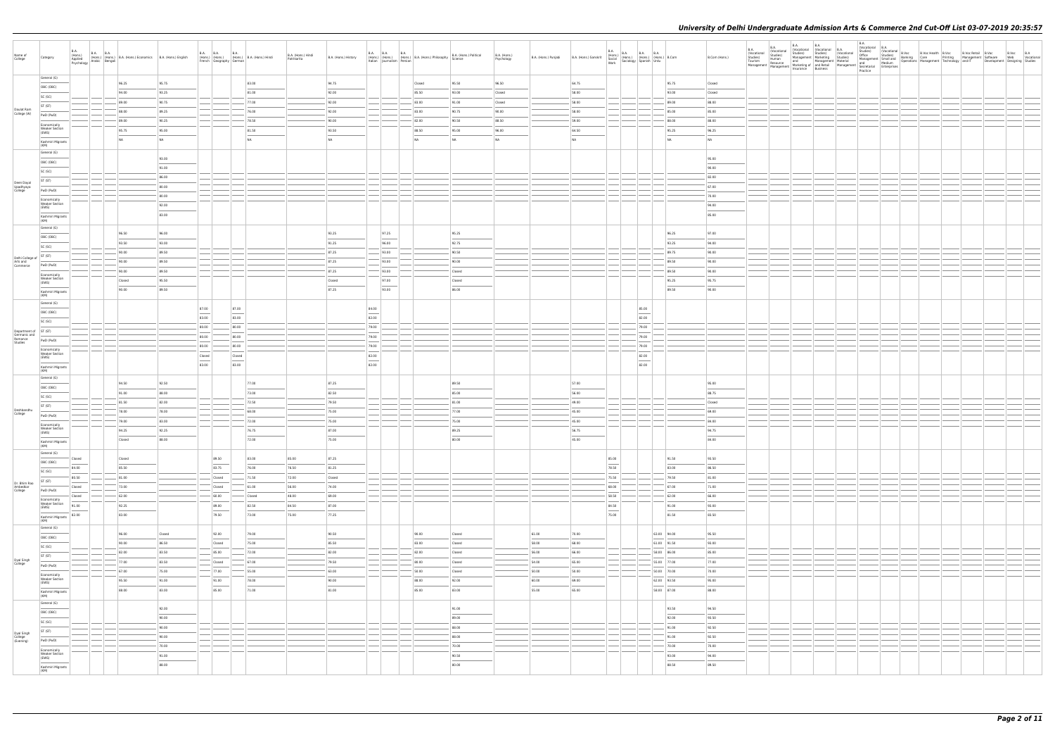| Name of<br>College                 | Category                                                                                                                                                                                                                                                                                                                                                                                                                                                                            | B.A.<br>B.A. (Hons.) B.A. B.A. (Hons.) B.A. (Hons.) Economics B.A. (Hons.) English Asychology Arabic Bengali |        |        |                         | B.A. B.A. B.A. B.A. (Hons.) B.A. (Hons.) Hindi<br>French   Geography   German |           | B.A. (Hons.) Hindi<br>Patrikarita | B.A. (Hons.) History | Italian Journalism Persian | B.A. B.A. B.A. B.A. (Hons.) B.A. (Hons.) Philosophy | B.A. (Hons.) Political<br>Science | B.A. (Hons.)<br>Psychology | B.A. (Hons.) Punjabi | B.A. (Hons.) Sanskrit |                                 | B.A. (Hons.) B.A. B.A. B.A. (Hons.) B.Com<br>Social (Hons.) (Hons.) (Hons.) B.Com<br>Work Sociology Spanish Urdu                                                                                                                                                                                                                                                                                                                                                                    |             | B.Com (Hons.) | <b>B.A.</b><br>(Vocational<br>Studies)<br>Tourism | B.A.<br>(Vocational<br>Studies)<br>Human<br>Resource<br>Management Mesource Marketing of any number Management Management Business |  |  |  |  |
|------------------------------------|-------------------------------------------------------------------------------------------------------------------------------------------------------------------------------------------------------------------------------------------------------------------------------------------------------------------------------------------------------------------------------------------------------------------------------------------------------------------------------------|--------------------------------------------------------------------------------------------------------------|--------|--------|-------------------------|-------------------------------------------------------------------------------|-----------|-----------------------------------|----------------------|----------------------------|-----------------------------------------------------|-----------------------------------|----------------------------|----------------------|-----------------------|---------------------------------|-------------------------------------------------------------------------------------------------------------------------------------------------------------------------------------------------------------------------------------------------------------------------------------------------------------------------------------------------------------------------------------------------------------------------------------------------------------------------------------|-------------|---------------|---------------------------------------------------|------------------------------------------------------------------------------------------------------------------------------------|--|--|--|--|
|                                    | General (G)                                                                                                                                                                                                                                                                                                                                                                                                                                                                         |                                                                                                              | 96.25  | 95.75  |                         |                                                                               | 83.00     |                                   | 94.75                |                            | Closed                                              | 95.50                             | 96.50                      |                      | 64.75                 |                                 |                                                                                                                                                                                                                                                                                                                                                                                                                                                                                     | 95.75       | Closed        |                                                   |                                                                                                                                    |  |  |  |  |
|                                    | OBC (OBC)                                                                                                                                                                                                                                                                                                                                                                                                                                                                           |                                                                                                              | 94.00  | 93.25  |                         |                                                                               | 81.00     |                                   | 92.00                |                            | 85.50                                               | 93.00                             | Closed                     |                      | 58.00                 |                                 |                                                                                                                                                                                                                                                                                                                                                                                                                                                                                     | 93.00       | Closed        |                                                   |                                                                                                                                    |  |  |  |  |
|                                    | SC (SC)                                                                                                                                                                                                                                                                                                                                                                                                                                                                             |                                                                                                              | 89.00  | 90.75  |                         |                                                                               | 77.00     |                                   | 92.00                |                            | 83.00                                               | 91.00                             | Closed                     |                      | 58.00                 |                                 |                                                                                                                                                                                                                                                                                                                                                                                                                                                                                     | 89.00       | 88.00         |                                                   |                                                                                                                                    |  |  |  |  |
| Daulat Ram                         | ST (ST)                                                                                                                                                                                                                                                                                                                                                                                                                                                                             |                                                                                                              | 88.00  | 89.25  |                         |                                                                               | 76.00     |                                   | 92.00                |                            | 83.00                                               | 90.75                             | 90.00                      |                      | 58.00                 |                                 |                                                                                                                                                                                                                                                                                                                                                                                                                                                                                     | 85.00       | 85.00         |                                                   |                                                                                                                                    |  |  |  |  |
| College (W)                        | PwD (PwD)                                                                                                                                                                                                                                                                                                                                                                                                                                                                           |                                                                                                              | 89.00  | 90.25  |                         |                                                                               | 78.50     |                                   | 90.00                |                            | 82.00                                               | 90.50                             | 88.50                      |                      | 59.00                 |                                 |                                                                                                                                                                                                                                                                                                                                                                                                                                                                                     | 88.00       | 88.00         |                                                   |                                                                                                                                    |  |  |  |  |
|                                    | Economically<br><b>Weaker Section</b>                                                                                                                                                                                                                                                                                                                                                                                                                                               |                                                                                                              | 95.75  | 95.00  |                         |                                                                               | 81.50     |                                   | 93.50                |                            | 88.50                                               |                                   | 96.00                      |                      | 64.50                 |                                 |                                                                                                                                                                                                                                                                                                                                                                                                                                                                                     | 95.25       |               |                                                   |                                                                                                                                    |  |  |  |  |
|                                    | (EWS)                                                                                                                                                                                                                                                                                                                                                                                                                                                                               |                                                                                                              | NA     |        |                         |                                                                               | <b>NA</b> |                                   |                      |                            | NA                                                  | 95.00                             | NA                         |                      | NA                    |                                 |                                                                                                                                                                                                                                                                                                                                                                                                                                                                                     |             | 96.25         |                                                   |                                                                                                                                    |  |  |  |  |
|                                    | Kashmiri Migrants<br>(KM)                                                                                                                                                                                                                                                                                                                                                                                                                                                           |                                                                                                              |        | NA     |                         |                                                                               |           |                                   | NA                   |                            |                                                     | NA                                |                            |                      |                       |                                 |                                                                                                                                                                                                                                                                                                                                                                                                                                                                                     | <b>NA</b>   | NA            |                                                   |                                                                                                                                    |  |  |  |  |
|                                    | General (G)                                                                                                                                                                                                                                                                                                                                                                                                                                                                         |                                                                                                              |        |        |                         |                                                                               |           |                                   |                      |                            |                                                     |                                   |                            |                      |                       |                                 |                                                                                                                                                                                                                                                                                                                                                                                                                                                                                     |             |               |                                                   |                                                                                                                                    |  |  |  |  |
|                                    | OBC (OBC)                                                                                                                                                                                                                                                                                                                                                                                                                                                                           |                                                                                                              |        | 93.00  |                         |                                                                               |           |                                   |                      |                            |                                                     |                                   |                            |                      |                       |                                 |                                                                                                                                                                                                                                                                                                                                                                                                                                                                                     |             | 95.00         |                                                   |                                                                                                                                    |  |  |  |  |
|                                    | SC (SC)                                                                                                                                                                                                                                                                                                                                                                                                                                                                             |                                                                                                              |        | 91.00  |                         |                                                                               |           |                                   |                      |                            |                                                     |                                   |                            |                      |                       |                                 |                                                                                                                                                                                                                                                                                                                                                                                                                                                                                     |             | 90.00         |                                                   |                                                                                                                                    |  |  |  |  |
| Deen Dayal                         | ST (ST)                                                                                                                                                                                                                                                                                                                                                                                                                                                                             |                                                                                                              |        | 86.00  |                         |                                                                               |           |                                   |                      |                            |                                                     |                                   |                            |                      |                       |                                 |                                                                                                                                                                                                                                                                                                                                                                                                                                                                                     |             | 82.00         |                                                   |                                                                                                                                    |  |  |  |  |
| Upadhyaya<br>College               | PwD (PwD)                                                                                                                                                                                                                                                                                                                                                                                                                                                                           |                                                                                                              |        | 80.00  |                         |                                                                               |           |                                   |                      |                            |                                                     |                                   |                            |                      |                       |                                 |                                                                                                                                                                                                                                                                                                                                                                                                                                                                                     |             | 67.00         |                                                   |                                                                                                                                    |  |  |  |  |
|                                    | Economically                                                                                                                                                                                                                                                                                                                                                                                                                                                                        |                                                                                                              |        | 80.00  |                         |                                                                               |           |                                   |                      |                            |                                                     |                                   |                            |                      |                       |                                 |                                                                                                                                                                                                                                                                                                                                                                                                                                                                                     |             | 70.00         |                                                   |                                                                                                                                    |  |  |  |  |
|                                    | <b>Weaker Section</b><br>(EWS)                                                                                                                                                                                                                                                                                                                                                                                                                                                      |                                                                                                              |        | 92.00  |                         |                                                                               |           |                                   |                      |                            |                                                     |                                   |                            |                      |                       |                                 |                                                                                                                                                                                                                                                                                                                                                                                                                                                                                     |             | 94.00         |                                                   |                                                                                                                                    |  |  |  |  |
|                                    | Kashmiri Migrants                                                                                                                                                                                                                                                                                                                                                                                                                                                                   |                                                                                                              |        | 83.00  |                         |                                                                               |           |                                   |                      |                            |                                                     |                                   |                            |                      |                       |                                 |                                                                                                                                                                                                                                                                                                                                                                                                                                                                                     |             | 85.00         |                                                   |                                                                                                                                    |  |  |  |  |
|                                    | (KM)                                                                                                                                                                                                                                                                                                                                                                                                                                                                                |                                                                                                              |        |        |                         |                                                                               |           |                                   |                      |                            |                                                     |                                   |                            |                      |                       |                                 |                                                                                                                                                                                                                                                                                                                                                                                                                                                                                     |             |               |                                                   |                                                                                                                                    |  |  |  |  |
|                                    | General (G)                                                                                                                                                                                                                                                                                                                                                                                                                                                                         |                                                                                                              | 96.50  | 96.00  |                         |                                                                               |           |                                   | 93.25                | 97.25                      |                                                     | 95.25                             |                            |                      |                       |                                 |                                                                                                                                                                                                                                                                                                                                                                                                                                                                                     | 96.25       | 97.00         |                                                   |                                                                                                                                    |  |  |  |  |
|                                    | OBC (OBC)                                                                                                                                                                                                                                                                                                                                                                                                                                                                           |                                                                                                              | 93.50  | 93.00  |                         |                                                                               |           |                                   | 91.25                | 96.00                      |                                                     | 92.75                             |                            |                      |                       |                                 |                                                                                                                                                                                                                                                                                                                                                                                                                                                                                     | 93.25       | 94.00         |                                                   |                                                                                                                                    |  |  |  |  |
|                                    | SC (SC)                                                                                                                                                                                                                                                                                                                                                                                                                                                                             |                                                                                                              | 90.00  | 89.50  |                         |                                                                               |           |                                   | 87.25                | 93.00                      |                                                     | 90.50                             |                            |                      |                       |                                 |                                                                                                                                                                                                                                                                                                                                                                                                                                                                                     | 89.75       | 90.00         |                                                   |                                                                                                                                    |  |  |  |  |
| Delhi College of<br>Arts and       | ST (ST)                                                                                                                                                                                                                                                                                                                                                                                                                                                                             |                                                                                                              | 90.00  | 89.50  |                         |                                                                               |           |                                   | 87.25                | 93.00                      |                                                     | 90.00                             |                            |                      |                       |                                 |                                                                                                                                                                                                                                                                                                                                                                                                                                                                                     | 89.50       | 90.00         |                                                   |                                                                                                                                    |  |  |  |  |
| Commerce                           | PwD (PwD)                                                                                                                                                                                                                                                                                                                                                                                                                                                                           |                                                                                                              | 90.00  | 89.50  |                         |                                                                               |           |                                   |                      | 93.00                      |                                                     |                                   |                            |                      |                       |                                 |                                                                                                                                                                                                                                                                                                                                                                                                                                                                                     | 89.50       | 90.00         |                                                   |                                                                                                                                    |  |  |  |  |
|                                    | Economically<br><b>Weaker Section</b>                                                                                                                                                                                                                                                                                                                                                                                                                                               |                                                                                                              |        |        |                         |                                                                               |           |                                   | 87.25                |                            |                                                     | Closed                            |                            |                      |                       |                                 |                                                                                                                                                                                                                                                                                                                                                                                                                                                                                     |             |               |                                                   |                                                                                                                                    |  |  |  |  |
|                                    | (EWS)                                                                                                                                                                                                                                                                                                                                                                                                                                                                               |                                                                                                              | Closed | 95.50  |                         |                                                                               |           |                                   | Closed               | 97.00                      |                                                     | Closed                            |                            |                      |                       |                                 |                                                                                                                                                                                                                                                                                                                                                                                                                                                                                     | 95.25       | 95.75         |                                                   |                                                                                                                                    |  |  |  |  |
|                                    | Kashmiri Migrants<br>(KM)                                                                                                                                                                                                                                                                                                                                                                                                                                                           |                                                                                                              | 90.00  | 89.50  |                         |                                                                               |           |                                   | 87.25                | 93.00                      |                                                     | 86.00                             |                            |                      |                       |                                 |                                                                                                                                                                                                                                                                                                                                                                                                                                                                                     | 89.50       | 90.00         |                                                   |                                                                                                                                    |  |  |  |  |
|                                    | General (G)                                                                                                                                                                                                                                                                                                                                                                                                                                                                         |                                                                                                              |        |        |                         |                                                                               |           |                                   |                      |                            |                                                     |                                   |                            |                      |                       |                                 |                                                                                                                                                                                                                                                                                                                                                                                                                                                                                     |             |               |                                                   |                                                                                                                                    |  |  |  |  |
|                                    | OBC (OBC)                                                                                                                                                                                                                                                                                                                                                                                                                                                                           |                                                                                                              |        |        | 87.00                   | 87.00                                                                         |           |                                   |                      | 84.00                      |                                                     |                                   |                            |                      |                       |                                 | 85.00                                                                                                                                                                                                                                                                                                                                                                                                                                                                               |             |               |                                                   |                                                                                                                                    |  |  |  |  |
|                                    | SC (SC)                                                                                                                                                                                                                                                                                                                                                                                                                                                                             |                                                                                                              |        |        | 83.00                   | 83.00                                                                         |           |                                   |                      | 82.00                      |                                                     |                                   |                            |                      |                       |                                 | 82.00                                                                                                                                                                                                                                                                                                                                                                                                                                                                               |             |               |                                                   |                                                                                                                                    |  |  |  |  |
| Department of ST (ST)              |                                                                                                                                                                                                                                                                                                                                                                                                                                                                                     |                                                                                                              |        |        | 80.00                   | 80.00                                                                         |           |                                   |                      | 79.00                      |                                                     |                                   |                            |                      |                       |                                 | 79.00                                                                                                                                                                                                                                                                                                                                                                                                                                                                               |             |               |                                                   |                                                                                                                                    |  |  |  |  |
| Germanic and<br>Romance<br>Studies | PwD (PwD)                                                                                                                                                                                                                                                                                                                                                                                                                                                                           |                                                                                                              |        |        | 80.00                   | 80.00                                                                         |           |                                   |                      | 79.00                      |                                                     |                                   |                            |                      |                       |                                 | 79.00                                                                                                                                                                                                                                                                                                                                                                                                                                                                               |             |               |                                                   |                                                                                                                                    |  |  |  |  |
|                                    | Economically                                                                                                                                                                                                                                                                                                                                                                                                                                                                        |                                                                                                              |        |        | 80.00                   | 80.00                                                                         |           |                                   |                      | 79.00                      |                                                     |                                   |                            |                      |                       |                                 | 79.00                                                                                                                                                                                                                                                                                                                                                                                                                                                                               |             |               |                                                   |                                                                                                                                    |  |  |  |  |
|                                    | <b>Weaker Section</b><br>(EWS)                                                                                                                                                                                                                                                                                                                                                                                                                                                      |                                                                                                              |        |        | Closed<br>$\frac{1}{2}$ | Closed<br>$\frac{1}{2}$                                                       |           |                                   |                      | 82.00<br>$\frac{1}{2}$     |                                                     |                                   |                            |                      |                       |                                 | 82.00                                                                                                                                                                                                                                                                                                                                                                                                                                                                               |             |               |                                                   |                                                                                                                                    |  |  |  |  |
|                                    | Kashmiri Migrants                                                                                                                                                                                                                                                                                                                                                                                                                                                                   |                                                                                                              |        |        | 83.00                   | 83.00                                                                         |           |                                   |                      | 82.00                      |                                                     |                                   |                            |                      |                       |                                 | $\frac{1}{2} \left( \frac{1}{2} \right) \left( \frac{1}{2} \right) \left( \frac{1}{2} \right) \left( \frac{1}{2} \right) \left( \frac{1}{2} \right) \left( \frac{1}{2} \right) \left( \frac{1}{2} \right) \left( \frac{1}{2} \right) \left( \frac{1}{2} \right) \left( \frac{1}{2} \right) \left( \frac{1}{2} \right) \left( \frac{1}{2} \right) \left( \frac{1}{2} \right) \left( \frac{1}{2} \right) \left( \frac{1}{2} \right) \left( \frac{1}{2} \right) \left( \frac$<br>82.00 |             |               |                                                   |                                                                                                                                    |  |  |  |  |
|                                    | (KM)<br>General (G)                                                                                                                                                                                                                                                                                                                                                                                                                                                                 |                                                                                                              |        |        |                         |                                                                               |           |                                   |                      |                            |                                                     |                                   |                            |                      |                       |                                 |                                                                                                                                                                                                                                                                                                                                                                                                                                                                                     |             |               |                                                   |                                                                                                                                    |  |  |  |  |
|                                    |                                                                                                                                                                                                                                                                                                                                                                                                                                                                                     |                                                                                                              | 94.50  | 92.50  |                         |                                                                               | 77.00     |                                   | 87.25                |                            |                                                     | 89.50                             |                            |                      | 57.00                 |                                 |                                                                                                                                                                                                                                                                                                                                                                                                                                                                                     |             | 95.00         |                                                   |                                                                                                                                    |  |  |  |  |
|                                    | OBC (OBC)                                                                                                                                                                                                                                                                                                                                                                                                                                                                           |                                                                                                              | 91.00  | 88.00  |                         |                                                                               | 73.00     |                                   | 82.50                |                            |                                                     | 85.00                             |                            |                      | 56.00                 |                                 |                                                                                                                                                                                                                                                                                                                                                                                                                                                                                     |             | 88.75         |                                                   |                                                                                                                                    |  |  |  |  |
|                                    | SC (SC)                                                                                                                                                                                                                                                                                                                                                                                                                                                                             |                                                                                                              | 81.50  | 82.00  |                         |                                                                               | 72.50     |                                   | 79.50                |                            |                                                     | 81.00                             |                            |                      | 49.00                 |                                 |                                                                                                                                                                                                                                                                                                                                                                                                                                                                                     |             | Closed        |                                                   |                                                                                                                                    |  |  |  |  |
| Deshbandhu<br>College              | ST (ST)                                                                                                                                                                                                                                                                                                                                                                                                                                                                             |                                                                                                              | 78.00  | 78.00  |                         |                                                                               | 68.00     |                                   | 75.00                |                            |                                                     | 77.00                             |                            |                      | 45.00                 |                                 |                                                                                                                                                                                                                                                                                                                                                                                                                                                                                     |             | 69.00         |                                                   |                                                                                                                                    |  |  |  |  |
|                                    | PwD (PwD)                                                                                                                                                                                                                                                                                                                                                                                                                                                                           |                                                                                                              | 79.00  | 83.00  |                         |                                                                               | 72.00     |                                   | 75.00                |                            |                                                     | 75.00                             |                            |                      | 45.00                 |                                 |                                                                                                                                                                                                                                                                                                                                                                                                                                                                                     |             | 84.00         |                                                   |                                                                                                                                    |  |  |  |  |
|                                    | Economically<br><b>Weaker Section</b>                                                                                                                                                                                                                                                                                                                                                                                                                                               |                                                                                                              | 94.25  | 92.25  |                         |                                                                               | 76.75     |                                   | 87.00                |                            |                                                     | 89.25                             |                            |                      | 56.75                 |                                 |                                                                                                                                                                                                                                                                                                                                                                                                                                                                                     |             | 94.75         |                                                   |                                                                                                                                    |  |  |  |  |
|                                    | (EWS)                                                                                                                                                                                                                                                                                                                                                                                                                                                                               |                                                                                                              | Closed | 88.00  |                         |                                                                               | 72.00     |                                   | 75.00                |                            |                                                     | 80.00                             |                            |                      | 45.00                 |                                 |                                                                                                                                                                                                                                                                                                                                                                                                                                                                                     |             | 84.00         |                                                   |                                                                                                                                    |  |  |  |  |
|                                    | Kashmiri Migrants<br>(KM)                                                                                                                                                                                                                                                                                                                                                                                                                                                           |                                                                                                              |        |        |                         |                                                                               |           |                                   |                      |                            |                                                     |                                   |                            |                      |                       |                                 |                                                                                                                                                                                                                                                                                                                                                                                                                                                                                     |             |               |                                                   |                                                                                                                                    |  |  |  |  |
|                                    | General (G)                                                                                                                                                                                                                                                                                                                                                                                                                                                                         |                                                                                                              |        |        |                         | 89.50                                                                         | 83.00     | 85.00                             | 87.25                |                            |                                                     |                                   |                            |                      |                       |                                 |                                                                                                                                                                                                                                                                                                                                                                                                                                                                                     | 91.50       | 93.50         |                                                   |                                                                                                                                    |  |  |  |  |
|                                    | OBC (OBC)                                                                                                                                                                                                                                                                                                                                                                                                                                                                           | Closed                                                                                                       | Closed |        |                         | 83.75                                                                         |           |                                   |                      |                            |                                                     |                                   |                            |                      |                       | 85.00<br>$\frac{1}{2}$<br>78.50 |                                                                                                                                                                                                                                                                                                                                                                                                                                                                                     |             |               |                                                   |                                                                                                                                    |  |  |  |  |
|                                    | SC (SC)                                                                                                                                                                                                                                                                                                                                                                                                                                                                             | 84.00                                                                                                        | 85.50  |        |                         |                                                                               | 76.00     | 76.50                             | 81.25                |                            |                                                     |                                   |                            |                      |                       |                                 |                                                                                                                                                                                                                                                                                                                                                                                                                                                                                     | 83.00       | 86.50         |                                                   |                                                                                                                                    |  |  |  |  |
| Dr. Bhim Rao                       | ST (ST)                                                                                                                                                                                                                                                                                                                                                                                                                                                                             | 80.50                                                                                                        | 81.00  |        |                         | Closed                                                                        | $- 71.50$ | 72.00                             | Closed               |                            |                                                     |                                   |                            |                      |                       | 75.50                           |                                                                                                                                                                                                                                                                                                                                                                                                                                                                                     | 79.50       | 81.00         |                                                   |                                                                                                                                    |  |  |  |  |
| Ambedkar<br>College                | PwD (PwD)                                                                                                                                                                                                                                                                                                                                                                                                                                                                           | Closed                                                                                                       | 73.00  |        |                         | Closed                                                                        | 61.00     | 56.00                             | 74.00                |                            |                                                     |                                   |                            |                      |                       | 68.00                           |                                                                                                                                                                                                                                                                                                                                                                                                                                                                                     | 67.00       | 71.00         |                                                   |                                                                                                                                    |  |  |  |  |
|                                    | Economically<br><b>Weaker Section</b>                                                                                                                                                                                                                                                                                                                                                                                                                                               | Closed                                                                                                       | 62.00  |        |                         | 60.00                                                                         | Closed    | 48.00                             | 69.00                |                            |                                                     |                                   |                            |                      |                       | 58.50                           |                                                                                                                                                                                                                                                                                                                                                                                                                                                                                     | 62.00       | 66.00         |                                                   |                                                                                                                                    |  |  |  |  |
|                                    | (EWS)                                                                                                                                                                                                                                                                                                                                                                                                                                                                               | 91.00                                                                                                        | 92.25  |        |                         | 89.00                                                                         | 82.50     | 84.50                             | 87.00                |                            |                                                     |                                   |                            |                      |                       | 84.50                           |                                                                                                                                                                                                                                                                                                                                                                                                                                                                                     | 91.00       | 93.00         |                                                   |                                                                                                                                    |  |  |  |  |
|                                    | Kashmiri Migrants<br>(KM)                                                                                                                                                                                                                                                                                                                                                                                                                                                           | 82.00                                                                                                        | 83.00  |        |                         | 79.50                                                                         | 73.00     | 75.00                             | 77.25                |                            |                                                     |                                   |                            |                      |                       | 75.00                           |                                                                                                                                                                                                                                                                                                                                                                                                                                                                                     | 81.50       | 83.50         |                                                   |                                                                                                                                    |  |  |  |  |
|                                    | General (G)                                                                                                                                                                                                                                                                                                                                                                                                                                                                         |                                                                                                              |        |        |                         |                                                                               |           |                                   |                      |                            |                                                     |                                   |                            |                      |                       |                                 |                                                                                                                                                                                                                                                                                                                                                                                                                                                                                     |             |               |                                                   |                                                                                                                                    |  |  |  |  |
|                                    | OBC (OBC)                                                                                                                                                                                                                                                                                                                                                                                                                                                                           |                                                                                                              | 96.00  | Closed |                         | 92.00                                                                         | 79.00     |                                   | 90.50                |                            | 90.00                                               | Closed                            |                            | 61.00                | 70.00                 |                                 |                                                                                                                                                                                                                                                                                                                                                                                                                                                                                     | 63.00 94.00 | 95.50         |                                                   |                                                                                                                                    |  |  |  |  |
|                                    | SC (SC)                                                                                                                                                                                                                                                                                                                                                                                                                                                                             |                                                                                                              | 90.00  | 86.50  |                         | Closed                                                                        | 75.00     |                                   | 85.50                |                            | 83.00                                               | Closed                            |                            | 58.00                | 68.00                 |                                 |                                                                                                                                                                                                                                                                                                                                                                                                                                                                                     | 61.00 91.50 | 93.00         |                                                   |                                                                                                                                    |  |  |  |  |
|                                    | ST (ST)                                                                                                                                                                                                                                                                                                                                                                                                                                                                             |                                                                                                              | 82.00  | 83.50  |                         | 85.00                                                                         | 72.00     |                                   | 82.00                |                            | 82.00                                               | Closed                            |                            | 56.00                | 66.00                 |                                 |                                                                                                                                                                                                                                                                                                                                                                                                                                                                                     | 58.00 86.00 | 85.00         |                                                   |                                                                                                                                    |  |  |  |  |
| Dyal Singh<br>College              | PwD (PwD)                                                                                                                                                                                                                                                                                                                                                                                                                                                                           |                                                                                                              | 77.00  | 83.50  |                         | Closed                                                                        | 67.00     |                                   | 79.50                |                            | 80.00                                               | Closed                            |                            | 54.00                | 65.00                 |                                 |                                                                                                                                                                                                                                                                                                                                                                                                                                                                                     | 55.00 77.00 | 77.00         |                                                   |                                                                                                                                    |  |  |  |  |
|                                    | Economically                                                                                                                                                                                                                                                                                                                                                                                                                                                                        |                                                                                                              | 67.00  | 75.00  |                         | $-77.00$                                                                      | $-55.00$  |                                   | 63.00                |                            | 50.00                                               | Closed                            |                            | 50.00                | 50.00                 |                                 |                                                                                                                                                                                                                                                                                                                                                                                                                                                                                     | 50.00 70.00 | 70.00         |                                                   |                                                                                                                                    |  |  |  |  |
|                                    | <b>Weaker Section</b><br>(EWS)                                                                                                                                                                                                                                                                                                                                                                                                                                                      |                                                                                                              | 95.50  | 91.00  |                         | 91.00                                                                         | 78.00     |                                   | 90.00                |                            | 88.00                                               | 92.00                             |                            | 60.00                | 69.00                 |                                 |                                                                                                                                                                                                                                                                                                                                                                                                                                                                                     | 62.00 93.50 | 95.00         |                                                   |                                                                                                                                    |  |  |  |  |
|                                    | Kashmiri Migrants                                                                                                                                                                                                                                                                                                                                                                                                                                                                   |                                                                                                              | 88.00  | 83.00  |                         | 85.00                                                                         | 71.00     |                                   | 81.00                |                            | 85.00                                               | 83.00                             |                            | 55.00                | 65.00                 |                                 |                                                                                                                                                                                                                                                                                                                                                                                                                                                                                     | 58.00 87.00 | 88.00         |                                                   |                                                                                                                                    |  |  |  |  |
|                                    | (KM)                                                                                                                                                                                                                                                                                                                                                                                                                                                                                |                                                                                                              |        |        |                         |                                                                               |           |                                   |                      |                            |                                                     |                                   |                            |                      |                       |                                 |                                                                                                                                                                                                                                                                                                                                                                                                                                                                                     |             |               |                                                   |                                                                                                                                    |  |  |  |  |
|                                    | General (G)                                                                                                                                                                                                                                                                                                                                                                                                                                                                         |                                                                                                              |        | 92.00  |                         |                                                                               |           |                                   |                      |                            |                                                     | 91.00                             |                            |                      |                       |                                 |                                                                                                                                                                                                                                                                                                                                                                                                                                                                                     | 93.50       | 94.50         |                                                   |                                                                                                                                    |  |  |  |  |
|                                    | OBC (OBC)                                                                                                                                                                                                                                                                                                                                                                                                                                                                           |                                                                                                              |        | 90.00  |                         |                                                                               |           |                                   |                      |                            |                                                     | 89.00                             |                            |                      |                       |                                 |                                                                                                                                                                                                                                                                                                                                                                                                                                                                                     | 92.00       | 93.50         |                                                   |                                                                                                                                    |  |  |  |  |
|                                    | SC (SC)                                                                                                                                                                                                                                                                                                                                                                                                                                                                             |                                                                                                              |        | 90.00  |                         |                                                                               |           |                                   |                      |                            |                                                     | 88.00                             |                            |                      |                       |                                 |                                                                                                                                                                                                                                                                                                                                                                                                                                                                                     | 91.00       | 92.50         |                                                   |                                                                                                                                    |  |  |  |  |
| Dyal Singh<br>College<br>(Evening) | ST (ST)                                                                                                                                                                                                                                                                                                                                                                                                                                                                             |                                                                                                              |        | 90.00  |                         |                                                                               |           |                                   |                      |                            |                                                     | 88.00                             |                            |                      |                       |                                 |                                                                                                                                                                                                                                                                                                                                                                                                                                                                                     | 91.00       | 92.50         |                                                   |                                                                                                                                    |  |  |  |  |
|                                    | PwD (PwD)                                                                                                                                                                                                                                                                                                                                                                                                                                                                           |                                                                                                              |        |        |                         |                                                                               |           |                                   |                      |                            |                                                     |                                   |                            |                      |                       |                                 |                                                                                                                                                                                                                                                                                                                                                                                                                                                                                     |             |               |                                                   |                                                                                                                                    |  |  |  |  |
|                                    | Economically<br><b>Weaker Section</b>                                                                                                                                                                                                                                                                                                                                                                                                                                               |                                                                                                              |        | 70.00  |                         |                                                                               |           |                                   |                      |                            |                                                     | 70.00                             |                            |                      |                       |                                 |                                                                                                                                                                                                                                                                                                                                                                                                                                                                                     | 70.00       | 70.00         |                                                   |                                                                                                                                    |  |  |  |  |
|                                    | (EWS)<br>$\frac{1}{2} \left( \frac{1}{2} \right) \left( \frac{1}{2} \right) \left( \frac{1}{2} \right) \left( \frac{1}{2} \right) \left( \frac{1}{2} \right) \left( \frac{1}{2} \right) \left( \frac{1}{2} \right) \left( \frac{1}{2} \right) \left( \frac{1}{2} \right) \left( \frac{1}{2} \right) \left( \frac{1}{2} \right) \left( \frac{1}{2} \right) \left( \frac{1}{2} \right) \left( \frac{1}{2} \right) \left( \frac{1}{2} \right) \left( \frac{1}{2} \right) \left( \frac$ |                                                                                                              |        | 91.00  |                         |                                                                               |           |                                   |                      |                            |                                                     | 90.50                             |                            |                      |                       |                                 |                                                                                                                                                                                                                                                                                                                                                                                                                                                                                     | 93.00       | 94.00         |                                                   |                                                                                                                                    |  |  |  |  |
|                                    | Kashmiri Migrants<br>(KM)                                                                                                                                                                                                                                                                                                                                                                                                                                                           |                                                                                                              |        | 88.00  |                         |                                                                               |           |                                   |                      |                            |                                                     | 80.00                             |                            |                      |                       |                                 |                                                                                                                                                                                                                                                                                                                                                                                                                                                                                     | 88.50       | 89.50         |                                                   |                                                                                                                                    |  |  |  |  |
|                                    |                                                                                                                                                                                                                                                                                                                                                                                                                                                                                     |                                                                                                              |        |        |                         |                                                                               |           |                                   |                      |                            |                                                     |                                   |                            |                      |                       |                                 |                                                                                                                                                                                                                                                                                                                                                                                                                                                                                     |             |               |                                                   |                                                                                                                                    |  |  |  |  |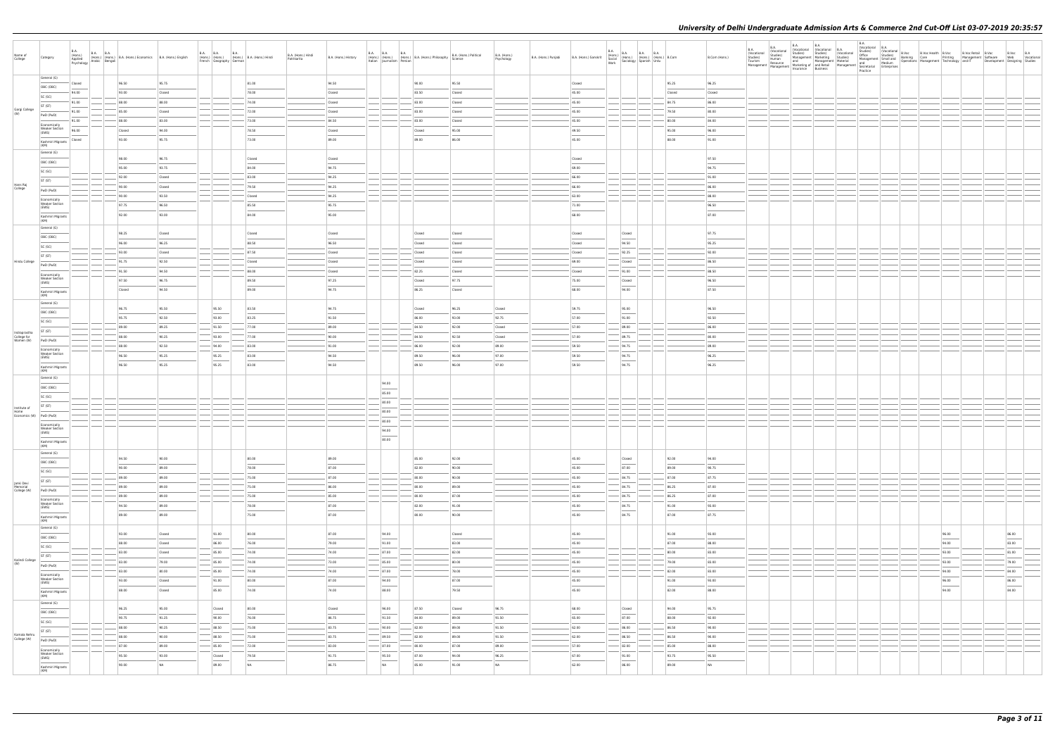| Name of<br>College                              | Category                                       | <b>B.A.</b><br>(Hons.)<br>Applied<br>Psychology Arabic Bengali | <b>B.A. B.A.</b> | (Hons.) (Hons.) B.A. (Hons.) Economics B.A. (Hons.) English |        | <b>B.A. B.A.</b><br><b>B.A.</b><br>French Geography German | (Hons.) (Hons.) (Hons.) B.A. (Hons.) Hindi | B.A. (Hons.) Hindi<br>Patrikarita | B.A. (Hons.) History | <b>B.A. B.A. B.A.</b><br>Italian Journalism Persian | (Hons.) (Hons.) (Hons.) B.A. (Hons.) Philosophy | B.A. (Hons.) Political<br>Science | B.A. (Hons.)<br>Psychology | B.A. (Hons.) Punjabi | B.A. (Hons.) Sanskrit |                                   | B.A. (Hons.) B.A. B.A. B.A. (Hons.) B.Com<br>Social (Hons.) (Hons.) (Hons.) B.Com<br>Work Sociology Spanish Urdu |        | B.Com (Hons.) | B.A.<br>(Vocational<br>Studies) | B.A.<br><b>B.A.</b><br>B.A.<br>(Vocational (Vocational B.A.<br>(Vocational Studies) Studies) (Vocational Studies)<br>Studies)<br>Human<br>Tourism Human and Management Material and Medium<br>Management Material and Medium<br>Management Material Management Material Secretarial Enterprises<br>Management Insurance Business | <b>B.A.</b><br>Management Marketing Studies) | <b>B.A.</b><br>Practice |  | D.<br>Studies (Vocational B.Voc<br>Studies) (Vocational B.Voc B.Voc Health B.Voc B.Voc Retail B.Voc B.Voc<br>Management Smulland Derations Management Technology and IT<br>Management Technology and IT Development Designing Studies<br> |                 |  |
|-------------------------------------------------|------------------------------------------------|----------------------------------------------------------------|------------------|-------------------------------------------------------------|--------|------------------------------------------------------------|--------------------------------------------|-----------------------------------|----------------------|-----------------------------------------------------|-------------------------------------------------|-----------------------------------|----------------------------|----------------------|-----------------------|-----------------------------------|------------------------------------------------------------------------------------------------------------------|--------|---------------|---------------------------------|----------------------------------------------------------------------------------------------------------------------------------------------------------------------------------------------------------------------------------------------------------------------------------------------------------------------------------|----------------------------------------------|-------------------------|--|-------------------------------------------------------------------------------------------------------------------------------------------------------------------------------------------------------------------------------------------|-----------------|--|
|                                                 | General (G)                                    | Closed                                                         |                  | 96.50                                                       | 95.75  |                                                            | 81.00                                      |                                   | 94.50                |                                                     | 90.00                                           | 95.50                             |                            |                      | Closed                |                                   |                                                                                                                  | 95.25  | 96.25         |                                 |                                                                                                                                                                                                                                                                                                                                  |                                              |                         |  |                                                                                                                                                                                                                                           |                 |  |
|                                                 | OBC (OBC)                                      | 94.00                                                          |                  | 93.00                                                       | Closed |                                                            | 78.00                                      |                                   | Closed               |                                                     | 83.50                                           | Closed                            |                            |                      | 45.00                 |                                   |                                                                                                                  | Closed | Closed        |                                 |                                                                                                                                                                                                                                                                                                                                  |                                              |                         |  |                                                                                                                                                                                                                                           |                 |  |
|                                                 | SC (SC)                                        | 91.00                                                          |                  | 88.00                                                       | 88.00  |                                                            | 74.00                                      |                                   | Closed               |                                                     | 83.00                                           | Closed                            |                            |                      | 45.00                 |                                   |                                                                                                                  | 84.75  | 86.00         |                                 |                                                                                                                                                                                                                                                                                                                                  |                                              |                         |  |                                                                                                                                                                                                                                           |                 |  |
| Gargi College<br>(W)                            | ST (ST)                                        | 91.00                                                          |                  | 85.00                                                       | Closed |                                                            | 72.00                                      |                                   | Closed               |                                                     | 83.00                                           | Closed                            |                            |                      | 45.00                 |                                   |                                                                                                                  | 79.50  | 80.00         |                                 |                                                                                                                                                                                                                                                                                                                                  |                                              |                         |  |                                                                                                                                                                                                                                           |                 |  |
|                                                 | PwD (PwD)                                      | 91.00                                                          |                  | 88.00                                                       | 83.00  |                                                            | 73.00                                      |                                   | 84.50                |                                                     | 83.00                                           | Closed                            |                            |                      | 45.00                 |                                   |                                                                                                                  | 80.00  | 84.00         |                                 |                                                                                                                                                                                                                                                                                                                                  |                                              |                         |  |                                                                                                                                                                                                                                           |                 |  |
|                                                 | Economically<br><b>Weaker Section</b><br>(EWS) | 96.00                                                          |                  | Closed                                                      | 94.00  |                                                            | 78.50                                      |                                   | Closed               |                                                     | Closed                                          | 95.00                             |                            |                      | 49.50                 |                                   |                                                                                                                  | 95.00  | 96.00         |                                 |                                                                                                                                                                                                                                                                                                                                  |                                              |                         |  |                                                                                                                                                                                                                                           |                 |  |
|                                                 |                                                | Closed                                                         |                  | 93.00                                                       | 95.75  |                                                            | 73.00                                      |                                   | 89.00                |                                                     | 89.00                                           | 86.00                             |                            |                      | 45.00                 |                                   |                                                                                                                  | 88.00  | 91.00         |                                 |                                                                                                                                                                                                                                                                                                                                  |                                              |                         |  |                                                                                                                                                                                                                                           |                 |  |
|                                                 | Kashmiri Migrants<br>(KM)                      |                                                                |                  |                                                             |        |                                                            |                                            |                                   |                      |                                                     |                                                 |                                   |                            |                      |                       |                                   |                                                                                                                  |        |               |                                 |                                                                                                                                                                                                                                                                                                                                  |                                              |                         |  |                                                                                                                                                                                                                                           |                 |  |
|                                                 | General (G)                                    |                                                                |                  | 98.00                                                       | 96.75  |                                                            | Closed                                     |                                   | Closed               |                                                     |                                                 |                                   |                            |                      | Closed                |                                   |                                                                                                                  |        | 97.50         |                                 |                                                                                                                                                                                                                                                                                                                                  |                                              |                         |  |                                                                                                                                                                                                                                           |                 |  |
|                                                 | OBC (OBC)                                      |                                                                |                  | 95.00                                                       | 93.75  |                                                            | 84.00                                      |                                   | 94.75                |                                                     |                                                 |                                   |                            |                      | 69.00                 |                                   |                                                                                                                  |        | 94.75         |                                 |                                                                                                                                                                                                                                                                                                                                  |                                              |                         |  |                                                                                                                                                                                                                                           |                 |  |
|                                                 | SC (SC)                                        |                                                                |                  | 92.00                                                       | Closed |                                                            | 83.00                                      |                                   | 94.25                |                                                     |                                                 |                                   |                            |                      | 66.00                 |                                   |                                                                                                                  |        | 91.00         |                                 |                                                                                                                                                                                                                                                                                                                                  |                                              |                         |  |                                                                                                                                                                                                                                           |                 |  |
| Hans Raj<br>College                             | ST (ST)                                        |                                                                |                  | 90.00                                                       | Closed |                                                            | 79.50                                      |                                   | 94.25                |                                                     |                                                 |                                   |                            |                      | 66.00                 |                                   |                                                                                                                  |        | 86.00         |                                 |                                                                                                                                                                                                                                                                                                                                  |                                              |                         |  |                                                                                                                                                                                                                                           |                 |  |
|                                                 | PwD (PwD)                                      |                                                                |                  | 90.00                                                       | 93.50  |                                                            | Closed                                     |                                   | 94.25                |                                                     |                                                 |                                   |                            |                      | 63.00                 |                                   |                                                                                                                  |        | 88.00         |                                 |                                                                                                                                                                                                                                                                                                                                  |                                              |                         |  |                                                                                                                                                                                                                                           |                 |  |
|                                                 | Economically<br><b>Weaker Section</b>          |                                                                |                  | 97.75                                                       | 96.50  |                                                            | 85.50                                      |                                   | 95.75                |                                                     |                                                 |                                   |                            |                      | 71.00                 |                                   |                                                                                                                  |        | 96.50         |                                 |                                                                                                                                                                                                                                                                                                                                  |                                              |                         |  |                                                                                                                                                                                                                                           |                 |  |
|                                                 | (EWS)                                          |                                                                |                  | 92.00                                                       | 93.00  |                                                            | 84.00                                      |                                   | 95.00                |                                                     |                                                 |                                   |                            |                      | 68.00                 |                                   |                                                                                                                  |        | 87.00         |                                 |                                                                                                                                                                                                                                                                                                                                  |                                              |                         |  |                                                                                                                                                                                                                                           |                 |  |
|                                                 | Kashmiri Migrants<br>(KM)                      |                                                                |                  |                                                             |        |                                                            |                                            |                                   |                      |                                                     |                                                 |                                   |                            |                      |                       |                                   |                                                                                                                  |        |               |                                 |                                                                                                                                                                                                                                                                                                                                  |                                              |                         |  |                                                                                                                                                                                                                                           |                 |  |
|                                                 | General (G)                                    |                                                                |                  | 98.25                                                       | Closed |                                                            | Closed                                     |                                   | Closed               |                                                     | Closed                                          | Closed                            |                            |                      | Closed                | Closed                            |                                                                                                                  |        | 97.75         |                                 |                                                                                                                                                                                                                                                                                                                                  |                                              |                         |  |                                                                                                                                                                                                                                           |                 |  |
|                                                 | OBC (OBC)                                      |                                                                |                  | 96.00                                                       | 96.25  |                                                            | 88.50                                      |                                   | 96.50                |                                                     | Closed                                          | Closed                            |                            |                      | Closed                | 94.50                             |                                                                                                                  |        | 95.25         |                                 |                                                                                                                                                                                                                                                                                                                                  |                                              |                         |  |                                                                                                                                                                                                                                           |                 |  |
|                                                 | SC (SC)                                        |                                                                |                  | 93.00                                                       | Closed |                                                            | 87.50                                      |                                   | Closed               |                                                     | Closed                                          | Closed                            |                            |                      | Closed                | 92.25                             |                                                                                                                  |        | 92.00         |                                 |                                                                                                                                                                                                                                                                                                                                  |                                              |                         |  |                                                                                                                                                                                                                                           |                 |  |
| Hindu College                                   | ST (ST)                                        |                                                                |                  | 91.75                                                       | 92.50  |                                                            | Closed                                     |                                   | Closed               |                                                     | Closed                                          | Closed                            |                            |                      | 69.00                 | Closed                            |                                                                                                                  |        | 86.50         |                                 |                                                                                                                                                                                                                                                                                                                                  |                                              |                         |  |                                                                                                                                                                                                                                           |                 |  |
|                                                 | PwD (PwD)                                      |                                                                |                  | 91.50                                                       | 94.50  |                                                            | 88.00                                      |                                   | Closed               |                                                     | 82.25                                           | Closed                            |                            |                      | Closed                | 91.00                             |                                                                                                                  |        | 88.50         |                                 |                                                                                                                                                                                                                                                                                                                                  |                                              |                         |  |                                                                                                                                                                                                                                           |                 |  |
|                                                 | Economically<br><b>Weaker Section</b><br>(EWS) |                                                                |                  | 97.50                                                       | 96.75  |                                                            | 89.50                                      |                                   | 97.25                |                                                     | Closed                                          | 97.75                             |                            |                      | 75.00                 | Closed                            |                                                                                                                  |        | 96.50         |                                 |                                                                                                                                                                                                                                                                                                                                  |                                              |                         |  |                                                                                                                                                                                                                                           |                 |  |
|                                                 | Kashmiri Migrants                              |                                                                |                  | Closed                                                      | 94.50  |                                                            | 89.00                                      |                                   | 94.75                |                                                     | 86.25                                           | Closed                            |                            |                      | 68.00                 | 94.00                             |                                                                                                                  |        | 87.50         |                                 |                                                                                                                                                                                                                                                                                                                                  |                                              |                         |  |                                                                                                                                                                                                                                           |                 |  |
|                                                 | (KM)<br>General (G)                            |                                                                |                  |                                                             |        |                                                            |                                            |                                   |                      |                                                     |                                                 |                                   |                            |                      |                       |                                   |                                                                                                                  |        |               |                                 |                                                                                                                                                                                                                                                                                                                                  |                                              |                         |  |                                                                                                                                                                                                                                           |                 |  |
|                                                 | OBC (OBC)                                      |                                                                |                  | 96.75                                                       | 95.50  | 95.50                                                      | 83.50                                      |                                   | 94.75                |                                                     | Closed                                          | 96.25                             | Closed                     |                      | 59.75                 | 95.00                             |                                                                                                                  |        | 96.50         |                                 |                                                                                                                                                                                                                                                                                                                                  |                                              |                         |  |                                                                                                                                                                                                                                           |                 |  |
|                                                 | SC (SC)                                        |                                                                |                  | 95.75                                                       | 92.50  | 93.00                                                      | 83.25                                      |                                   | 91.50                |                                                     | 86.00                                           | 93.00                             | 92.75                      |                      | 57.00                 | 91.00                             |                                                                                                                  |        | 92.50         |                                 |                                                                                                                                                                                                                                                                                                                                  |                                              |                         |  |                                                                                                                                                                                                                                           |                 |  |
|                                                 | ST (ST)                                        |                                                                |                  | 89.00                                                       | 89.25  | 91.50                                                      | 77.00                                      |                                   | 89.00                |                                                     | 84.50                                           | 92.00                             | Closed                     |                      | 57.00                 | 89.00                             |                                                                                                                  |        | 86.00         |                                 |                                                                                                                                                                                                                                                                                                                                  |                                              |                         |  |                                                                                                                                                                                                                                           |                 |  |
| Indraprastha<br>College for                     | PwD (PwD)                                      |                                                                |                  | 88.00                                                       | 90.25  | 93.00                                                      | 77.00                                      |                                   | 90.00                |                                                     | 84.50                                           | 92.50                             | Closed                     |                      | 57.00                 | 89.75                             |                                                                                                                  |        | 80.00         |                                 |                                                                                                                                                                                                                                                                                                                                  |                                              |                         |  |                                                                                                                                                                                                                                           |                 |  |
| Women (W)                                       | Economically                                   |                                                                |                  | 88.00                                                       | 92.50  | 94.00                                                      | 83.00                                      |                                   | 91.00                |                                                     | 86.00                                           | 92.00                             | 89.00                      |                      | 59.50                 | 94.75                             |                                                                                                                  |        | 89.00         |                                 |                                                                                                                                                                                                                                                                                                                                  |                                              |                         |  |                                                                                                                                                                                                                                           |                 |  |
|                                                 | <b>Weaker Section</b><br>(EWS)                 |                                                                |                  | 96.50                                                       | 95.25  | 95.25                                                      | 83.00                                      |                                   | 94.50                |                                                     | 89.50                                           | 96.00                             | 97.00                      |                      | 59.50                 | 94.75                             |                                                                                                                  |        | 96.25         |                                 |                                                                                                                                                                                                                                                                                                                                  |                                              |                         |  |                                                                                                                                                                                                                                           |                 |  |
|                                                 | Kashmiri Migrants                              |                                                                |                  | 96.50                                                       | 95.25  | 95.25                                                      | 83.00                                      |                                   | 94.50                |                                                     | 89.50                                           | 96.00                             | 97.00                      |                      | 59.50                 | $\sim$<br>94.75                   |                                                                                                                  |        | 96.25         |                                 |                                                                                                                                                                                                                                                                                                                                  |                                              |                         |  |                                                                                                                                                                                                                                           |                 |  |
|                                                 | (KM)<br>General (G)                            |                                                                |                  |                                                             |        |                                                            |                                            |                                   |                      |                                                     |                                                 |                                   |                            |                      |                       |                                   |                                                                                                                  |        |               |                                 |                                                                                                                                                                                                                                                                                                                                  |                                              |                         |  |                                                                                                                                                                                                                                           |                 |  |
|                                                 | OBC (OBC)                                      |                                                                |                  |                                                             |        |                                                            |                                            |                                   |                      | 94.00                                               |                                                 |                                   |                            |                      |                       |                                   |                                                                                                                  |        |               |                                 |                                                                                                                                                                                                                                                                                                                                  |                                              |                         |  |                                                                                                                                                                                                                                           |                 |  |
|                                                 | SC (SC)                                        |                                                                |                  |                                                             |        |                                                            |                                            |                                   |                      | 85.00                                               |                                                 |                                   |                            |                      |                       |                                   |                                                                                                                  |        |               |                                 |                                                                                                                                                                                                                                                                                                                                  |                                              |                         |  |                                                                                                                                                                                                                                           |                 |  |
|                                                 | ST (ST)                                        |                                                                |                  |                                                             |        |                                                            |                                            |                                   |                      | 80.00                                               |                                                 |                                   |                            |                      |                       |                                   |                                                                                                                  |        |               |                                 |                                                                                                                                                                                                                                                                                                                                  |                                              |                         |  |                                                                                                                                                                                                                                           |                 |  |
| Institute of<br>Home<br>Economics (W) PwD (PwD) |                                                |                                                                |                  |                                                             |        |                                                            |                                            |                                   |                      | 80.00                                               |                                                 |                                   |                            |                      |                       |                                   |                                                                                                                  |        |               |                                 |                                                                                                                                                                                                                                                                                                                                  |                                              |                         |  |                                                                                                                                                                                                                                           |                 |  |
|                                                 | Economically                                   |                                                                |                  |                                                             |        |                                                            |                                            |                                   |                      | 80.00                                               |                                                 |                                   |                            |                      |                       |                                   |                                                                                                                  |        |               |                                 |                                                                                                                                                                                                                                                                                                                                  |                                              |                         |  |                                                                                                                                                                                                                                           |                 |  |
|                                                 | <b>Weaker Section</b><br>(EWS)                 |                                                                |                  |                                                             |        |                                                            |                                            |                                   |                      | 94.00                                               |                                                 |                                   |                            |                      |                       |                                   |                                                                                                                  |        |               |                                 |                                                                                                                                                                                                                                                                                                                                  |                                              |                         |  |                                                                                                                                                                                                                                           |                 |  |
|                                                 | Kashmiri Migrants<br>(KM)                      |                                                                |                  |                                                             |        |                                                            |                                            |                                   |                      | 80.00                                               |                                                 |                                   |                            |                      |                       |                                   |                                                                                                                  |        |               |                                 |                                                                                                                                                                                                                                                                                                                                  |                                              |                         |  |                                                                                                                                                                                                                                           |                 |  |
|                                                 | General (G)                                    |                                                                |                  |                                                             |        |                                                            |                                            |                                   |                      |                                                     |                                                 |                                   |                            |                      |                       |                                   |                                                                                                                  |        |               |                                 |                                                                                                                                                                                                                                                                                                                                  |                                              |                         |  |                                                                                                                                                                                                                                           |                 |  |
|                                                 | OBC (OBC)                                      |                                                                |                  | 94.50                                                       | 90.00  |                                                            | 80.00                                      |                                   | 89.00                |                                                     | 85.00                                           | 92.00                             |                            |                      | 45.00                 | Closed                            |                                                                                                                  | 92.00  | 94.00         |                                 |                                                                                                                                                                                                                                                                                                                                  |                                              |                         |  |                                                                                                                                                                                                                                           |                 |  |
|                                                 | SC (SC)                                        |                                                                |                  | 90.00                                                       | 89.00  |                                                            | 78.00                                      |                                   | 87.00                |                                                     | 82.00                                           | 90.00                             |                            |                      | 45.00                 | 87.00                             |                                                                                                                  | 89.00  | 90.75         |                                 |                                                                                                                                                                                                                                                                                                                                  |                                              |                         |  |                                                                                                                                                                                                                                           |                 |  |
| Janki Devi                                      | ST (ST)                                        |                                                                |                  | 89.00                                                       | 89.00  |                                                            | 75.00                                      |                                   | 87.00                |                                                     | 80.00                                           | 90.00                             |                            |                      | 45.00                 | 84.75                             |                                                                                                                  | 87.00  | 87.75         |                                 |                                                                                                                                                                                                                                                                                                                                  |                                              |                         |  |                                                                                                                                                                                                                                           |                 |  |
| Memorial<br>College (W)                         | PwD (PwD)                                      |                                                                |                  | 89.00                                                       | 89.00  |                                                            | 75.00                                      |                                   | 86.00                |                                                     | 80.00                                           | 89.00                             |                            |                      | 45.00                 | 84.75                             |                                                                                                                  | 86.25  | 87.00         |                                 |                                                                                                                                                                                                                                                                                                                                  |                                              |                         |  |                                                                                                                                                                                                                                           |                 |  |
|                                                 | Economically<br><b>Weaker Section</b>          |                                                                |                  | 89.00                                                       | 89.00  |                                                            | 75.00                                      |                                   | 85.00                |                                                     | 80.00                                           | 87.00                             |                            |                      | 45.00                 | 84.75                             |                                                                                                                  | 86.25  | 87.00         |                                 |                                                                                                                                                                                                                                                                                                                                  |                                              |                         |  |                                                                                                                                                                                                                                           |                 |  |
|                                                 | (EWS)                                          |                                                                |                  | 94.50                                                       | 89.00  |                                                            | 78.00                                      |                                   | 87.00                |                                                     | 82.00                                           | 91.00                             |                            |                      | 45.00                 | 84.75<br>$\overline{\phantom{a}}$ |                                                                                                                  | 91.00  | 93.00         |                                 |                                                                                                                                                                                                                                                                                                                                  |                                              |                         |  |                                                                                                                                                                                                                                           |                 |  |
|                                                 | Kashmiri Migrants<br>(KM)                      |                                                                |                  | 89.00                                                       | 89.00  |                                                            | 75.00                                      |                                   | 87.00                |                                                     | 80.00                                           | 90.00                             |                            |                      | 45.00                 | 84.75                             |                                                                                                                  | 87.00  | 87.75         |                                 |                                                                                                                                                                                                                                                                                                                                  |                                              |                         |  |                                                                                                                                                                                                                                           |                 |  |
|                                                 | General (G)                                    |                                                                |                  | 93.00                                                       | Closed | 91.00                                                      | 80.00                                      |                                   | 87.00                | 94.00                                               |                                                 | Closed                            |                            |                      | 45.00                 |                                   |                                                                                                                  | 91.00  | 93.00         |                                 |                                                                                                                                                                                                                                                                                                                                  |                                              |                         |  | 96.00                                                                                                                                                                                                                                     | 86.00           |  |
|                                                 | OBC (OBC)                                      |                                                                |                  | 88.00                                                       | Closed | 86.00                                                      | 76.00                                      |                                   | 79.00                | $\overline{\phantom{a}}$<br>91.00                   |                                                 | 83.00                             |                            |                      | 45.00                 |                                   |                                                                                                                  | 87.00  | 88.00         |                                 |                                                                                                                                                                                                                                                                                                                                  |                                              |                         |  | $\sim$<br>94.00                                                                                                                                                                                                                           | $\sim$<br>83.00 |  |
|                                                 | SC (SC)                                        |                                                                |                  | 83.00                                                       | Closed | 85.00                                                      | 74.00                                      |                                   | 74.00                | 87.00                                               |                                                 | 82.00                             |                            |                      | 45.00                 |                                   |                                                                                                                  | 80.00  | 83.00         |                                 |                                                                                                                                                                                                                                                                                                                                  |                                              |                         |  | 93.00                                                                                                                                                                                                                                     | 81.00           |  |
| Kalindi College                                 | ST (ST)                                        |                                                                |                  | 83.00                                                       | 79.00  | 85.00                                                      | 74.00                                      |                                   | 73.00                | 85.00                                               |                                                 | 80.00                             |                            |                      | 45.00                 |                                   |                                                                                                                  | 79.00  | 83.00         |                                 |                                                                                                                                                                                                                                                                                                                                  |                                              |                         |  | 93.00                                                                                                                                                                                                                                     | 79.00           |  |
|                                                 | PwD (PwD)                                      |                                                                |                  | 83.00                                                       | 80.00  | 85.00                                                      | 74.00                                      |                                   | 74.00                | $-$ 87.00                                           |                                                 | 78.00                             |                            |                      | 45.00                 |                                   |                                                                                                                  | 82.00  | 83.00         |                                 |                                                                                                                                                                                                                                                                                                                                  |                                              |                         |  | 94.00                                                                                                                                                                                                                                     | 84.00           |  |
|                                                 | Economically<br><b>Weaker Section</b>          |                                                                |                  | 93.00                                                       | Closed | 91.00                                                      | 80.00                                      |                                   | 87.00                | 94.00                                               |                                                 | 87.00                             |                            |                      | 45.00                 |                                   |                                                                                                                  | 91.00  | 93.00         |                                 |                                                                                                                                                                                                                                                                                                                                  |                                              |                         |  | 96.00                                                                                                                                                                                                                                     | 86.00           |  |
|                                                 | (EWS)                                          |                                                                |                  | 88.00                                                       | Closed | 85.00                                                      | 74.00                                      |                                   | 74.00                | 88.00                                               |                                                 | 79.50                             |                            |                      | 45.00                 |                                   |                                                                                                                  | 82.00  | 88.00         |                                 |                                                                                                                                                                                                                                                                                                                                  |                                              |                         |  | 94.00                                                                                                                                                                                                                                     | 84.00           |  |
|                                                 | Kashmiri Migrants<br>(KM)                      |                                                                |                  |                                                             |        |                                                            |                                            |                                   |                      |                                                     |                                                 |                                   |                            |                      |                       |                                   |                                                                                                                  |        |               |                                 |                                                                                                                                                                                                                                                                                                                                  |                                              |                         |  |                                                                                                                                                                                                                                           |                 |  |
|                                                 | General (G)                                    |                                                                |                  | 96.25                                                       | 95.00  | Closed                                                     | 80.00                                      |                                   | Closed               | 96.00                                               | 87.50                                           | Closed                            | 96.75                      |                      | 68.00                 | Closed                            |                                                                                                                  | 94.00  | 95.75         |                                 |                                                                                                                                                                                                                                                                                                                                  |                                              |                         |  |                                                                                                                                                                                                                                           |                 |  |
|                                                 | OBC (OBC)                                      |                                                                |                  | 90.75                                                       | 91.25  | 90.00                                                      | 76.00                                      |                                   | 86.75                | 91.50                                               | 84.00                                           | 89.00                             | 91.50                      |                      | 65.00                 | $\overline{\phantom{a}}$<br>87.00 |                                                                                                                  | 88.00  | 92.00         |                                 |                                                                                                                                                                                                                                                                                                                                  |                                              |                         |  |                                                                                                                                                                                                                                           |                 |  |
|                                                 | SC (SC)                                        |                                                                |                  | 88.00                                                       | 90.25  | 88.50                                                      | 75.00                                      |                                   | 83.75                | 90.00                                               | 82.00                                           | 89.00                             | 91.50                      |                      | 62.00                 | 86.00                             |                                                                                                                  | 86.50  | 90.00         |                                 |                                                                                                                                                                                                                                                                                                                                  |                                              |                         |  |                                                                                                                                                                                                                                           |                 |  |
| Kamala Nehru<br>College (W)                     | ST (ST)                                        |                                                                |                  | 88.00                                                       | 90.00  | 88.50                                                      | 75.00                                      |                                   | 83.75                | 89.50                                               | 82.00                                           | 89.00                             | 91.50                      |                      | 62.00                 | 86.50                             |                                                                                                                  | 86.50  | 90.00         |                                 |                                                                                                                                                                                                                                                                                                                                  |                                              |                         |  |                                                                                                                                                                                                                                           |                 |  |
|                                                 | PwD (PwD)                                      |                                                                |                  | 87.00                                                       | 89.00  | 85.00                                                      | $- 72.00$                                  |                                   | 83.00                | $-$ 87.00                                           | 80.00                                           | 87.00                             | 89.00                      |                      | 57.00                 | $-82.00$                          |                                                                                                                  | 85.00  | 88.00         |                                 |                                                                                                                                                                                                                                                                                                                                  |                                              |                         |  |                                                                                                                                                                                                                                           |                 |  |
|                                                 | Economically<br><b>Weaker Section</b><br>(EWS) |                                                                |                  | 95.50                                                       | 93.00  | Closed                                                     | 79.50                                      |                                   | 91.75                | 95.50                                               | 87.00                                           | 94.00                             | 96.25                      |                      | 67.00                 | 91.00                             |                                                                                                                  | 93.75  | 95.50         |                                 |                                                                                                                                                                                                                                                                                                                                  |                                              |                         |  |                                                                                                                                                                                                                                           |                 |  |
|                                                 | Kashmiri Migrants                              |                                                                |                  | 90.00                                                       | NA     | 89.00                                                      | NA                                         |                                   | 86.75                | NA                                                  | 85.00                                           | 91.00                             | NA                         |                      | 62.00                 | $\sim$<br>86.00                   |                                                                                                                  | 89.00  | NA            |                                 |                                                                                                                                                                                                                                                                                                                                  |                                              |                         |  |                                                                                                                                                                                                                                           |                 |  |
|                                                 | (KM)                                           |                                                                |                  |                                                             |        |                                                            |                                            |                                   |                      |                                                     |                                                 |                                   |                            |                      |                       |                                   |                                                                                                                  |        |               |                                 |                                                                                                                                                                                                                                                                                                                                  |                                              |                         |  |                                                                                                                                                                                                                                           |                 |  |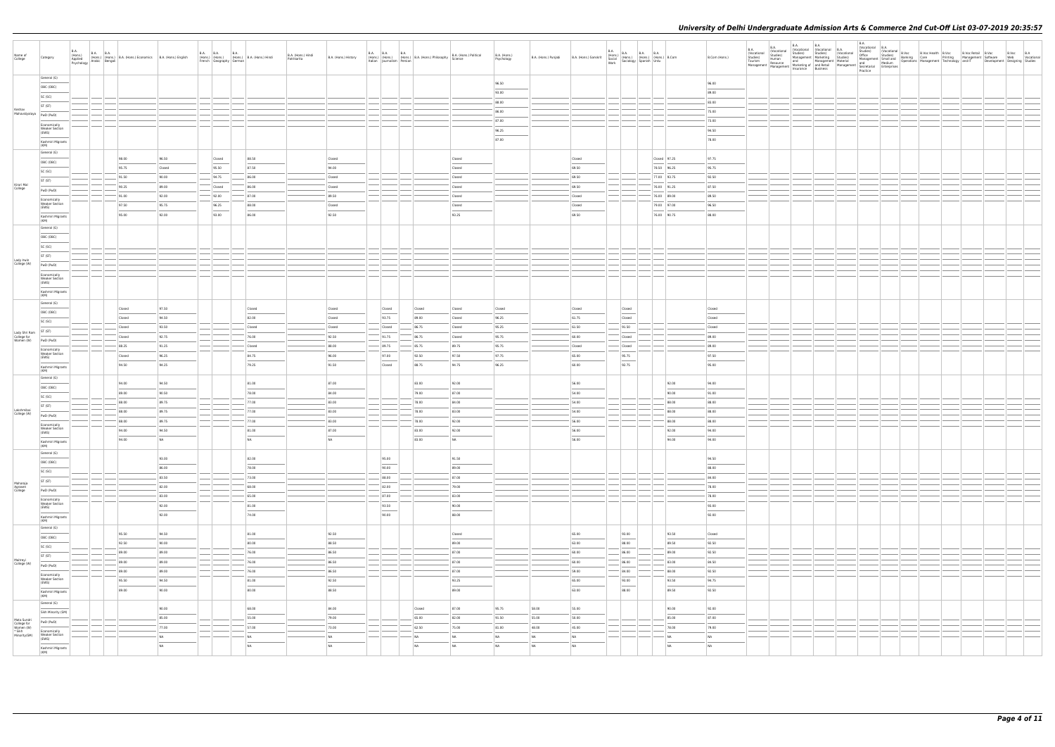| Name of<br>College                                 | Category                                       | <b>B.A.</b><br>(Hons.)<br>Applied<br>Psychology Arabic Bengali | B.A. B.A. (Hons.) B.A. (Hons.) Economics B.A. (Hons.) English |        | <b>B.A. B.A.</b> | <b>B.A.</b><br>French Geography German | (Hons.) (Hons.) (Hons.) B.A. (Hons.) Hindi | B.A. (Hons.) Hindi<br>Patrikarita | B.A. (Hons.) History | <b>B.A. B.A. B.A.</b><br>Italian Journalism Persian                                                                                                                                                                                                                                                                                                                                                                                                                                 | (Hons.) (Hons.) (Hons.) B.A. (Hons.) Philosophy | B.A. (Hons.) Political<br>Science                                                                                                                                                                                                                                                                                                                                                                                                                                                   | B.A. (Hons.)<br>Psychology | B.A. (Hons.) Punjabi | B.A. (Hons.) Sanskrit |                                    | B.A. (Hons.) B.A. B.A. B.A. (Hons.) B.Com<br>Social (Hons.) (Hons.) (Hons.) B.Com<br>Work Sociology Spanish Urdu |             | B.Com (Hons.)  |  |  |  |  |  |  |
|----------------------------------------------------|------------------------------------------------|----------------------------------------------------------------|---------------------------------------------------------------|--------|------------------|----------------------------------------|--------------------------------------------|-----------------------------------|----------------------|-------------------------------------------------------------------------------------------------------------------------------------------------------------------------------------------------------------------------------------------------------------------------------------------------------------------------------------------------------------------------------------------------------------------------------------------------------------------------------------|-------------------------------------------------|-------------------------------------------------------------------------------------------------------------------------------------------------------------------------------------------------------------------------------------------------------------------------------------------------------------------------------------------------------------------------------------------------------------------------------------------------------------------------------------|----------------------------|----------------------|-----------------------|------------------------------------|------------------------------------------------------------------------------------------------------------------|-------------|----------------|--|--|--|--|--|--|
|                                                    | General (G)                                    |                                                                |                                                               |        |                  |                                        |                                            |                                   |                      |                                                                                                                                                                                                                                                                                                                                                                                                                                                                                     |                                                 |                                                                                                                                                                                                                                                                                                                                                                                                                                                                                     | 96.50                      |                      |                       |                                    |                                                                                                                  |             | 96.00          |  |  |  |  |  |  |
|                                                    | OBC (OBC)                                      |                                                                |                                                               |        |                  |                                        |                                            |                                   |                      |                                                                                                                                                                                                                                                                                                                                                                                                                                                                                     |                                                 |                                                                                                                                                                                                                                                                                                                                                                                                                                                                                     | 93.00                      |                      |                       |                                    |                                                                                                                  |             | 89.00          |  |  |  |  |  |  |
|                                                    | SC (SC)                                        |                                                                |                                                               |        |                  |                                        |                                            |                                   |                      |                                                                                                                                                                                                                                                                                                                                                                                                                                                                                     |                                                 |                                                                                                                                                                                                                                                                                                                                                                                                                                                                                     | 88.00                      |                      |                       |                                    |                                                                                                                  |             | 83.00          |  |  |  |  |  |  |
| Keshav                                             | ST (ST)                                        |                                                                |                                                               |        |                  |                                        |                                            |                                   |                      |                                                                                                                                                                                                                                                                                                                                                                                                                                                                                     |                                                 |                                                                                                                                                                                                                                                                                                                                                                                                                                                                                     | 86.00                      |                      |                       |                                    |                                                                                                                  |             | 75.00          |  |  |  |  |  |  |
| Mahavidyalaya                                      | PwD (PwD)                                      |                                                                |                                                               |        |                  |                                        |                                            |                                   |                      |                                                                                                                                                                                                                                                                                                                                                                                                                                                                                     |                                                 |                                                                                                                                                                                                                                                                                                                                                                                                                                                                                     | 87.00                      |                      |                       |                                    |                                                                                                                  |             | 73.00          |  |  |  |  |  |  |
|                                                    | Economically<br><b>Weaker Section</b>          |                                                                |                                                               |        |                  |                                        |                                            |                                   |                      |                                                                                                                                                                                                                                                                                                                                                                                                                                                                                     |                                                 |                                                                                                                                                                                                                                                                                                                                                                                                                                                                                     |                            |                      |                       |                                    |                                                                                                                  |             |                |  |  |  |  |  |  |
|                                                    | (EWS)                                          |                                                                |                                                               |        |                  |                                        |                                            |                                   |                      |                                                                                                                                                                                                                                                                                                                                                                                                                                                                                     |                                                 |                                                                                                                                                                                                                                                                                                                                                                                                                                                                                     | 96.25                      |                      |                       |                                    |                                                                                                                  |             | 94.50          |  |  |  |  |  |  |
|                                                    | Kashmiri Migrants<br>(KM)                      |                                                                |                                                               |        |                  |                                        |                                            |                                   |                      |                                                                                                                                                                                                                                                                                                                                                                                                                                                                                     |                                                 |                                                                                                                                                                                                                                                                                                                                                                                                                                                                                     | 87.00                      |                      |                       |                                    |                                                                                                                  |             | 78.00          |  |  |  |  |  |  |
|                                                    | General (G)                                    |                                                                |                                                               |        |                  |                                        |                                            |                                   |                      |                                                                                                                                                                                                                                                                                                                                                                                                                                                                                     |                                                 |                                                                                                                                                                                                                                                                                                                                                                                                                                                                                     |                            |                      |                       |                                    |                                                                                                                  |             |                |  |  |  |  |  |  |
|                                                    | OBC (OBC)                                      |                                                                | 98.00                                                         | 96.50  |                  | Closed                                 | 88.50                                      |                                   | Closed               |                                                                                                                                                                                                                                                                                                                                                                                                                                                                                     |                                                 | Closed                                                                                                                                                                                                                                                                                                                                                                                                                                                                              |                            |                      | Closed                |                                    | Closed 97.25                                                                                                     |             | 97.75          |  |  |  |  |  |  |
|                                                    | SC (SC)                                        |                                                                | 95.75                                                         | Closed |                  | 95.50                                  | 87.50                                      |                                   | 94.00                |                                                                                                                                                                                                                                                                                                                                                                                                                                                                                     |                                                 | Closed                                                                                                                                                                                                                                                                                                                                                                                                                                                                              |                            |                      | 69.50                 |                                    |                                                                                                                  | 78.50 96.25 | 95.75          |  |  |  |  |  |  |
|                                                    | ST (ST)                                        |                                                                | 91.50                                                         | 90.00  |                  | 94.75                                  | 86.00                                      |                                   | Closed               |                                                                                                                                                                                                                                                                                                                                                                                                                                                                                     |                                                 | Closed                                                                                                                                                                                                                                                                                                                                                                                                                                                                              |                            |                      | 69.50                 |                                    |                                                                                                                  | 77.00 93.75 | 92.50          |  |  |  |  |  |  |
| Kirori Mal<br>College                              | PwD (PwD)                                      |                                                                | 90.25                                                         | 89.00  |                  | Closed                                 | 86.00                                      |                                   | Closed               |                                                                                                                                                                                                                                                                                                                                                                                                                                                                                     |                                                 | Closed                                                                                                                                                                                                                                                                                                                                                                                                                                                                              |                            |                      | 69.50                 |                                    |                                                                                                                  | 76.00 91.25 | 87.50          |  |  |  |  |  |  |
|                                                    | Economically                                   |                                                                | 91.00                                                         | 92.00  |                  | 92.00                                  | 87.00                                      |                                   | 89.50                |                                                                                                                                                                                                                                                                                                                                                                                                                                                                                     |                                                 | Closed                                                                                                                                                                                                                                                                                                                                                                                                                                                                              |                            |                      | Closed                |                                    |                                                                                                                  | 76.00 89.00 | 89.50          |  |  |  |  |  |  |
|                                                    | <b>Weaker Section</b><br>(EWS)                 |                                                                | 97.50                                                         | 95.75  |                  | 96.25                                  | 88.00                                      |                                   | Closed               |                                                                                                                                                                                                                                                                                                                                                                                                                                                                                     |                                                 | Closed                                                                                                                                                                                                                                                                                                                                                                                                                                                                              |                            |                      | Closed                |                                    |                                                                                                                  | 79.00 97.00 | 96.50          |  |  |  |  |  |  |
|                                                    | Kashmiri Migrants<br>(KM)                      |                                                                | 95.00                                                         | 92.00  |                  | 93.00                                  | 86.00                                      |                                   | 92.50                |                                                                                                                                                                                                                                                                                                                                                                                                                                                                                     |                                                 | 93.25                                                                                                                                                                                                                                                                                                                                                                                                                                                                               |                            |                      | 69.50                 |                                    |                                                                                                                  | 76.00 90.75 | 88.00          |  |  |  |  |  |  |
|                                                    | General (G)                                    |                                                                |                                                               |        |                  |                                        |                                            |                                   |                      |                                                                                                                                                                                                                                                                                                                                                                                                                                                                                     |                                                 |                                                                                                                                                                                                                                                                                                                                                                                                                                                                                     |                            |                      |                       |                                    |                                                                                                                  |             |                |  |  |  |  |  |  |
|                                                    | OBC (OBC)                                      |                                                                |                                                               |        |                  |                                        |                                            |                                   |                      |                                                                                                                                                                                                                                                                                                                                                                                                                                                                                     |                                                 |                                                                                                                                                                                                                                                                                                                                                                                                                                                                                     |                            |                      |                       |                                    |                                                                                                                  |             |                |  |  |  |  |  |  |
|                                                    | SC (SC)                                        |                                                                |                                                               |        |                  |                                        |                                            |                                   |                      |                                                                                                                                                                                                                                                                                                                                                                                                                                                                                     |                                                 |                                                                                                                                                                                                                                                                                                                                                                                                                                                                                     |                            |                      |                       |                                    |                                                                                                                  |             |                |  |  |  |  |  |  |
|                                                    | ST (ST)                                        |                                                                |                                                               |        |                  |                                        |                                            |                                   |                      |                                                                                                                                                                                                                                                                                                                                                                                                                                                                                     |                                                 |                                                                                                                                                                                                                                                                                                                                                                                                                                                                                     |                            |                      |                       |                                    |                                                                                                                  |             |                |  |  |  |  |  |  |
| Lady Irwin<br>College (W)                          | PwD (PwD)                                      |                                                                |                                                               |        |                  |                                        |                                            |                                   |                      |                                                                                                                                                                                                                                                                                                                                                                                                                                                                                     |                                                 |                                                                                                                                                                                                                                                                                                                                                                                                                                                                                     |                            |                      |                       |                                    |                                                                                                                  |             |                |  |  |  |  |  |  |
|                                                    | Economically                                   |                                                                |                                                               |        |                  |                                        |                                            |                                   |                      |                                                                                                                                                                                                                                                                                                                                                                                                                                                                                     |                                                 |                                                                                                                                                                                                                                                                                                                                                                                                                                                                                     |                            |                      |                       |                                    |                                                                                                                  |             |                |  |  |  |  |  |  |
|                                                    | <b>Weaker Section</b><br>(EWS)                 |                                                                |                                                               |        |                  |                                        |                                            |                                   |                      |                                                                                                                                                                                                                                                                                                                                                                                                                                                                                     |                                                 |                                                                                                                                                                                                                                                                                                                                                                                                                                                                                     |                            |                      |                       |                                    |                                                                                                                  |             |                |  |  |  |  |  |  |
|                                                    | Kashmiri Migrants                              |                                                                |                                                               |        |                  |                                        |                                            |                                   |                      |                                                                                                                                                                                                                                                                                                                                                                                                                                                                                     |                                                 |                                                                                                                                                                                                                                                                                                                                                                                                                                                                                     |                            |                      |                       |                                    |                                                                                                                  |             |                |  |  |  |  |  |  |
|                                                    | (KM)<br>General (G)                            |                                                                |                                                               |        |                  |                                        |                                            |                                   |                      |                                                                                                                                                                                                                                                                                                                                                                                                                                                                                     |                                                 |                                                                                                                                                                                                                                                                                                                                                                                                                                                                                     |                            |                      |                       |                                    |                                                                                                                  |             |                |  |  |  |  |  |  |
|                                                    | OBC (OBC)                                      |                                                                | Closed                                                        | 97.50  |                  |                                        | Closed                                     |                                   | Closed               | Closed                                                                                                                                                                                                                                                                                                                                                                                                                                                                              | Closed                                          | Closed                                                                                                                                                                                                                                                                                                                                                                                                                                                                              | Closed                     |                      | Closed                | Closed                             |                                                                                                                  |             | Closed         |  |  |  |  |  |  |
|                                                    | SC (SC)                                        |                                                                | Closed                                                        | 94.50  |                  |                                        | 82.00                                      |                                   | Closed               | 93.75                                                                                                                                                                                                                                                                                                                                                                                                                                                                               | 89.00                                           | Closed                                                                                                                                                                                                                                                                                                                                                                                                                                                                              | 96.25                      |                      | 61.75                 | $\overline{\phantom{a}}$<br>Closed |                                                                                                                  |             | Closed         |  |  |  |  |  |  |
|                                                    |                                                |                                                                | Closed                                                        | 93.50  |                  |                                        | Closed                                     |                                   | Closed               | Closed                                                                                                                                                                                                                                                                                                                                                                                                                                                                              | 86.75                                           | Closed                                                                                                                                                                                                                                                                                                                                                                                                                                                                              | 95.25                      |                      | 61.50                 | 91.50                              |                                                                                                                  |             | Closed         |  |  |  |  |  |  |
| Lady Shri Ram<br>College for                       | ST (ST)<br>PwD (PwD)                           |                                                                | Closed                                                        | 92.75  |                  |                                        | 76.00                                      |                                   | 92.50                | 91.75                                                                                                                                                                                                                                                                                                                                                                                                                                                                               | 86.75                                           | Closed                                                                                                                                                                                                                                                                                                                                                                                                                                                                              | 95.75                      |                      | 60.00                 | Closed                             |                                                                                                                  |             | 89.00          |  |  |  |  |  |  |
| Women (W)                                          |                                                |                                                                | 88.25                                                         | 91.25  |                  |                                        | Closed                                     |                                   | 88.00                | 89.75                                                                                                                                                                                                                                                                                                                                                                                                                                                                               | 85.75                                           | 89.75                                                                                                                                                                                                                                                                                                                                                                                                                                                                               | 95.75                      |                      | Closed                | Closed                             |                                                                                                                  |             | 89.00          |  |  |  |  |  |  |
|                                                    | Economically<br><b>Weaker Section</b><br>(EWS) |                                                                | Closed                                                        | 96.25  |                  |                                        | 84.75                                      |                                   | 96.00                | 97.00                                                                                                                                                                                                                                                                                                                                                                                                                                                                               | 92.50                                           | 97.50                                                                                                                                                                                                                                                                                                                                                                                                                                                                               | 97.75                      |                      | 65.00                 | 95.75                              |                                                                                                                  |             | 97.50          |  |  |  |  |  |  |
|                                                    | Kashmiri Migrants                              |                                                                | 94.50                                                         | 94.25  |                  |                                        | 79.25                                      |                                   | 91.50                | Closed                                                                                                                                                                                                                                                                                                                                                                                                                                                                              | 88.75                                           | 94.75                                                                                                                                                                                                                                                                                                                                                                                                                                                                               | 96.25                      |                      | 60.00                 | $\sim$<br>92.75                    |                                                                                                                  |             | 95.00          |  |  |  |  |  |  |
|                                                    | (KM)                                           |                                                                |                                                               |        |                  |                                        |                                            |                                   |                      |                                                                                                                                                                                                                                                                                                                                                                                                                                                                                     |                                                 |                                                                                                                                                                                                                                                                                                                                                                                                                                                                                     |                            |                      |                       |                                    |                                                                                                                  |             |                |  |  |  |  |  |  |
|                                                    | General (G)                                    |                                                                | 94.00                                                         | 94.50  |                  |                                        | 81.00                                      |                                   | 87.00                |                                                                                                                                                                                                                                                                                                                                                                                                                                                                                     | 83.00                                           | 92.00                                                                                                                                                                                                                                                                                                                                                                                                                                                                               |                            |                      | 56.00                 |                                    |                                                                                                                  | 92.00       | 94.00          |  |  |  |  |  |  |
|                                                    | OBC (OBC)                                      |                                                                | 89.00                                                         | 90.50  |                  |                                        | 78.00                                      |                                   | 84.00                |                                                                                                                                                                                                                                                                                                                                                                                                                                                                                     | 79.00                                           | 87.00                                                                                                                                                                                                                                                                                                                                                                                                                                                                               |                            |                      | 54.00                 |                                    |                                                                                                                  | 90.00       | 91.00          |  |  |  |  |  |  |
|                                                    | SC (SC)                                        |                                                                | 88.00                                                         | 89.75  |                  |                                        | 77.00                                      |                                   | 83.00                |                                                                                                                                                                                                                                                                                                                                                                                                                                                                                     | 78.00                                           | 84.00                                                                                                                                                                                                                                                                                                                                                                                                                                                                               |                            |                      | 54.00                 |                                    |                                                                                                                  | 88.00       | 88.00          |  |  |  |  |  |  |
| Lakshmibai<br>College (W)                          | ST (ST)                                        |                                                                | 88.00                                                         | 89.75  |                  |                                        | 77.00                                      |                                   | 83.00                |                                                                                                                                                                                                                                                                                                                                                                                                                                                                                     | 78.00                                           | 83.00                                                                                                                                                                                                                                                                                                                                                                                                                                                                               |                            |                      | 54.00                 |                                    |                                                                                                                  | 88.00       | 88.00          |  |  |  |  |  |  |
|                                                    | PwD (PwD)                                      |                                                                | 88.00                                                         | 89.75  |                  |                                        | 77.00                                      |                                   | 83.00                |                                                                                                                                                                                                                                                                                                                                                                                                                                                                                     | 78.00                                           | 92.00                                                                                                                                                                                                                                                                                                                                                                                                                                                                               |                            |                      | 56.00                 |                                    |                                                                                                                  | 88.00       | 88.00          |  |  |  |  |  |  |
|                                                    | Economically<br><b>Weaker Section</b><br>(EWS) |                                                                | 94.00                                                         | 94.50  |                  |                                        | 81.00                                      |                                   | 87.00                |                                                                                                                                                                                                                                                                                                                                                                                                                                                                                     | 83.00                                           | 92.00                                                                                                                                                                                                                                                                                                                                                                                                                                                                               |                            |                      | 56.00                 |                                    |                                                                                                                  | 92.00       | 94.00          |  |  |  |  |  |  |
|                                                    | Kashmiri Migrants                              |                                                                | 94.00                                                         | NA     |                  |                                        | NA                                         |                                   | NA                   |                                                                                                                                                                                                                                                                                                                                                                                                                                                                                     | 83.00                                           | NA                                                                                                                                                                                                                                                                                                                                                                                                                                                                                  |                            |                      | 56.00                 |                                    |                                                                                                                  | 94.00       | 94.00          |  |  |  |  |  |  |
|                                                    | (KM)<br>General (G)                            |                                                                |                                                               |        |                  |                                        |                                            |                                   |                      |                                                                                                                                                                                                                                                                                                                                                                                                                                                                                     |                                                 |                                                                                                                                                                                                                                                                                                                                                                                                                                                                                     |                            |                      |                       |                                    |                                                                                                                  |             |                |  |  |  |  |  |  |
|                                                    | OBC (OBC)                                      |                                                                |                                                               | 93.00  |                  |                                        | 82.00                                      |                                   |                      | 95.00                                                                                                                                                                                                                                                                                                                                                                                                                                                                               |                                                 | 91.50                                                                                                                                                                                                                                                                                                                                                                                                                                                                               |                            |                      |                       |                                    |                                                                                                                  |             | 94.50          |  |  |  |  |  |  |
|                                                    | SC (SC)                                        |                                                                |                                                               | 86.00  |                  |                                        | 78.00                                      |                                   |                      | 90.00                                                                                                                                                                                                                                                                                                                                                                                                                                                                               |                                                 | 89.00                                                                                                                                                                                                                                                                                                                                                                                                                                                                               |                            |                      |                       |                                    |                                                                                                                  |             | 88.00          |  |  |  |  |  |  |
|                                                    | ST (ST)                                        | $\sim$                                                         |                                                               | 83.50  |                  |                                        | 73.00                                      |                                   |                      | 88.00                                                                                                                                                                                                                                                                                                                                                                                                                                                                               |                                                 | 87.00                                                                                                                                                                                                                                                                                                                                                                                                                                                                               |                            |                      |                       |                                    |                                                                                                                  |             | 84.00          |  |  |  |  |  |  |
| Maharaja<br>Agrasen<br>College                     | PwD (PwD)                                      |                                                                |                                                               | 82.00  |                  |                                        | 68.00                                      |                                   |                      | 82.00                                                                                                                                                                                                                                                                                                                                                                                                                                                                               |                                                 | 79.00                                                                                                                                                                                                                                                                                                                                                                                                                                                                               |                            |                      |                       |                                    |                                                                                                                  |             | 78.00          |  |  |  |  |  |  |
|                                                    |                                                |                                                                |                                                               | 83.00  |                  |                                        | 65.00                                      |                                   |                      | 87.00                                                                                                                                                                                                                                                                                                                                                                                                                                                                               |                                                 | 83.00                                                                                                                                                                                                                                                                                                                                                                                                                                                                               |                            |                      |                       |                                    |                                                                                                                  |             | 78.00          |  |  |  |  |  |  |
|                                                    | Economically<br><b>Weaker Section</b><br>(EWS) |                                                                |                                                               | 92.00  |                  |                                        | 81.00                                      |                                   |                      | 93.50                                                                                                                                                                                                                                                                                                                                                                                                                                                                               |                                                 | 90.00                                                                                                                                                                                                                                                                                                                                                                                                                                                                               |                            |                      |                       |                                    |                                                                                                                  |             | 93.00          |  |  |  |  |  |  |
|                                                    | Kashmiri Migrants                              |                                                                |                                                               | 92.00  |                  |                                        | 74.00                                      |                                   |                      | $\frac{1}{2} \left( \frac{1}{2} \right) \left( \frac{1}{2} \right) \left( \frac{1}{2} \right) \left( \frac{1}{2} \right) \left( \frac{1}{2} \right) \left( \frac{1}{2} \right) \left( \frac{1}{2} \right) \left( \frac{1}{2} \right) \left( \frac{1}{2} \right) \left( \frac{1}{2} \right) \left( \frac{1}{2} \right) \left( \frac{1}{2} \right) \left( \frac{1}{2} \right) \left( \frac{1}{2} \right) \left( \frac{1}{2} \right) \left( \frac{1}{2} \right) \left( \frac$<br>90.00 |                                                 | $\frac{1}{2} \left( \frac{1}{2} \right) \left( \frac{1}{2} \right) \left( \frac{1}{2} \right) \left( \frac{1}{2} \right) \left( \frac{1}{2} \right) \left( \frac{1}{2} \right) \left( \frac{1}{2} \right) \left( \frac{1}{2} \right) \left( \frac{1}{2} \right) \left( \frac{1}{2} \right) \left( \frac{1}{2} \right) \left( \frac{1}{2} \right) \left( \frac{1}{2} \right) \left( \frac{1}{2} \right) \left( \frac{1}{2} \right) \left( \frac{1}{2} \right) \left( \frac$<br>88.00 |                            |                      |                       |                                    |                                                                                                                  |             | 92.00          |  |  |  |  |  |  |
|                                                    | (KM)<br>General (G)                            |                                                                |                                                               |        |                  |                                        |                                            |                                   |                      |                                                                                                                                                                                                                                                                                                                                                                                                                                                                                     |                                                 |                                                                                                                                                                                                                                                                                                                                                                                                                                                                                     |                            |                      |                       |                                    |                                                                                                                  |             |                |  |  |  |  |  |  |
|                                                    | OBC (OBC)                                      |                                                                | 95.50                                                         | 94.50  |                  |                                        | 81.00                                      |                                   | 92.50                |                                                                                                                                                                                                                                                                                                                                                                                                                                                                                     |                                                 | Closed                                                                                                                                                                                                                                                                                                                                                                                                                                                                              |                            |                      | 65.00                 | 93.00                              |                                                                                                                  | 93.50       | Closed         |  |  |  |  |  |  |
|                                                    | SC (SC)                                        |                                                                | 92.50                                                         | 90.00  |                  |                                        | 80.00                                      |                                   | 88.50                |                                                                                                                                                                                                                                                                                                                                                                                                                                                                                     |                                                 | 89.00                                                                                                                                                                                                                                                                                                                                                                                                                                                                               |                            |                      | 63.00                 | $\sim$<br>88.00                    |                                                                                                                  | 89.50       | 92.50          |  |  |  |  |  |  |
|                                                    |                                                |                                                                | 89.00                                                         | 89.00  |                  |                                        | 76.00                                      |                                   | 86.50                |                                                                                                                                                                                                                                                                                                                                                                                                                                                                                     |                                                 | 87.00                                                                                                                                                                                                                                                                                                                                                                                                                                                                               |                            |                      | 60.00                 | 86.00                              |                                                                                                                  | 89.00       | 92.50          |  |  |  |  |  |  |
| Maitreyi<br>College (W)                            | ST (ST)                                        |                                                                | 89.00                                                         | 89.00  |                  |                                        | 76.00                                      |                                   | 86.50                |                                                                                                                                                                                                                                                                                                                                                                                                                                                                                     |                                                 | 87.00                                                                                                                                                                                                                                                                                                                                                                                                                                                                               |                            |                      | 60.00                 | 86.00                              |                                                                                                                  | 83.00       | 84.50          |  |  |  |  |  |  |
|                                                    | PwD (PwD)                                      |                                                                | 89.00                                                         | 89.00  |                  |                                        | 76.00                                      |                                   | 86.50                |                                                                                                                                                                                                                                                                                                                                                                                                                                                                                     |                                                 | 87.00                                                                                                                                                                                                                                                                                                                                                                                                                                                                               |                            |                      | 59.00                 | 84.00                              |                                                                                                                  | 88.00       | 92.50          |  |  |  |  |  |  |
|                                                    | Economically<br><b>Weaker Section</b><br>(EWS) |                                                                | 95.50                                                         | 94.50  |                  |                                        | 81.00                                      |                                   | 92.50                |                                                                                                                                                                                                                                                                                                                                                                                                                                                                                     |                                                 | 93.25                                                                                                                                                                                                                                                                                                                                                                                                                                                                               |                            |                      | 65.00                 | 93.00                              |                                                                                                                  | 93.50       | 94.75          |  |  |  |  |  |  |
|                                                    |                                                |                                                                | 89.00                                                         | 90.00  |                  |                                        | 80.00                                      |                                   | 88.50                |                                                                                                                                                                                                                                                                                                                                                                                                                                                                                     |                                                 | 89.00                                                                                                                                                                                                                                                                                                                                                                                                                                                                               |                            |                      | 63.00                 | 88.00                              |                                                                                                                  | 89.50       | 92.50          |  |  |  |  |  |  |
|                                                    | Kashmiri Migrants<br>(KM)                      |                                                                |                                                               |        |                  |                                        |                                            |                                   |                      |                                                                                                                                                                                                                                                                                                                                                                                                                                                                                     |                                                 |                                                                                                                                                                                                                                                                                                                                                                                                                                                                                     |                            |                      |                       |                                    |                                                                                                                  |             |                |  |  |  |  |  |  |
|                                                    | General (G)                                    |                                                                |                                                               | 90.00  |                  |                                        | 68.00                                      |                                   | 84.00                |                                                                                                                                                                                                                                                                                                                                                                                                                                                                                     | Closed                                          | 87.00                                                                                                                                                                                                                                                                                                                                                                                                                                                                               | 95.75                      | 58.00                | 55.00                 |                                    |                                                                                                                  | 90.00       | 92.00          |  |  |  |  |  |  |
|                                                    | Sikh Minority (SM)                             |                                                                |                                                               | 85.00  |                  |                                        | 55.00                                      |                                   | 79.00                |                                                                                                                                                                                                                                                                                                                                                                                                                                                                                     | 65.00                                           | 82.00                                                                                                                                                                                                                                                                                                                                                                                                                                                                               | 91.50                      | 55.00                | 50.00                 |                                    |                                                                                                                  | 85.00       | 87.00          |  |  |  |  |  |  |
| Mata Sundri                                        | PwD (PwD)                                      |                                                                |                                                               | 77.00  |                  |                                        | 57.00                                      |                                   | 73.00                |                                                                                                                                                                                                                                                                                                                                                                                                                                                                                     | 62.50                                           | 75.00                                                                                                                                                                                                                                                                                                                                                                                                                                                                               | 81.00                      | 48.00                | 45.00                 |                                    |                                                                                                                  | 78.00       | 79.00          |  |  |  |  |  |  |
| College for<br>Women (W)<br>* Sikh<br>Minority(SM) | Economically<br><b>Weaker Section</b>          |                                                                |                                                               | NA     |                  |                                        | NA                                         |                                   | NA                   |                                                                                                                                                                                                                                                                                                                                                                                                                                                                                     | <b>NA</b>                                       | NA                                                                                                                                                                                                                                                                                                                                                                                                                                                                                  | NA                         | N <sub>A</sub>       | <b>NA</b>             |                                    |                                                                                                                  | NA          | N <sub>A</sub> |  |  |  |  |  |  |
|                                                    | (EWS)                                          |                                                                |                                                               | NA     |                  |                                        | NA                                         |                                   | NA                   |                                                                                                                                                                                                                                                                                                                                                                                                                                                                                     | NA                                              | NA                                                                                                                                                                                                                                                                                                                                                                                                                                                                                  | NA                         | NA                   | NA                    |                                    |                                                                                                                  | NA          | NA             |  |  |  |  |  |  |
|                                                    | Kashmiri Migrants<br>(KM)                      |                                                                |                                                               |        |                  |                                        |                                            |                                   |                      |                                                                                                                                                                                                                                                                                                                                                                                                                                                                                     |                                                 |                                                                                                                                                                                                                                                                                                                                                                                                                                                                                     |                            |                      |                       |                                    |                                                                                                                  |             |                |  |  |  |  |  |  |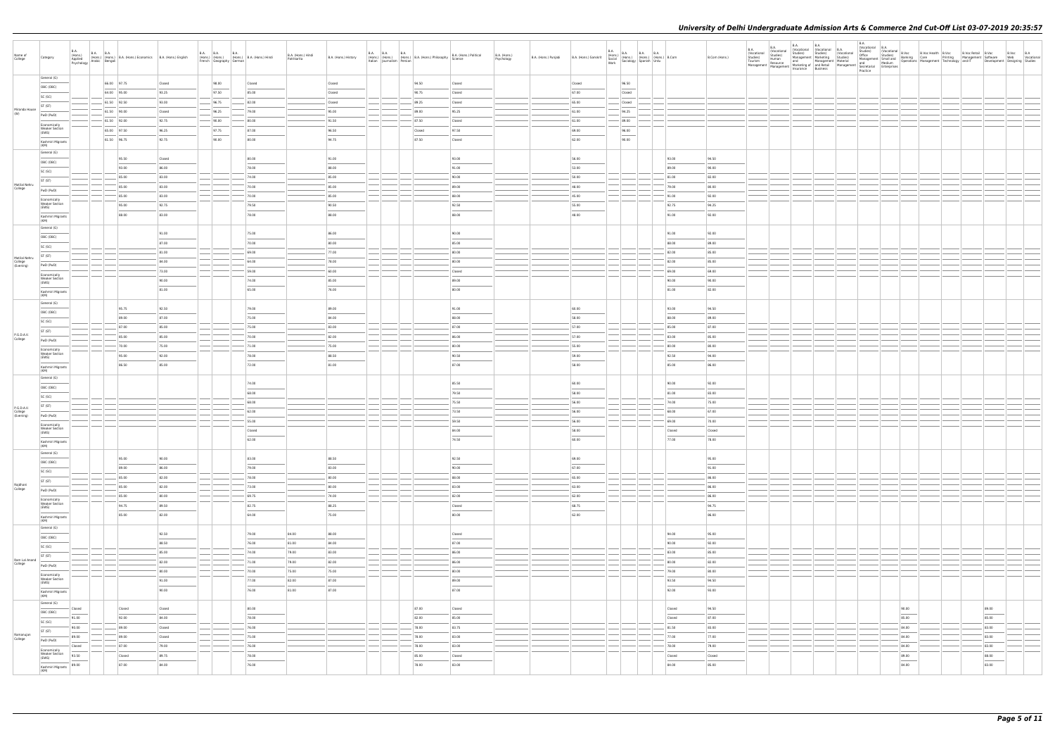| Name of<br>College                 | Category                                       | B.A.                       | B.A. (Hons.) B.A. B.A. (Hons.) B.A. (Hons.) Economics B.A. (Hons.) English Applied (Hons.) English B.A. (Hons.) English Psychology Arabic Bengali |                |               | B.A. B.A. B.A. (Hons.)<br>(Hons.) (Hons.) (Hons.) B.A. (Hons.) Hindi<br>French Geography German | B.A. (Hons.) Hindi<br>Patrikarita | B.A. (Hons.) History | B.A. B.A. B.A. B.A. (Hons.) B.A. (Hons.) Philosophy B.A. (Hons.) (Hons.) B.A. (Hons.) B.A. (Hons.) | B.A. (Hons.) Political                                                                                                                                                                                                                                                                                                                                                                                                                                                               | B.A. (Hons.)<br>Psychology | B.A. (Hons.) Punjabi | B.A. (Hons.) Sanskrit | <b>B.A.</b> |                 | B.A. (Hons.) B.A. B.A. B.A. (Hons.) B.Com<br>Social (Hons.) (Hons.) (Hons.) B.Com<br>Work Sociology Spanish Urdu |                | B.Com (Hons.)  |  |  | $\begin{array}{ c c c }\nB.A. & B.A. \\ \hline\n\end{array}$ |                 |                                                     |       |  |
|------------------------------------|------------------------------------------------|----------------------------|---------------------------------------------------------------------------------------------------------------------------------------------------|----------------|---------------|-------------------------------------------------------------------------------------------------|-----------------------------------|----------------------|----------------------------------------------------------------------------------------------------|--------------------------------------------------------------------------------------------------------------------------------------------------------------------------------------------------------------------------------------------------------------------------------------------------------------------------------------------------------------------------------------------------------------------------------------------------------------------------------------|----------------------------|----------------------|-----------------------|-------------|-----------------|------------------------------------------------------------------------------------------------------------------|----------------|----------------|--|--|--------------------------------------------------------------|-----------------|-----------------------------------------------------|-------|--|
|                                    | General (G)<br>OBC (OBC)                       |                            | 66.00 97.75                                                                                                                                       | Closed         | 98.00         | Closed                                                                                          |                                   | Closed               | 94.50                                                                                              | Closed                                                                                                                                                                                                                                                                                                                                                                                                                                                                               |                            |                      | Closed                |             | 96.50           |                                                                                                                  |                |                |  |  |                                                              |                 |                                                     |       |  |
|                                    | SC (SC)                                        |                            | 64.00 95.00                                                                                                                                       | 93.25          | 97.50         | 85.00                                                                                           |                                   | Closed               | 90.75                                                                                              | Closed                                                                                                                                                                                                                                                                                                                                                                                                                                                                               |                            |                      | 67.00                 |             | Closed          |                                                                                                                  |                |                |  |  |                                                              |                 |                                                     |       |  |
|                                    | ST (ST)                                        |                            | $61.50$ 92.50                                                                                                                                     | 93.00          | 96.75         | 82.00                                                                                           |                                   | Closed               | 89.25                                                                                              | Closed                                                                                                                                                                                                                                                                                                                                                                                                                                                                               |                            |                      | 65.00                 |             | Closed          |                                                                                                                  |                |                |  |  |                                                              |                 |                                                     |       |  |
| Miranda House<br>(W)               | PwD (PwD)                                      |                            | 61.50 90.00                                                                                                                                       | Closed         | 96.25         | 79.00                                                                                           |                                   | 95.00                | 89.00                                                                                              | 95.25                                                                                                                                                                                                                                                                                                                                                                                                                                                                                |                            |                      | 61.00                 |             | 94.25           |                                                                                                                  |                |                |  |  |                                                              |                 |                                                     |       |  |
|                                    | Economically                                   |                            | 61.50 92.00                                                                                                                                       | 92.75          | 90.00         | 80.00                                                                                           |                                   | 91.50                | 87.50                                                                                              | Closed                                                                                                                                                                                                                                                                                                                                                                                                                                                                               |                            |                      | 61.00                 |             | 89.00           |                                                                                                                  |                |                |  |  |                                                              |                 |                                                     |       |  |
|                                    | <b>Weaker Section</b><br>(EWS)                 |                            | 65.00 97.50                                                                                                                                       | 96.25          | 97.75         | 87.00                                                                                           |                                   | 96.50                | Closed                                                                                             | 97.50                                                                                                                                                                                                                                                                                                                                                                                                                                                                                |                            |                      | 69.00                 |             | 96.00<br>$\sim$ |                                                                                                                  |                |                |  |  |                                                              |                 |                                                     |       |  |
|                                    | Kashmiri Migrants                              |                            | 61.50 96.75                                                                                                                                       | 92.75          | 90.00         | 80.00                                                                                           |                                   | 94.75                | 87.50                                                                                              | Closed                                                                                                                                                                                                                                                                                                                                                                                                                                                                               |                            |                      | 62.00                 |             | 90.00           |                                                                                                                  |                |                |  |  |                                                              |                 |                                                     |       |  |
|                                    | (KM)<br>General (G)                            |                            |                                                                                                                                                   |                |               |                                                                                                 |                                   |                      |                                                                                                    |                                                                                                                                                                                                                                                                                                                                                                                                                                                                                      |                            |                      |                       |             |                 |                                                                                                                  |                |                |  |  |                                                              |                 |                                                     |       |  |
|                                    | OBC (OBC)                                      |                            | 95.50                                                                                                                                             | Closed         |               | 80.00                                                                                           |                                   | 91.00                |                                                                                                    | 93.00                                                                                                                                                                                                                                                                                                                                                                                                                                                                                |                            |                      | 56.00                 |             |                 |                                                                                                                  | 93.00          | 94.50          |  |  |                                                              |                 |                                                     |       |  |
|                                    | SC (SC)                                        |                            | 93.00                                                                                                                                             | 86.00          |               | 78.00                                                                                           |                                   | 88.00                |                                                                                                    | 91.00                                                                                                                                                                                                                                                                                                                                                                                                                                                                                |                            |                      | 53.00                 |             |                 |                                                                                                                  | 89.00          | 90.00          |  |  |                                                              |                 |                                                     |       |  |
|                                    | ST (ST)                                        |                            | 85.00                                                                                                                                             | 83.00          |               | 74.00                                                                                           |                                   | 85.00                |                                                                                                    | 90.00                                                                                                                                                                                                                                                                                                                                                                                                                                                                                |                            |                      | 50.00                 |             |                 |                                                                                                                  | 81.00          | 82.00          |  |  |                                                              |                 |                                                     |       |  |
| Motilal Nehru<br>College           | PwD (PwD)                                      |                            | 85.00                                                                                                                                             | 83.00          |               | 70.00                                                                                           |                                   | 85.00                |                                                                                                    | 89.00                                                                                                                                                                                                                                                                                                                                                                                                                                                                                |                            |                      | 48.00                 |             |                 |                                                                                                                  | 79.00          | 80.00          |  |  |                                                              |                 |                                                     |       |  |
|                                    | Economically                                   |                            | 85.00                                                                                                                                             | 83.00          |               | 70.00                                                                                           |                                   | 85.00                |                                                                                                    | 88.00                                                                                                                                                                                                                                                                                                                                                                                                                                                                                |                            |                      | 45.00                 |             |                 |                                                                                                                  | 91.00          | 92.00          |  |  |                                                              |                 |                                                     |       |  |
|                                    | <b>Weaker Section</b><br>(EWS)                 |                            | 95.00                                                                                                                                             | 92.75          |               | 79.50                                                                                           |                                   | 90.50                |                                                                                                    | 92.50                                                                                                                                                                                                                                                                                                                                                                                                                                                                                |                            |                      | 55.00                 |             |                 |                                                                                                                  | 92.75          | 94.25          |  |  |                                                              |                 |                                                     |       |  |
|                                    | Kashmiri Migrants<br>(KM)                      |                            | 88.00                                                                                                                                             | 83.00          |               | 78.00                                                                                           |                                   | 88.00                |                                                                                                    | 88.00                                                                                                                                                                                                                                                                                                                                                                                                                                                                                |                            |                      | 48.00                 |             |                 |                                                                                                                  | 91.00          | 92.00          |  |  |                                                              |                 |                                                     |       |  |
|                                    | General (G)                                    |                            |                                                                                                                                                   |                |               |                                                                                                 |                                   |                      |                                                                                                    |                                                                                                                                                                                                                                                                                                                                                                                                                                                                                      |                            |                      |                       |             |                 |                                                                                                                  |                |                |  |  |                                                              |                 |                                                     |       |  |
|                                    | OBC (OBC)                                      |                            |                                                                                                                                                   | 91.00          |               | 75.00                                                                                           |                                   | 86.00                |                                                                                                    | 90.00                                                                                                                                                                                                                                                                                                                                                                                                                                                                                |                            |                      |                       |             |                 |                                                                                                                  | 91.00          | 92.00          |  |  |                                                              |                 |                                                     |       |  |
|                                    | SC (SC)                                        |                            |                                                                                                                                                   | 87.00          |               | 70.00                                                                                           |                                   | 80.00                |                                                                                                    | 85.00                                                                                                                                                                                                                                                                                                                                                                                                                                                                                |                            |                      |                       |             |                 |                                                                                                                  | 88.00          | 89.00          |  |  |                                                              |                 |                                                     |       |  |
| Motilal Nehru                      | ST (ST)                                        |                            |                                                                                                                                                   | 81.00          |               | 69.00                                                                                           |                                   | 77.00                |                                                                                                    | 80.00                                                                                                                                                                                                                                                                                                                                                                                                                                                                                |                            |                      |                       |             |                 |                                                                                                                  | 82.00          | 85.00          |  |  |                                                              |                 |                                                     |       |  |
| College<br>(Evening)               | PwD (PwD)                                      |                            |                                                                                                                                                   | 84.00          |               | 64.00                                                                                           |                                   | 78.00                |                                                                                                    | 80.00                                                                                                                                                                                                                                                                                                                                                                                                                                                                                |                            |                      |                       |             |                 |                                                                                                                  | 82.00          | 85.00          |  |  |                                                              |                 |                                                     |       |  |
|                                    | Economically<br><b>Weaker Section</b>          |                            |                                                                                                                                                   | 73.00          |               | 59.00                                                                                           |                                   | 60.00                |                                                                                                    | Closed                                                                                                                                                                                                                                                                                                                                                                                                                                                                               |                            |                      |                       |             |                 |                                                                                                                  | 69.00          | 69.00          |  |  |                                                              |                 |                                                     |       |  |
|                                    | (EWS)                                          |                            |                                                                                                                                                   | 90.00<br>81.00 |               | 74.00<br>65.00                                                                                  |                                   | 85.00<br>76.00       |                                                                                                    | 89.00<br>80.00                                                                                                                                                                                                                                                                                                                                                                                                                                                                       |                            |                      |                       |             |                 |                                                                                                                  | 90.00<br>81.00 | 90.00<br>82.00 |  |  |                                                              |                 |                                                     |       |  |
|                                    | Kashmiri Migrants<br>(KM)                      |                            |                                                                                                                                                   |                |               |                                                                                                 |                                   |                      |                                                                                                    |                                                                                                                                                                                                                                                                                                                                                                                                                                                                                      |                            |                      |                       |             |                 |                                                                                                                  |                |                |  |  |                                                              |                 |                                                     |       |  |
|                                    | General (G)                                    |                            | 95.75                                                                                                                                             | 92.50          |               | 79.00                                                                                           |                                   | 89.00                |                                                                                                    | 91.00                                                                                                                                                                                                                                                                                                                                                                                                                                                                                |                            |                      | 60.00                 |             |                 |                                                                                                                  | 93.00          | 94.50          |  |  |                                                              |                 |                                                     |       |  |
|                                    | OBC (OBC)                                      |                            | 89.00                                                                                                                                             | 87.00          |               | 75.00                                                                                           |                                   | 84.00                |                                                                                                    | 88.00                                                                                                                                                                                                                                                                                                                                                                                                                                                                                |                            |                      | 58.00                 |             |                 |                                                                                                                  | 88.00          | 89.00          |  |  |                                                              |                 |                                                     |       |  |
|                                    | SC (SC)                                        |                            | 87.00                                                                                                                                             | 85.00          |               | 75.00                                                                                           |                                   | 83.00                |                                                                                                    | 87.00                                                                                                                                                                                                                                                                                                                                                                                                                                                                                |                            |                      | 57.00                 |             |                 |                                                                                                                  | 85.00          | 87.00          |  |  |                                                              |                 |                                                     |       |  |
| P.G.D.A.V.                         | ST (ST)                                        |                            | 85.00                                                                                                                                             | 85.00          |               | 70.00                                                                                           |                                   | 82.00                |                                                                                                    | 86.00                                                                                                                                                                                                                                                                                                                                                                                                                                                                                |                            |                      | 57.00                 |             |                 |                                                                                                                  | 83.00          | 85.00          |  |  |                                                              |                 |                                                     |       |  |
| College                            | PwD (PwD)                                      |                            | 70.00                                                                                                                                             | 75.00          |               | 71.00                                                                                           |                                   | 75.00                |                                                                                                    | 80.00                                                                                                                                                                                                                                                                                                                                                                                                                                                                                |                            |                      | 55.00                 |             |                 |                                                                                                                  | 80.00          | 80.00          |  |  |                                                              |                 |                                                     |       |  |
|                                    | Economically<br><b>Weaker Section</b>          |                            | 95.00                                                                                                                                             | 92.00          |               | 78.00                                                                                           |                                   | 88.50                |                                                                                                    | 90.50                                                                                                                                                                                                                                                                                                                                                                                                                                                                                |                            |                      | 59.00                 |             |                 |                                                                                                                  | 92.50          | 94.00          |  |  |                                                              |                 |                                                     |       |  |
|                                    | (EWS)<br>Kashmiri Migrants                     |                            | 86.50                                                                                                                                             | 85.00          |               | 72.00                                                                                           |                                   | 81.00                |                                                                                                    | 87.00                                                                                                                                                                                                                                                                                                                                                                                                                                                                                |                            |                      | 58.00                 |             |                 |                                                                                                                  | 85.00          | 86.00          |  |  |                                                              |                 |                                                     |       |  |
|                                    | (KM)                                           |                            |                                                                                                                                                   |                |               |                                                                                                 |                                   |                      |                                                                                                    |                                                                                                                                                                                                                                                                                                                                                                                                                                                                                      |                            |                      |                       |             |                 |                                                                                                                  |                |                |  |  |                                                              |                 |                                                     |       |  |
|                                    | General (G)                                    |                            |                                                                                                                                                   |                |               | 74.00                                                                                           |                                   |                      |                                                                                                    | 85.50                                                                                                                                                                                                                                                                                                                                                                                                                                                                                |                            |                      | 60.00                 |             |                 |                                                                                                                  | 90.00          | 92.00          |  |  |                                                              |                 |                                                     |       |  |
|                                    | OBC (OBC)                                      |                            |                                                                                                                                                   |                |               | 68.00                                                                                           |                                   |                      |                                                                                                    | 79.50                                                                                                                                                                                                                                                                                                                                                                                                                                                                                |                            |                      | 58.00                 |             |                 |                                                                                                                  | 81.00          | 83.00          |  |  |                                                              |                 |                                                     |       |  |
|                                    | SC (SC)                                        |                            |                                                                                                                                                   |                |               | 68.00                                                                                           |                                   |                      |                                                                                                    | 75.50                                                                                                                                                                                                                                                                                                                                                                                                                                                                                |                            |                      | 56.00                 |             |                 |                                                                                                                  | 74.00          | 75.00          |  |  |                                                              |                 |                                                     |       |  |
| P.G.D.A.V.<br>College<br>(Evening) | ST (ST)<br>PwD (PwD)                           |                            |                                                                                                                                                   |                |               | 62.00                                                                                           |                                   |                      |                                                                                                    | 73.50                                                                                                                                                                                                                                                                                                                                                                                                                                                                                |                            |                      | 56.00                 |             |                 |                                                                                                                  | 68.00          | 67.00          |  |  |                                                              |                 |                                                     |       |  |
|                                    | Economically                                   |                            |                                                                                                                                                   |                |               | 55.00                                                                                           |                                   |                      |                                                                                                    | 59.50                                                                                                                                                                                                                                                                                                                                                                                                                                                                                |                            |                      | 56.00                 |             |                 |                                                                                                                  | 69.00          | 70.00          |  |  |                                                              |                 |                                                     |       |  |
|                                    | <b>Weaker Section</b><br>(EWS)                 |                            |                                                                                                                                                   |                |               | Closed                                                                                          |                                   |                      |                                                                                                    | 84.00                                                                                                                                                                                                                                                                                                                                                                                                                                                                                |                            |                      | 58.00                 |             |                 |                                                                                                                  | Closed         | Closed         |  |  |                                                              |                 |                                                     |       |  |
|                                    | Kashmiri Migrants                              |                            |                                                                                                                                                   |                |               | 62.00                                                                                           |                                   |                      |                                                                                                    | 74.50                                                                                                                                                                                                                                                                                                                                                                                                                                                                                |                            |                      | 60.00                 |             |                 |                                                                                                                  | 77.00          | 78.00          |  |  |                                                              |                 |                                                     |       |  |
|                                    | (KM)<br>General (G)                            |                            |                                                                                                                                                   |                |               |                                                                                                 |                                   |                      |                                                                                                    |                                                                                                                                                                                                                                                                                                                                                                                                                                                                                      |                            |                      |                       |             |                 |                                                                                                                  |                |                |  |  |                                                              |                 |                                                     |       |  |
|                                    | OBC (OBC)                                      |                            | 95.00                                                                                                                                             | 90.00          |               | 83.00                                                                                           |                                   | 88.50                |                                                                                                    | 92.50                                                                                                                                                                                                                                                                                                                                                                                                                                                                                |                            |                      | 69.00                 |             |                 |                                                                                                                  |                | 95.00          |  |  |                                                              |                 |                                                     |       |  |
|                                    | SC (SC)                                        |                            | 89.00                                                                                                                                             | 86.00          |               | 79.00                                                                                           |                                   | 83.00                |                                                                                                    | 90.00                                                                                                                                                                                                                                                                                                                                                                                                                                                                                |                            |                      | 67.00                 |             |                 |                                                                                                                  |                | 91.00          |  |  |                                                              |                 |                                                     |       |  |
|                                    | ST (ST)                                        |                            | 85.00                                                                                                                                             | 82.00          |               | 78.00                                                                                           |                                   | 80.00                | $ -$                                                                                               | 88.00                                                                                                                                                                                                                                                                                                                                                                                                                                                                                |                            |                      | 65.00                 |             |                 | ____                                                                                                             |                | 86.00          |  |  |                                                              |                 |                                                     |       |  |
| Rajdhani<br>College                | PwD (PwD)                                      |                            | 85.00                                                                                                                                             | 82.00          |               | 73.00                                                                                           |                                   | 80.00                |                                                                                                    | 83.00                                                                                                                                                                                                                                                                                                                                                                                                                                                                                |                            |                      | 63.00                 |             |                 |                                                                                                                  |                | 86.00          |  |  |                                                              |                 |                                                     |       |  |
|                                    | Economically<br><b>Weaker Section</b>          |                            | 85.00                                                                                                                                             | 80.00          |               | 69.75                                                                                           |                                   | 74.00                |                                                                                                    | 82.00                                                                                                                                                                                                                                                                                                                                                                                                                                                                                |                            |                      | 62.00                 |             |                 |                                                                                                                  |                | 86.00          |  |  |                                                              |                 |                                                     |       |  |
|                                    | (EWS)                                          |                            | 94.75                                                                                                                                             | 89.50          |               | 82.75                                                                                           |                                   | 88.25                |                                                                                                    | Closed<br>$\frac{1}{2} \left( \frac{1}{2} \right) \left( \frac{1}{2} \right) \left( \frac{1}{2} \right) \left( \frac{1}{2} \right) \left( \frac{1}{2} \right) \left( \frac{1}{2} \right) \left( \frac{1}{2} \right) \left( \frac{1}{2} \right) \left( \frac{1}{2} \right) \left( \frac{1}{2} \right) \left( \frac{1}{2} \right) \left( \frac{1}{2} \right) \left( \frac{1}{2} \right) \left( \frac{1}{2} \right) \left( \frac{1}{2} \right) \left( \frac{1}{2} \right) \left( \frac$ |                            |                      | 68.75                 |             |                 |                                                                                                                  |                | 94.75          |  |  |                                                              |                 |                                                     |       |  |
|                                    | Kashmiri Migrants<br>(KM)                      |                            | 85.00                                                                                                                                             | 82.00          |               | 64.00                                                                                           |                                   | 75.00                |                                                                                                    | 80.00                                                                                                                                                                                                                                                                                                                                                                                                                                                                                |                            |                      | 62.00                 |             |                 |                                                                                                                  |                | 86.00          |  |  |                                                              |                 |                                                     |       |  |
|                                    | General (G)                                    |                            |                                                                                                                                                   |                |               |                                                                                                 |                                   |                      |                                                                                                    |                                                                                                                                                                                                                                                                                                                                                                                                                                                                                      |                            |                      |                       |             |                 |                                                                                                                  |                |                |  |  |                                                              |                 |                                                     |       |  |
|                                    | OBC (OBC)                                      |                            |                                                                                                                                                   | 92.50          |               | 79.00                                                                                           | 84.00                             | 88.00                |                                                                                                    | Closed<br>$\frac{1}{2} \left( \frac{1}{2} \right) \left( \frac{1}{2} \right) \left( \frac{1}{2} \right) \left( \frac{1}{2} \right) \left( \frac{1}{2} \right) \left( \frac{1}{2} \right) \left( \frac{1}{2} \right) \left( \frac{1}{2} \right) \left( \frac{1}{2} \right) \left( \frac{1}{2} \right) \left( \frac{1}{2} \right) \left( \frac{1}{2} \right) \left( \frac{1}{2} \right) \left( \frac{1}{2} \right) \left( \frac{1}{2} \right) \left( \frac{1}{2} \right) \left( \frac$ |                            |                      |                       |             |                 |                                                                                                                  | 94.00          | 95.00          |  |  |                                                              |                 |                                                     |       |  |
|                                    | SC (SC)                                        |                            |                                                                                                                                                   | 88.50          |               | 76.00                                                                                           | 81.00                             | 84.00                |                                                                                                    | 87.00                                                                                                                                                                                                                                                                                                                                                                                                                                                                                |                            |                      |                       |             |                 |                                                                                                                  | 90.00          | 92.00          |  |  |                                                              |                 |                                                     |       |  |
| Ram Lal Anand                      | ST (ST)                                        |                            |                                                                                                                                                   | 85.00<br>82.00 |               | 74.00<br>71.00                                                                                  | 79.00<br>79.00                    | 83.00<br>82.00       |                                                                                                    | 86.00<br>86.00                                                                                                                                                                                                                                                                                                                                                                                                                                                                       |                            |                      |                       |             |                 |                                                                                                                  | 83.00<br>80.00 | 85.00<br>82.00 |  |  |                                                              |                 |                                                     |       |  |
| College                            | PwD (PwD)                                      |                            |                                                                                                                                                   | 80.00          | $-\,$         | 70.00                                                                                           | 75.00                             | 75.00                |                                                                                                    | 80.00                                                                                                                                                                                                                                                                                                                                                                                                                                                                                |                            |                      |                       |             |                 |                                                                                                                  | 79.00          | 80.00          |  |  |                                                              |                 |                                                     |       |  |
|                                    | Economically<br><b>Weaker Section</b>          |                            |                                                                                                                                                   | 91.00          |               | 77.00                                                                                           | 82.00                             | 87.00                |                                                                                                    | 89.00                                                                                                                                                                                                                                                                                                                                                                                                                                                                                |                            |                      |                       |             |                 |                                                                                                                  | 93.50          | 94.50          |  |  |                                                              |                 |                                                     |       |  |
|                                    | (EWS)                                          |                            |                                                                                                                                                   | 90.00          |               | 76.00                                                                                           | 81.00                             | 87.00                |                                                                                                    | 87.00                                                                                                                                                                                                                                                                                                                                                                                                                                                                                |                            |                      |                       |             |                 |                                                                                                                  | 92.00          | 93.00          |  |  |                                                              |                 |                                                     |       |  |
|                                    | Kashmiri Migrants<br>(KM)                      |                            |                                                                                                                                                   |                |               |                                                                                                 |                                   |                      |                                                                                                    |                                                                                                                                                                                                                                                                                                                                                                                                                                                                                      |                            |                      |                       |             |                 |                                                                                                                  |                |                |  |  |                                                              |                 |                                                     |       |  |
|                                    | General (G)                                    | Closed                     | Closed                                                                                                                                            | Closed         |               | 80.00                                                                                           |                                   |                      | 87.00                                                                                              | Closed                                                                                                                                                                                                                                                                                                                                                                                                                                                                               |                            |                      |                       |             |                 |                                                                                                                  | Closed         | 94.50          |  |  |                                                              | 90.00           | 89.00                                               |       |  |
|                                    | OBC (OBC)                                      | <b>STATISTICS</b><br>91.00 | 92.00                                                                                                                                             | 84.00          |               | 78.00                                                                                           |                                   |                      | 82.00                                                                                              | 85.00                                                                                                                                                                                                                                                                                                                                                                                                                                                                                |                            |                      |                       |             |                 |                                                                                                                  | Closed         | 87.00          |  |  |                                                              | $\sim$<br>85.00 | <b>Contract Contract Contract Contract</b><br>85.00 |       |  |
|                                    | SC (SC)<br><b>Service Control</b>              | 90.00                      | 89.00                                                                                                                                             | Closed         |               | 76.00                                                                                           |                                   |                      | 78.00                                                                                              | 83.75                                                                                                                                                                                                                                                                                                                                                                                                                                                                                |                            |                      |                       |             |                 |                                                                                                                  | 81.50          | 83.00          |  |  |                                                              | 84.00           | 83.00                                               |       |  |
| Ramanujan<br>College               | ST (ST)                                        | 89.00                      | 89.00                                                                                                                                             | Closed         | $-$           | 75.00                                                                                           |                                   |                      | 78.00                                                                                              | 83.00                                                                                                                                                                                                                                                                                                                                                                                                                                                                                |                            |                      |                       |             |                 |                                                                                                                  | 77.00          | 77.00          |  |  |                                                              | 84.00           | 83.00                                               |       |  |
|                                    | PwD (PwD)                                      | Closed                     | 87.00                                                                                                                                             | 79.00          | $\frac{1}{2}$ | 76.00                                                                                           |                                   |                      | 78.00                                                                                              | 83.00                                                                                                                                                                                                                                                                                                                                                                                                                                                                                |                            |                      |                       |             |                 |                                                                                                                  | 78.00          | 79.00          |  |  |                                                              | 84.00           | 83.00                                               |       |  |
|                                    | Economically<br><b>Weaker Section</b><br>(EWS) | 93.50                      | Closed                                                                                                                                            | 89.75          |               | 78.00                                                                                           |                                   |                      | 85.00                                                                                              | Closed                                                                                                                                                                                                                                                                                                                                                                                                                                                                               |                            |                      |                       |             |                 |                                                                                                                  | Closed         | Closed         |  |  |                                                              | 89.00           | 88.00                                               |       |  |
|                                    | Kashmiri Migrants                              | 89.00                      | 87.00                                                                                                                                             | 84.00          |               | 76.00                                                                                           |                                   |                      | 78.00                                                                                              | 83.00                                                                                                                                                                                                                                                                                                                                                                                                                                                                                |                            |                      |                       |             |                 |                                                                                                                  | 84.00          | 85.00          |  |  |                                                              | 84.00           |                                                     | 83.00 |  |
|                                    | (KM)                                           |                            |                                                                                                                                                   |                |               |                                                                                                 |                                   |                      |                                                                                                    |                                                                                                                                                                                                                                                                                                                                                                                                                                                                                      |                            |                      |                       |             |                 |                                                                                                                  |                |                |  |  |                                                              |                 |                                                     |       |  |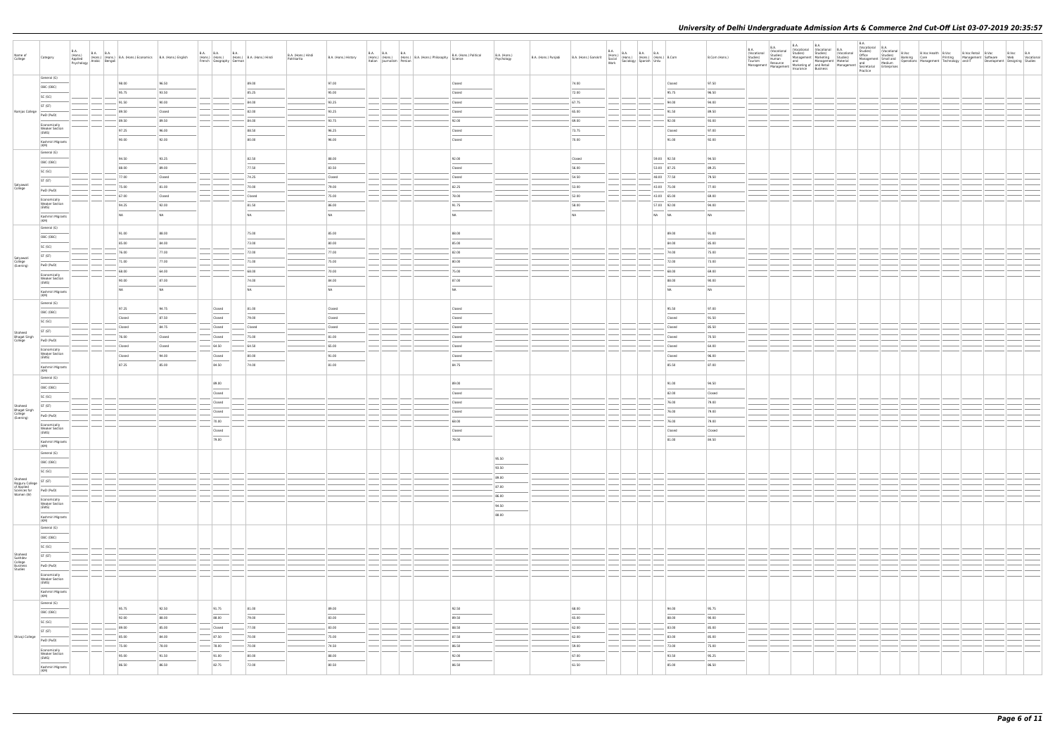| Name of<br>College                                   | Category                                       | B.A.<br>(Hons.)<br>Applied<br>Psychology Arabic Bengali | B.A. B.A. (Hons.) B.A. (Hons.) Economics B.A. (Hons.) English |                 | <b>B.A. B.A.</b><br>French Geography German | <b>B.A.</b><br>(Hons.) (Hons.) (Hons.) B.A. (Hons.) Hindi | B.A. (Hons.) Hindi<br>Patrikarita | B.A. (Hons.) History | <b>B.A. B.A. B.A.</b><br>Italian Journalism Persian | (Hons.) (Hons.) (Hons.) B.A. (Hons.) Philosophy | B.A. (Hons.) Political<br>Science                                                                                                                                                                                                                                                                                                                                                                                                                                                   | B.A. (Hons.)<br>Psychology                                                                                                                                                                                                                                                                                                                                                                                                                                                          | B.A. (Hons.) Punjabi | B.A. (Hons.) Sanskrit                                                                                                                                                                                                                                                                                                                                                                                                                                                               |       | B.A. (Hons.) B.A. B.A. B.A. (Hons.) B.Com<br>Social (Hons.) (Hons.) (Hons.) B.Com<br>Work Sociology Spanish Urdu |                  | B.Com (Hons.)  |  |  |  |  |  |  |
|------------------------------------------------------|------------------------------------------------|---------------------------------------------------------|---------------------------------------------------------------|-----------------|---------------------------------------------|-----------------------------------------------------------|-----------------------------------|----------------------|-----------------------------------------------------|-------------------------------------------------|-------------------------------------------------------------------------------------------------------------------------------------------------------------------------------------------------------------------------------------------------------------------------------------------------------------------------------------------------------------------------------------------------------------------------------------------------------------------------------------|-------------------------------------------------------------------------------------------------------------------------------------------------------------------------------------------------------------------------------------------------------------------------------------------------------------------------------------------------------------------------------------------------------------------------------------------------------------------------------------|----------------------|-------------------------------------------------------------------------------------------------------------------------------------------------------------------------------------------------------------------------------------------------------------------------------------------------------------------------------------------------------------------------------------------------------------------------------------------------------------------------------------|-------|------------------------------------------------------------------------------------------------------------------|------------------|----------------|--|--|--|--|--|--|
|                                                      | General (G)                                    |                                                         | 98.00                                                         | 96.50           |                                             | 89.00                                                     |                                   | 97.00                |                                                     |                                                 | Closed                                                                                                                                                                                                                                                                                                                                                                                                                                                                              |                                                                                                                                                                                                                                                                                                                                                                                                                                                                                     |                      | 74.00                                                                                                                                                                                                                                                                                                                                                                                                                                                                               |       |                                                                                                                  | Closed           | 97.50          |  |  |  |  |  |  |
|                                                      | OBC (OBC)                                      |                                                         | 95.75                                                         | 93.50           |                                             | 85.25                                                     |                                   | 95.00                |                                                     |                                                 | Closed                                                                                                                                                                                                                                                                                                                                                                                                                                                                              |                                                                                                                                                                                                                                                                                                                                                                                                                                                                                     |                      | 72.00                                                                                                                                                                                                                                                                                                                                                                                                                                                                               |       |                                                                                                                  | 95.75            | 96.50          |  |  |  |  |  |  |
|                                                      | SC (SC)                                        |                                                         | 91.50                                                         | 90.00           |                                             | 84.00                                                     |                                   | 93.25                |                                                     |                                                 | Closed                                                                                                                                                                                                                                                                                                                                                                                                                                                                              |                                                                                                                                                                                                                                                                                                                                                                                                                                                                                     |                      | 67.75                                                                                                                                                                                                                                                                                                                                                                                                                                                                               |       |                                                                                                                  | 94.00            | 94.00          |  |  |  |  |  |  |
| Ramjas College                                       | ST (ST)                                        |                                                         | 89.50                                                         | Closed          |                                             | 82.00                                                     |                                   | 93.25                |                                                     |                                                 | Closed                                                                                                                                                                                                                                                                                                                                                                                                                                                                              |                                                                                                                                                                                                                                                                                                                                                                                                                                                                                     |                      | 65.00                                                                                                                                                                                                                                                                                                                                                                                                                                                                               |       |                                                                                                                  | 91.50            | 89.50          |  |  |  |  |  |  |
|                                                      | PwD (PwD)                                      |                                                         | 89.50                                                         | 89.50           |                                             | 84.00                                                     |                                   | 93.75                |                                                     |                                                 | 92.00                                                                                                                                                                                                                                                                                                                                                                                                                                                                               |                                                                                                                                                                                                                                                                                                                                                                                                                                                                                     |                      | 69.00                                                                                                                                                                                                                                                                                                                                                                                                                                                                               |       |                                                                                                                  | 92.00            | 93.00          |  |  |  |  |  |  |
|                                                      | Economically<br><b>Weaker Section</b>          |                                                         | 97.25                                                         |                 |                                             |                                                           |                                   | 96.25                |                                                     |                                                 |                                                                                                                                                                                                                                                                                                                                                                                                                                                                                     |                                                                                                                                                                                                                                                                                                                                                                                                                                                                                     |                      | 73.75                                                                                                                                                                                                                                                                                                                                                                                                                                                                               |       |                                                                                                                  |                  | 97.00          |  |  |  |  |  |  |
|                                                      | (EWS)                                          |                                                         |                                                               | 96.00           |                                             | 88.50                                                     |                                   |                      |                                                     |                                                 | Closed                                                                                                                                                                                                                                                                                                                                                                                                                                                                              |                                                                                                                                                                                                                                                                                                                                                                                                                                                                                     |                      |                                                                                                                                                                                                                                                                                                                                                                                                                                                                                     |       |                                                                                                                  | Closed           |                |  |  |  |  |  |  |
|                                                      | Kashmiri Migrants<br>(KM)                      |                                                         | 90.00                                                         | 92.00           |                                             | 80.00                                                     |                                   | 96.00                |                                                     |                                                 | Closed                                                                                                                                                                                                                                                                                                                                                                                                                                                                              |                                                                                                                                                                                                                                                                                                                                                                                                                                                                                     |                      | 70.00                                                                                                                                                                                                                                                                                                                                                                                                                                                                               |       |                                                                                                                  | 91.00            | 92.00          |  |  |  |  |  |  |
|                                                      | General (G)                                    |                                                         |                                                               |                 |                                             |                                                           |                                   |                      |                                                     |                                                 |                                                                                                                                                                                                                                                                                                                                                                                                                                                                                     |                                                                                                                                                                                                                                                                                                                                                                                                                                                                                     |                      |                                                                                                                                                                                                                                                                                                                                                                                                                                                                                     |       |                                                                                                                  |                  |                |  |  |  |  |  |  |
|                                                      | OBC (OBC)                                      |                                                         | 94.50                                                         | 93.25           |                                             | 82.50                                                     |                                   | 88.00                |                                                     |                                                 | 92.00                                                                                                                                                                                                                                                                                                                                                                                                                                                                               |                                                                                                                                                                                                                                                                                                                                                                                                                                                                                     |                      | Closed                                                                                                                                                                                                                                                                                                                                                                                                                                                                              |       | 59.00 92.50                                                                                                      |                  | 94.50          |  |  |  |  |  |  |
|                                                      | SC (SC)                                        |                                                         | 88.00                                                         | 89.00           |                                             | 77.50                                                     |                                   | 83.50                |                                                     |                                                 | Closed                                                                                                                                                                                                                                                                                                                                                                                                                                                                              |                                                                                                                                                                                                                                                                                                                                                                                                                                                                                     |                      | 56.00                                                                                                                                                                                                                                                                                                                                                                                                                                                                               |       |                                                                                                                  | 53.00 87.25      | 89.25          |  |  |  |  |  |  |
|                                                      | ST (ST)                                        |                                                         | 77.00                                                         | Closed          |                                             | 74.25                                                     |                                   | Closed               |                                                     |                                                 | Closed                                                                                                                                                                                                                                                                                                                                                                                                                                                                              |                                                                                                                                                                                                                                                                                                                                                                                                                                                                                     |                      | 54.50                                                                                                                                                                                                                                                                                                                                                                                                                                                                               |       |                                                                                                                  | 48.00 77.50      | 79.50          |  |  |  |  |  |  |
| Satyawati<br>College                                 | PwD (PwD)                                      |                                                         | 75.00                                                         | 81.00           |                                             | 70.00                                                     |                                   | 79.00                |                                                     |                                                 | 82.25                                                                                                                                                                                                                                                                                                                                                                                                                                                                               |                                                                                                                                                                                                                                                                                                                                                                                                                                                                                     |                      | 53.00                                                                                                                                                                                                                                                                                                                                                                                                                                                                               |       |                                                                                                                  | 43.00 75.00      | 77.00          |  |  |  |  |  |  |
|                                                      | Economically<br><b>Weaker Section</b>          |                                                         | 67.00                                                         | Closed          |                                             | Closed                                                    |                                   | 75.00                |                                                     |                                                 | 78.00                                                                                                                                                                                                                                                                                                                                                                                                                                                                               |                                                                                                                                                                                                                                                                                                                                                                                                                                                                                     |                      | 52.00                                                                                                                                                                                                                                                                                                                                                                                                                                                                               |       |                                                                                                                  | 43.00 65.00      | 69.00          |  |  |  |  |  |  |
|                                                      | (EWS)                                          |                                                         | 94.25                                                         | 92.00           |                                             | 81.50                                                     |                                   | 86.00                |                                                     |                                                 | 91.75                                                                                                                                                                                                                                                                                                                                                                                                                                                                               |                                                                                                                                                                                                                                                                                                                                                                                                                                                                                     |                      | 58.00                                                                                                                                                                                                                                                                                                                                                                                                                                                                               |       |                                                                                                                  | 57.00 92.00      | 94.00          |  |  |  |  |  |  |
|                                                      | Kashmiri Migrants<br>(KM)                      |                                                         | NA                                                            | NA              |                                             | NA                                                        |                                   | NA                   |                                                     |                                                 | NA                                                                                                                                                                                                                                                                                                                                                                                                                                                                                  |                                                                                                                                                                                                                                                                                                                                                                                                                                                                                     |                      | <b>NA</b>                                                                                                                                                                                                                                                                                                                                                                                                                                                                           |       | NA NA                                                                                                            |                  | N <sub>A</sub> |  |  |  |  |  |  |
|                                                      | General (G)                                    |                                                         |                                                               |                 |                                             |                                                           |                                   |                      |                                                     |                                                 |                                                                                                                                                                                                                                                                                                                                                                                                                                                                                     |                                                                                                                                                                                                                                                                                                                                                                                                                                                                                     |                      |                                                                                                                                                                                                                                                                                                                                                                                                                                                                                     |       |                                                                                                                  |                  |                |  |  |  |  |  |  |
|                                                      | OBC (OBC)                                      |                                                         | 91.00                                                         | 88.00           |                                             | 75.00                                                     |                                   | 85.00                |                                                     |                                                 | 88.00                                                                                                                                                                                                                                                                                                                                                                                                                                                                               |                                                                                                                                                                                                                                                                                                                                                                                                                                                                                     |                      |                                                                                                                                                                                                                                                                                                                                                                                                                                                                                     |       |                                                                                                                  | 89.00            | 91.00          |  |  |  |  |  |  |
|                                                      | SC (SC)                                        |                                                         | 85.00                                                         | 84.00           |                                             | 73.00                                                     |                                   | 80.00                |                                                     |                                                 | 85.00                                                                                                                                                                                                                                                                                                                                                                                                                                                                               |                                                                                                                                                                                                                                                                                                                                                                                                                                                                                     |                      |                                                                                                                                                                                                                                                                                                                                                                                                                                                                                     |       |                                                                                                                  | 84.00            | 85.00          |  |  |  |  |  |  |
|                                                      | ST (ST)                                        |                                                         | 76.00                                                         | 77.00           |                                             | 72.00                                                     |                                   | 77.00                |                                                     |                                                 | 82.00                                                                                                                                                                                                                                                                                                                                                                                                                                                                               |                                                                                                                                                                                                                                                                                                                                                                                                                                                                                     |                      |                                                                                                                                                                                                                                                                                                                                                                                                                                                                                     |       |                                                                                                                  | 74.00            | 75.00          |  |  |  |  |  |  |
| Satyawati<br>College<br>(Evening)                    | PwD (PwD)                                      |                                                         | 71.00                                                         | 77.00           |                                             | 71.00                                                     |                                   | 75.00                |                                                     |                                                 | 80.00                                                                                                                                                                                                                                                                                                                                                                                                                                                                               |                                                                                                                                                                                                                                                                                                                                                                                                                                                                                     |                      |                                                                                                                                                                                                                                                                                                                                                                                                                                                                                     |       |                                                                                                                  | 72.00            | 73.00          |  |  |  |  |  |  |
|                                                      | Economically<br><b>Weaker Section</b>          |                                                         | 68.00                                                         | 64.00           |                                             | 68.00                                                     |                                   | 70.00                |                                                     |                                                 | 75.00                                                                                                                                                                                                                                                                                                                                                                                                                                                                               |                                                                                                                                                                                                                                                                                                                                                                                                                                                                                     |                      |                                                                                                                                                                                                                                                                                                                                                                                                                                                                                     |       |                                                                                                                  | 68.00            | 69.00          |  |  |  |  |  |  |
|                                                      | (EWS)                                          |                                                         | 90.00                                                         | 87.00           |                                             | 74.00                                                     |                                   | 84.00                |                                                     |                                                 | 87.00                                                                                                                                                                                                                                                                                                                                                                                                                                                                               |                                                                                                                                                                                                                                                                                                                                                                                                                                                                                     |                      |                                                                                                                                                                                                                                                                                                                                                                                                                                                                                     |       |                                                                                                                  | 88.00            | 90.00          |  |  |  |  |  |  |
|                                                      | Kashmiri Migrants<br>(KM)                      |                                                         | <b>NA</b>                                                     | <b>NA</b>       |                                             | NA                                                        |                                   | NA                   |                                                     |                                                 | NA                                                                                                                                                                                                                                                                                                                                                                                                                                                                                  |                                                                                                                                                                                                                                                                                                                                                                                                                                                                                     |                      |                                                                                                                                                                                                                                                                                                                                                                                                                                                                                     |       |                                                                                                                  | NA               | NA             |  |  |  |  |  |  |
|                                                      | General (G)                                    |                                                         | 97.25                                                         | 94.75           | Closed                                      | 81.00                                                     |                                   | Closed               |                                                     |                                                 |                                                                                                                                                                                                                                                                                                                                                                                                                                                                                     |                                                                                                                                                                                                                                                                                                                                                                                                                                                                                     |                      |                                                                                                                                                                                                                                                                                                                                                                                                                                                                                     |       |                                                                                                                  | 95.50            | 97.00          |  |  |  |  |  |  |
|                                                      | OBC (OBC)                                      |                                                         |                                                               |                 |                                             | 79.00                                                     |                                   |                      |                                                     |                                                 | Closed                                                                                                                                                                                                                                                                                                                                                                                                                                                                              |                                                                                                                                                                                                                                                                                                                                                                                                                                                                                     |                      |                                                                                                                                                                                                                                                                                                                                                                                                                                                                                     |       |                                                                                                                  |                  | 91.50          |  |  |  |  |  |  |
|                                                      | SC (SC)                                        |                                                         | Closed<br>Closed                                              | 87.50<br>84.75  | Closed<br>Closed                            | Closed                                                    |                                   | Closed<br>Closed     |                                                     |                                                 | Closed<br>Closed                                                                                                                                                                                                                                                                                                                                                                                                                                                                    |                                                                                                                                                                                                                                                                                                                                                                                                                                                                                     |                      |                                                                                                                                                                                                                                                                                                                                                                                                                                                                                     |       |                                                                                                                  | Closed<br>Closed | 85.50          |  |  |  |  |  |  |
| Shaheed                                              | ST (ST)                                        |                                                         |                                                               |                 |                                             | 75.00                                                     |                                   | 81.00                |                                                     |                                                 |                                                                                                                                                                                                                                                                                                                                                                                                                                                                                     |                                                                                                                                                                                                                                                                                                                                                                                                                                                                                     |                      |                                                                                                                                                                                                                                                                                                                                                                                                                                                                                     |       |                                                                                                                  |                  | 70.50          |  |  |  |  |  |  |
| <b>Bhagat Singh</b><br>College                       | PwD (PwD)                                      |                                                         | 76.00                                                         | Closed          | Closed                                      |                                                           |                                   | 65.00                |                                                     |                                                 | Closed                                                                                                                                                                                                                                                                                                                                                                                                                                                                              |                                                                                                                                                                                                                                                                                                                                                                                                                                                                                     |                      |                                                                                                                                                                                                                                                                                                                                                                                                                                                                                     |       |                                                                                                                  | Closed           | 64.00          |  |  |  |  |  |  |
|                                                      | Economically<br><b>Weaker Section</b>          |                                                         | Closed<br>Closed                                              | Closed<br>94.00 | 64.50<br>Closed                             | 64.50<br>80.00                                            |                                   | 91.00                |                                                     |                                                 | Closed<br>Closed                                                                                                                                                                                                                                                                                                                                                                                                                                                                    |                                                                                                                                                                                                                                                                                                                                                                                                                                                                                     |                      |                                                                                                                                                                                                                                                                                                                                                                                                                                                                                     |       |                                                                                                                  | Closed<br>Closed | 96.00          |  |  |  |  |  |  |
|                                                      | (EWS)                                          |                                                         | 87.25                                                         | 85.00           | 84.50                                       | 74.00                                                     |                                   | 81.00                |                                                     |                                                 | 84.75                                                                                                                                                                                                                                                                                                                                                                                                                                                                               |                                                                                                                                                                                                                                                                                                                                                                                                                                                                                     |                      |                                                                                                                                                                                                                                                                                                                                                                                                                                                                                     |       |                                                                                                                  | 85.50            | 87.00          |  |  |  |  |  |  |
|                                                      | Kashmiri Migrants<br>(KM)                      |                                                         |                                                               |                 |                                             |                                                           |                                   |                      |                                                     |                                                 |                                                                                                                                                                                                                                                                                                                                                                                                                                                                                     |                                                                                                                                                                                                                                                                                                                                                                                                                                                                                     |                      |                                                                                                                                                                                                                                                                                                                                                                                                                                                                                     |       |                                                                                                                  |                  |                |  |  |  |  |  |  |
|                                                      | General (G)                                    |                                                         |                                                               |                 | 89.00                                       |                                                           |                                   |                      |                                                     |                                                 | 89.00                                                                                                                                                                                                                                                                                                                                                                                                                                                                               |                                                                                                                                                                                                                                                                                                                                                                                                                                                                                     |                      |                                                                                                                                                                                                                                                                                                                                                                                                                                                                                     |       |                                                                                                                  | 91.00            | 94.50          |  |  |  |  |  |  |
|                                                      | OBC (OBC)                                      |                                                         |                                                               |                 | Closed                                      |                                                           |                                   |                      |                                                     |                                                 | Closed                                                                                                                                                                                                                                                                                                                                                                                                                                                                              |                                                                                                                                                                                                                                                                                                                                                                                                                                                                                     |                      |                                                                                                                                                                                                                                                                                                                                                                                                                                                                                     |       |                                                                                                                  | 82.00            | Closed         |  |  |  |  |  |  |
|                                                      | SC (SC)                                        |                                                         |                                                               |                 | Closed                                      |                                                           |                                   |                      |                                                     |                                                 | Closed                                                                                                                                                                                                                                                                                                                                                                                                                                                                              |                                                                                                                                                                                                                                                                                                                                                                                                                                                                                     |                      |                                                                                                                                                                                                                                                                                                                                                                                                                                                                                     |       |                                                                                                                  | 76.00            | 79.00          |  |  |  |  |  |  |
| Shaheed                                              | ST (ST)                                        |                                                         |                                                               |                 | Closed                                      |                                                           |                                   |                      |                                                     |                                                 | Closed                                                                                                                                                                                                                                                                                                                                                                                                                                                                              |                                                                                                                                                                                                                                                                                                                                                                                                                                                                                     |                      |                                                                                                                                                                                                                                                                                                                                                                                                                                                                                     |       |                                                                                                                  | 76.00            | 79.00          |  |  |  |  |  |  |
| Bhagat Singh<br>College<br>(Evening)                 | PwD (PwD)                                      |                                                         |                                                               |                 | 70.00                                       |                                                           |                                   |                      |                                                     |                                                 | 68.00                                                                                                                                                                                                                                                                                                                                                                                                                                                                               |                                                                                                                                                                                                                                                                                                                                                                                                                                                                                     |                      |                                                                                                                                                                                                                                                                                                                                                                                                                                                                                     |       |                                                                                                                  | 76.00            | 79.00          |  |  |  |  |  |  |
|                                                      | Economically<br><b>Weaker Section</b>          |                                                         |                                                               |                 | Closed                                      |                                                           |                                   |                      |                                                     |                                                 | Closed                                                                                                                                                                                                                                                                                                                                                                                                                                                                              |                                                                                                                                                                                                                                                                                                                                                                                                                                                                                     |                      |                                                                                                                                                                                                                                                                                                                                                                                                                                                                                     |       |                                                                                                                  | Closed           | Closed         |  |  |  |  |  |  |
|                                                      | (EWS)                                          |                                                         |                                                               |                 | 79.00                                       |                                                           |                                   |                      |                                                     |                                                 | 79.00                                                                                                                                                                                                                                                                                                                                                                                                                                                                               |                                                                                                                                                                                                                                                                                                                                                                                                                                                                                     |                      |                                                                                                                                                                                                                                                                                                                                                                                                                                                                                     |       |                                                                                                                  | 81.00            | 84.50          |  |  |  |  |  |  |
|                                                      | Kashmiri Migrants<br>(KM)                      |                                                         |                                                               |                 |                                             |                                                           |                                   |                      |                                                     |                                                 |                                                                                                                                                                                                                                                                                                                                                                                                                                                                                     |                                                                                                                                                                                                                                                                                                                                                                                                                                                                                     |                      |                                                                                                                                                                                                                                                                                                                                                                                                                                                                                     |       |                                                                                                                  |                  |                |  |  |  |  |  |  |
|                                                      | General (G)                                    |                                                         |                                                               |                 |                                             |                                                           |                                   |                      |                                                     |                                                 |                                                                                                                                                                                                                                                                                                                                                                                                                                                                                     | 95.50                                                                                                                                                                                                                                                                                                                                                                                                                                                                               |                      |                                                                                                                                                                                                                                                                                                                                                                                                                                                                                     |       |                                                                                                                  |                  |                |  |  |  |  |  |  |
|                                                      | OBC (OBC)                                      |                                                         |                                                               |                 |                                             |                                                           |                                   |                      |                                                     |                                                 |                                                                                                                                                                                                                                                                                                                                                                                                                                                                                     | 93.50                                                                                                                                                                                                                                                                                                                                                                                                                                                                               |                      |                                                                                                                                                                                                                                                                                                                                                                                                                                                                                     |       |                                                                                                                  |                  |                |  |  |  |  |  |  |
| Shaheed                                              | SC (SC)                                        |                                                         |                                                               |                 |                                             |                                                           |                                   |                      |                                                     |                                                 |                                                                                                                                                                                                                                                                                                                                                                                                                                                                                     | 89.00                                                                                                                                                                                                                                                                                                                                                                                                                                                                               |                      |                                                                                                                                                                                                                                                                                                                                                                                                                                                                                     | $  -$ | $\sim$ $\sim$ $\sim$ $\sim$ $\sim$                                                                               |                  |                |  |  |  |  |  |  |
| Rajguru College<br>of Applied                        | ST (ST)                                        | . <u>.</u>                                              |                                                               |                 |                                             |                                                           |                                   |                      |                                                     |                                                 |                                                                                                                                                                                                                                                                                                                                                                                                                                                                                     | 87.00                                                                                                                                                                                                                                                                                                                                                                                                                                                                               |                      |                                                                                                                                                                                                                                                                                                                                                                                                                                                                                     |       | ___                                                                                                              |                  |                |  |  |  |  |  |  |
| Sciences for<br>Women (W)                            | PwD (PwD)                                      |                                                         |                                                               |                 |                                             |                                                           |                                   |                      |                                                     |                                                 |                                                                                                                                                                                                                                                                                                                                                                                                                                                                                     | 86.00                                                                                                                                                                                                                                                                                                                                                                                                                                                                               |                      |                                                                                                                                                                                                                                                                                                                                                                                                                                                                                     |       |                                                                                                                  |                  |                |  |  |  |  |  |  |
|                                                      | Economically<br>Weaker Section<br>(EWS)        |                                                         |                                                               |                 |                                             |                                                           |                                   |                      |                                                     |                                                 |                                                                                                                                                                                                                                                                                                                                                                                                                                                                                     | 94.50                                                                                                                                                                                                                                                                                                                                                                                                                                                                               |                      |                                                                                                                                                                                                                                                                                                                                                                                                                                                                                     |       |                                                                                                                  |                  |                |  |  |  |  |  |  |
|                                                      | Kashmiri Migrants                              |                                                         |                                                               |                 |                                             |                                                           |                                   |                      |                                                     |                                                 |                                                                                                                                                                                                                                                                                                                                                                                                                                                                                     | $\frac{1}{2} \left( \frac{1}{2} \right) \left( \frac{1}{2} \right) \left( \frac{1}{2} \right) \left( \frac{1}{2} \right) \left( \frac{1}{2} \right) \left( \frac{1}{2} \right) \left( \frac{1}{2} \right) \left( \frac{1}{2} \right) \left( \frac{1}{2} \right) \left( \frac{1}{2} \right) \left( \frac{1}{2} \right) \left( \frac{1}{2} \right) \left( \frac{1}{2} \right) \left( \frac{1}{2} \right) \left( \frac{1}{2} \right) \left( \frac{1}{2} \right) \left( \frac$<br>88.00 |                      |                                                                                                                                                                                                                                                                                                                                                                                                                                                                                     |       |                                                                                                                  |                  |                |  |  |  |  |  |  |
|                                                      | (KM)                                           |                                                         |                                                               |                 |                                             |                                                           |                                   |                      |                                                     |                                                 |                                                                                                                                                                                                                                                                                                                                                                                                                                                                                     |                                                                                                                                                                                                                                                                                                                                                                                                                                                                                     |                      |                                                                                                                                                                                                                                                                                                                                                                                                                                                                                     |       |                                                                                                                  |                  |                |  |  |  |  |  |  |
|                                                      | General (G)                                    |                                                         |                                                               |                 |                                             |                                                           |                                   |                      |                                                     |                                                 |                                                                                                                                                                                                                                                                                                                                                                                                                                                                                     |                                                                                                                                                                                                                                                                                                                                                                                                                                                                                     |                      |                                                                                                                                                                                                                                                                                                                                                                                                                                                                                     |       |                                                                                                                  |                  |                |  |  |  |  |  |  |
|                                                      | OBC (OBC)                                      |                                                         |                                                               |                 |                                             |                                                           |                                   |                      |                                                     |                                                 |                                                                                                                                                                                                                                                                                                                                                                                                                                                                                     |                                                                                                                                                                                                                                                                                                                                                                                                                                                                                     |                      |                                                                                                                                                                                                                                                                                                                                                                                                                                                                                     |       |                                                                                                                  |                  |                |  |  |  |  |  |  |
|                                                      | SC (SC)                                        |                                                         |                                                               |                 |                                             |                                                           |                                   |                      |                                                     |                                                 |                                                                                                                                                                                                                                                                                                                                                                                                                                                                                     |                                                                                                                                                                                                                                                                                                                                                                                                                                                                                     |                      |                                                                                                                                                                                                                                                                                                                                                                                                                                                                                     |       |                                                                                                                  |                  |                |  |  |  |  |  |  |
| Shaheed<br>Sukhdev<br>College<br>Business<br>Studies | ST (ST)                                        |                                                         |                                                               |                 |                                             |                                                           |                                   |                      |                                                     |                                                 |                                                                                                                                                                                                                                                                                                                                                                                                                                                                                     |                                                                                                                                                                                                                                                                                                                                                                                                                                                                                     |                      |                                                                                                                                                                                                                                                                                                                                                                                                                                                                                     |       |                                                                                                                  |                  |                |  |  |  |  |  |  |
|                                                      | PwD (PwD)                                      | $\equiv$                                                |                                                               |                 |                                             |                                                           |                                   |                      |                                                     |                                                 |                                                                                                                                                                                                                                                                                                                                                                                                                                                                                     |                                                                                                                                                                                                                                                                                                                                                                                                                                                                                     |                      |                                                                                                                                                                                                                                                                                                                                                                                                                                                                                     |       | $\frac{1}{2}$<br>$\overline{\phantom{a}}$                                                                        |                  |                |  |  |  |  |  |  |
|                                                      | Economically<br><b>Weaker Section</b><br>(EWS) |                                                         |                                                               |                 |                                             |                                                           |                                   |                      |                                                     |                                                 |                                                                                                                                                                                                                                                                                                                                                                                                                                                                                     |                                                                                                                                                                                                                                                                                                                                                                                                                                                                                     |                      |                                                                                                                                                                                                                                                                                                                                                                                                                                                                                     |       |                                                                                                                  |                  |                |  |  |  |  |  |  |
|                                                      |                                                |                                                         |                                                               |                 |                                             |                                                           |                                   |                      |                                                     |                                                 |                                                                                                                                                                                                                                                                                                                                                                                                                                                                                     |                                                                                                                                                                                                                                                                                                                                                                                                                                                                                     |                      |                                                                                                                                                                                                                                                                                                                                                                                                                                                                                     |       |                                                                                                                  |                  |                |  |  |  |  |  |  |
|                                                      | Kashmiri Migrants<br>(KM)                      |                                                         |                                                               |                 |                                             |                                                           |                                   |                      |                                                     |                                                 |                                                                                                                                                                                                                                                                                                                                                                                                                                                                                     |                                                                                                                                                                                                                                                                                                                                                                                                                                                                                     |                      |                                                                                                                                                                                                                                                                                                                                                                                                                                                                                     |       |                                                                                                                  |                  |                |  |  |  |  |  |  |
|                                                      | General (G)                                    |                                                         | 95.75                                                         | 92.50           | 91.75                                       | 81.00                                                     |                                   | 89.00                |                                                     |                                                 | 92.50                                                                                                                                                                                                                                                                                                                                                                                                                                                                               |                                                                                                                                                                                                                                                                                                                                                                                                                                                                                     |                      | 68.00                                                                                                                                                                                                                                                                                                                                                                                                                                                                               |       |                                                                                                                  | 94.00            | 95.75          |  |  |  |  |  |  |
|                                                      | OBC (OBC)                                      |                                                         | 92.00                                                         | 88.00           | 88.00                                       | 79.00                                                     |                                   | 83.00                |                                                     |                                                 | 89.50                                                                                                                                                                                                                                                                                                                                                                                                                                                                               |                                                                                                                                                                                                                                                                                                                                                                                                                                                                                     |                      | 65.00                                                                                                                                                                                                                                                                                                                                                                                                                                                                               |       |                                                                                                                  | 88.00            | 90.00          |  |  |  |  |  |  |
|                                                      | SC (SC)                                        |                                                         | 89.00                                                         | 85.00           | Closed                                      | $- 77.00$                                                 |                                   | 83.00                |                                                     |                                                 | 88.50                                                                                                                                                                                                                                                                                                                                                                                                                                                                               |                                                                                                                                                                                                                                                                                                                                                                                                                                                                                     |                      | 62.00                                                                                                                                                                                                                                                                                                                                                                                                                                                                               |       |                                                                                                                  | 83.00            | 85.00          |  |  |  |  |  |  |
| Shivaji College                                      | ST (ST)                                        |                                                         | 85.00                                                         | 84.00           | 87.50                                       | 70.00                                                     |                                   | 75.00                |                                                     |                                                 | 87.50                                                                                                                                                                                                                                                                                                                                                                                                                                                                               |                                                                                                                                                                                                                                                                                                                                                                                                                                                                                     |                      | 62.00                                                                                                                                                                                                                                                                                                                                                                                                                                                                               |       |                                                                                                                  | 83.00            | 85.00          |  |  |  |  |  |  |
|                                                      | PwD (PwD)                                      |                                                         | 75.00                                                         | 78.00           | 78.00                                       | $- 70.00$                                                 |                                   | 74.50                |                                                     |                                                 | 86.50                                                                                                                                                                                                                                                                                                                                                                                                                                                                               |                                                                                                                                                                                                                                                                                                                                                                                                                                                                                     |                      | 59.00                                                                                                                                                                                                                                                                                                                                                                                                                                                                               |       |                                                                                                                  | 73.00            | 75.00          |  |  |  |  |  |  |
|                                                      | Economically<br>Weaker Section<br>(EWS)        |                                                         | 95.00                                                         | 91.50           | 91.00                                       | 80.00                                                     |                                   | 88.00                |                                                     |                                                 | 92.00                                                                                                                                                                                                                                                                                                                                                                                                                                                                               |                                                                                                                                                                                                                                                                                                                                                                                                                                                                                     |                      | 67.00                                                                                                                                                                                                                                                                                                                                                                                                                                                                               |       |                                                                                                                  | 93.50            | 95.25          |  |  |  |  |  |  |
|                                                      | Kashmiri Migrants                              |                                                         | 86.50                                                         | 86.50           | $\sim$<br>82.75                             | $\overline{\phantom{a}}$<br>72.00                         |                                   | 80.50                |                                                     |                                                 | $\frac{1}{2} \left( \frac{1}{2} \right) \left( \frac{1}{2} \right) \left( \frac{1}{2} \right) \left( \frac{1}{2} \right) \left( \frac{1}{2} \right) \left( \frac{1}{2} \right) \left( \frac{1}{2} \right) \left( \frac{1}{2} \right) \left( \frac{1}{2} \right) \left( \frac{1}{2} \right) \left( \frac{1}{2} \right) \left( \frac{1}{2} \right) \left( \frac{1}{2} \right) \left( \frac{1}{2} \right) \left( \frac{1}{2} \right) \left( \frac{1}{2} \right) \left( \frac$<br>86.50 |                                                                                                                                                                                                                                                                                                                                                                                                                                                                                     |                      | $\frac{1}{2} \left( \frac{1}{2} \right) \left( \frac{1}{2} \right) \left( \frac{1}{2} \right) \left( \frac{1}{2} \right) \left( \frac{1}{2} \right) \left( \frac{1}{2} \right) \left( \frac{1}{2} \right) \left( \frac{1}{2} \right) \left( \frac{1}{2} \right) \left( \frac{1}{2} \right) \left( \frac{1}{2} \right) \left( \frac{1}{2} \right) \left( \frac{1}{2} \right) \left( \frac{1}{2} \right) \left( \frac{1}{2} \right) \left( \frac{1}{2} \right) \left( \frac$<br>61.50 |       |                                                                                                                  | 85.00            | 86.50          |  |  |  |  |  |  |
|                                                      | (KM)                                           |                                                         |                                                               |                 |                                             |                                                           |                                   |                      |                                                     |                                                 |                                                                                                                                                                                                                                                                                                                                                                                                                                                                                     |                                                                                                                                                                                                                                                                                                                                                                                                                                                                                     |                      |                                                                                                                                                                                                                                                                                                                                                                                                                                                                                     |       |                                                                                                                  |                  |                |  |  |  |  |  |  |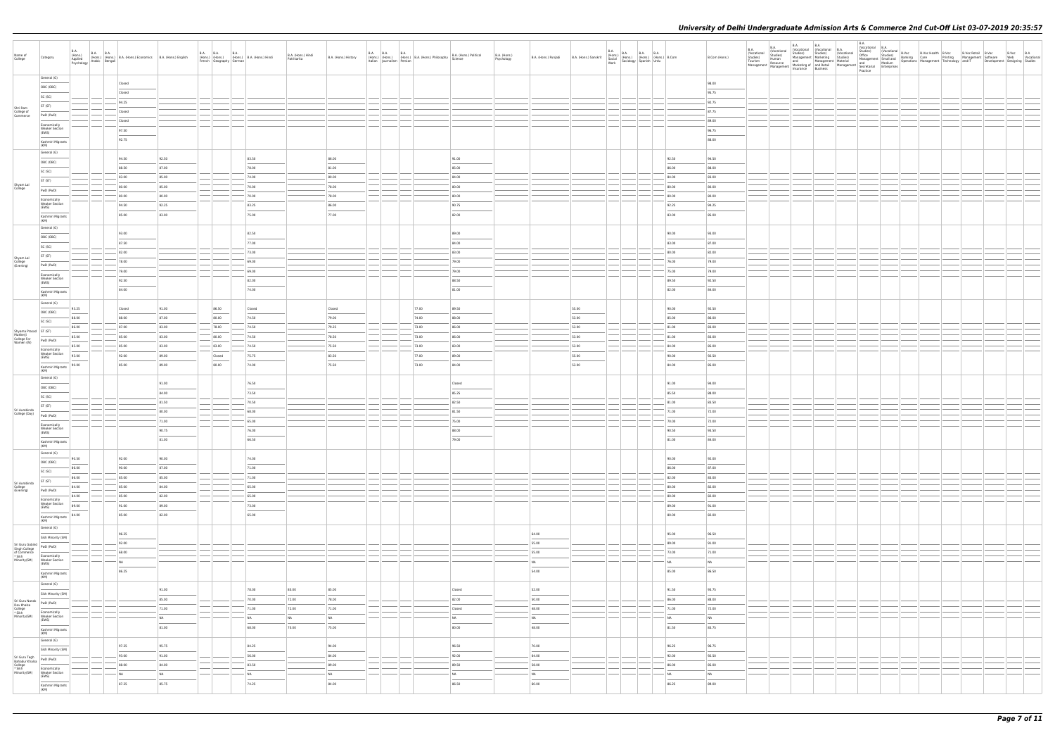| Name of<br>College                                                                                                                                                                                                                                                                                                                                      | Category                                     | B.A.<br>B.A. (Hons.) B.A. B.A. (Hons.) B.A. (Hons.) Economics B.A. (Hons.) English Psychology Arabic Bengali |           |                        | French   Geography   German | B.A. B.A. B.A. B.A. (Hons.) B.A. (Hons.) Hindi | B.A. (Hons.) Hindi<br>Patrikarita | B.A. (Hons.) History | Italian   Iournalism   Persian | B.A. (Hons.) B.A. (Hons.) B.A. (Hons.) Philosophy B.A. (Hons.) Calculation (Hons.) Philosophy Science | B.A. (Hons.) Political         | B.A. (Hons.)<br>Psychology | B.A. (Hons.) Punjabi B.A. (Hons.) Sanskrit |       | <b>B.A.</b> |                            | B.Com (Hons.) | <b>B.A.</b><br>(Vocational<br>Studies)<br>Tourism | <b>B.A.</b><br>(Vocational<br>Studies)<br>Human<br>Resource<br>Management Mesource Marketing or and normal Management Management Insurance | <b>B.A.</b><br>B.A. |  | <b>B.A.</b> |  |  |  |  |
|---------------------------------------------------------------------------------------------------------------------------------------------------------------------------------------------------------------------------------------------------------------------------------------------------------------------------------------------------------|----------------------------------------------|--------------------------------------------------------------------------------------------------------------|-----------|------------------------|-----------------------------|------------------------------------------------|-----------------------------------|----------------------|--------------------------------|-------------------------------------------------------------------------------------------------------|--------------------------------|----------------------------|--------------------------------------------|-------|-------------|----------------------------|---------------|---------------------------------------------------|--------------------------------------------------------------------------------------------------------------------------------------------|---------------------|--|-------------|--|--|--|--|
|                                                                                                                                                                                                                                                                                                                                                         | General (G)                                  |                                                                                                              | Closed    |                        |                             |                                                |                                   |                      |                                |                                                                                                       |                                |                            |                                            |       |             |                            | 98.00         |                                                   |                                                                                                                                            |                     |  |             |  |  |  |  |
|                                                                                                                                                                                                                                                                                                                                                         | OBC (OBC)                                    |                                                                                                              | Closed    |                        |                             |                                                |                                   |                      |                                |                                                                                                       |                                |                            |                                            |       |             |                            | 95.75         |                                                   |                                                                                                                                            |                     |  |             |  |  |  |  |
|                                                                                                                                                                                                                                                                                                                                                         | SC (SC)                                      |                                                                                                              | 94.25     |                        |                             |                                                |                                   |                      |                                |                                                                                                       |                                |                            |                                            |       |             |                            | 92.75         |                                                   |                                                                                                                                            |                     |  |             |  |  |  |  |
|                                                                                                                                                                                                                                                                                                                                                         | ST (ST)                                      |                                                                                                              |           |                        |                             |                                                |                                   |                      |                                |                                                                                                       |                                |                            |                                            |       |             |                            |               |                                                   |                                                                                                                                            |                     |  |             |  |  |  |  |
| Shri Ram<br>College of<br>Commerce                                                                                                                                                                                                                                                                                                                      | PwD (PwD)                                    |                                                                                                              | Closed    |                        |                             |                                                |                                   |                      |                                |                                                                                                       |                                |                            |                                            |       |             |                            | 87.75         |                                                   |                                                                                                                                            |                     |  |             |  |  |  |  |
|                                                                                                                                                                                                                                                                                                                                                         | Economically<br><b>Weaker Section</b>        |                                                                                                              | Closed    |                        |                             |                                                |                                   |                      |                                |                                                                                                       |                                |                            |                                            |       |             |                            | 89.00         |                                                   |                                                                                                                                            |                     |  |             |  |  |  |  |
|                                                                                                                                                                                                                                                                                                                                                         | (EWS)                                        |                                                                                                              | 97.50     |                        |                             |                                                |                                   |                      |                                |                                                                                                       |                                |                            |                                            |       |             |                            | 96.75         |                                                   |                                                                                                                                            |                     |  |             |  |  |  |  |
|                                                                                                                                                                                                                                                                                                                                                         | Kashmiri Migrants<br>(KM)                    |                                                                                                              | 92.75     |                        |                             |                                                |                                   |                      |                                |                                                                                                       |                                |                            |                                            |       |             |                            | 88.00         |                                                   |                                                                                                                                            |                     |  |             |  |  |  |  |
|                                                                                                                                                                                                                                                                                                                                                         | General (G)                                  |                                                                                                              |           |                        |                             |                                                |                                   |                      |                                |                                                                                                       |                                |                            |                                            |       |             |                            |               |                                                   |                                                                                                                                            |                     |  |             |  |  |  |  |
|                                                                                                                                                                                                                                                                                                                                                         | OBC (OBC)                                    |                                                                                                              | 94.50     | 92.50                  |                             | 83.50                                          |                                   | 86.00                |                                |                                                                                                       | 91.00                          |                            |                                            |       |             | 92.50                      | 94.50         |                                                   |                                                                                                                                            |                     |  |             |  |  |  |  |
|                                                                                                                                                                                                                                                                                                                                                         | SC (SC)                                      |                                                                                                              | 88.50     | 87.00                  |                             | 78.00                                          |                                   | 81.00                |                                |                                                                                                       | 85.00                          |                            |                                            |       |             | 86.00                      | 88.00         |                                                   |                                                                                                                                            |                     |  |             |  |  |  |  |
|                                                                                                                                                                                                                                                                                                                                                         | ST (ST)                                      |                                                                                                              | 83.00     | 85.00                  |                             | 74.00                                          |                                   | 80.00                |                                |                                                                                                       | 84.00                          |                            |                                            |       |             | 84.00                      | 83.00         |                                                   |                                                                                                                                            |                     |  |             |  |  |  |  |
| Shyam Lal<br>College                                                                                                                                                                                                                                                                                                                                    | PwD (PwD)                                    |                                                                                                              | 80.00     | 85.00                  |                             | 70.00                                          |                                   | 78.00                |                                |                                                                                                       | 80.00                          |                            |                                            |       |             | 80.00                      | 80.00         |                                                   |                                                                                                                                            |                     |  |             |  |  |  |  |
|                                                                                                                                                                                                                                                                                                                                                         | Economically                                 |                                                                                                              | 80.00     | 80.00                  |                             | 70.00                                          |                                   | 78.00                |                                |                                                                                                       | 80.00                          |                            |                                            |       |             | 80.00                      | 80.00         |                                                   |                                                                                                                                            |                     |  |             |  |  |  |  |
|                                                                                                                                                                                                                                                                                                                                                         | <b>Weaker Section</b><br>(EWS)               |                                                                                                              | 94.50     | 92.25                  |                             | 83.25                                          |                                   | 86.00                |                                |                                                                                                       | 90.75                          |                            |                                            |       |             | 92.25                      | 94.25         |                                                   |                                                                                                                                            |                     |  |             |  |  |  |  |
|                                                                                                                                                                                                                                                                                                                                                         | Kashmiri Migrants<br>(KM)                    |                                                                                                              | 85.00     | 83.00                  |                             | 75.00                                          |                                   | 77.00                |                                |                                                                                                       | 82.00                          |                            |                                            |       |             | 83.00                      | 85.00         |                                                   |                                                                                                                                            |                     |  |             |  |  |  |  |
|                                                                                                                                                                                                                                                                                                                                                         | General (G)                                  |                                                                                                              |           |                        |                             |                                                |                                   |                      |                                |                                                                                                       |                                |                            |                                            |       |             |                            |               |                                                   |                                                                                                                                            |                     |  |             |  |  |  |  |
|                                                                                                                                                                                                                                                                                                                                                         | OBC (OBC)                                    |                                                                                                              | 93.00     |                        |                             | 82.50                                          |                                   |                      |                                |                                                                                                       | 89.00                          |                            |                                            |       |             | 90.00                      | 93.00         |                                                   |                                                                                                                                            |                     |  |             |  |  |  |  |
|                                                                                                                                                                                                                                                                                                                                                         | SC (SC)                                      |                                                                                                              | 87.50     |                        |                             | 77.00                                          |                                   |                      |                                |                                                                                                       | 84.00                          |                            |                                            |       |             | 83.00                      | 87.00         |                                                   |                                                                                                                                            |                     |  |             |  |  |  |  |
|                                                                                                                                                                                                                                                                                                                                                         | ST (ST)                                      |                                                                                                              | 82.00     |                        |                             | 73.00                                          |                                   |                      |                                |                                                                                                       | 83.00                          |                            |                                            |       |             | 80.00                      | 82.00         |                                                   |                                                                                                                                            |                     |  |             |  |  |  |  |
| Shyam Lal<br>College<br>(Evening)                                                                                                                                                                                                                                                                                                                       | PwD (PwD)                                    |                                                                                                              | 78.00     |                        |                             | 69.00                                          |                                   |                      |                                |                                                                                                       | 79.00                          |                            |                                            |       |             | 76.00                      | 79.00         |                                                   |                                                                                                                                            |                     |  |             |  |  |  |  |
|                                                                                                                                                                                                                                                                                                                                                         | Economically                                 |                                                                                                              | 79.00     |                        |                             | $-69.00$                                       |                                   |                      |                                |                                                                                                       | 79.00                          |                            |                                            |       |             | 75.00                      | 79.00         |                                                   |                                                                                                                                            |                     |  |             |  |  |  |  |
|                                                                                                                                                                                                                                                                                                                                                         | <b>Weaker Section</b><br>(EWS)               |                                                                                                              | 92.50     |                        |                             | 82.00                                          |                                   |                      |                                |                                                                                                       | 88.50                          |                            |                                            |       |             | 89.50                      | 92.50         |                                                   |                                                                                                                                            |                     |  |             |  |  |  |  |
|                                                                                                                                                                                                                                                                                                                                                         | Kashmiri Migrants<br>(KM)                    |                                                                                                              | 84.00     |                        |                             | 74.00                                          |                                   |                      |                                |                                                                                                       | 81.00                          |                            |                                            |       |             | 82.00                      | 84.00         |                                                   |                                                                                                                                            |                     |  |             |  |  |  |  |
|                                                                                                                                                                                                                                                                                                                                                         | General (G)                                  |                                                                                                              |           |                        |                             |                                                |                                   |                      |                                |                                                                                                       |                                |                            |                                            |       |             |                            |               |                                                   |                                                                                                                                            |                     |  |             |  |  |  |  |
|                                                                                                                                                                                                                                                                                                                                                         | OBC (OBC)                                    | 93.25                                                                                                        | Closed    | 91.00                  | 86.50                       | Closed                                         |                                   | Closed               |                                | 77.00                                                                                                 | 89.50                          |                            |                                            | 55.00 |             | 90.00                      | 92.50         |                                                   |                                                                                                                                            |                     |  |             |  |  |  |  |
|                                                                                                                                                                                                                                                                                                                                                         | SC (SC)                                      | 88.00                                                                                                        | 88.00     | 87.00                  | 80.00                       | 74.50                                          |                                   | 79.00                |                                | 74.00                                                                                                 | 88.00                          |                            |                                            | 53.00 |             | 85.00                      | 86.00         |                                                   |                                                                                                                                            |                     |  |             |  |  |  |  |
|                                                                                                                                                                                                                                                                                                                                                         |                                              | 86.00                                                                                                        | 87.00     | 83.00                  | 78.00                       | 74.50                                          |                                   | 79.25                |                                | 73.00                                                                                                 | 86.00                          |                            |                                            | 53.00 |             | 81.00                      | 83.00         |                                                   |                                                                                                                                            |                     |  |             |  |  |  |  |
| Shyama Prasad<br>Mukherji<br>College For<br>Women (W)<br>PwD (PwE                                                                                                                                                                                                                                                                                       | PwD (PwD)                                    | 85.00                                                                                                        | 85.00     | 83.00                  | 80.00                       | 74.50                                          |                                   | 78.50                |                                | 73.00                                                                                                 | 86.00                          |                            |                                            | 53.00 |             | 81.00                      | 83.00         |                                                   |                                                                                                                                            |                     |  |             |  |  |  |  |
|                                                                                                                                                                                                                                                                                                                                                         | Economically                                 | 85.00                                                                                                        | 85.00     | 83.00                  | 83.00                       | 74.50                                          |                                   | 75.50                |                                | 73.00                                                                                                 | 83.00                          |                            |                                            | 53.00 |             | 84.00                      | 85.00         |                                                   |                                                                                                                                            |                     |  |             |  |  |  |  |
|                                                                                                                                                                                                                                                                                                                                                         | <b>Weaker Section</b><br>(EWS)               | 93.00                                                                                                        | 92.00     | 89.00                  | Closed                      | 75.75                                          |                                   | 83.50                |                                | 77.00                                                                                                 | 89.00                          |                            |                                            | 55.00 |             | 90.00                      | 92.50         |                                                   |                                                                                                                                            |                     |  |             |  |  |  |  |
|                                                                                                                                                                                                                                                                                                                                                         | Kashmiri Migrants<br>(KM)                    | 90.00                                                                                                        | 85.00     | 89.00                  | 80.00                       | 74.00                                          |                                   | 75.50                |                                | 73.00                                                                                                 | 84.00                          |                            |                                            | 53.00 |             | 84.00                      | 85.00         |                                                   |                                                                                                                                            |                     |  |             |  |  |  |  |
|                                                                                                                                                                                                                                                                                                                                                         | General (G)                                  |                                                                                                              |           |                        |                             |                                                |                                   |                      |                                |                                                                                                       |                                |                            |                                            |       |             |                            |               |                                                   |                                                                                                                                            |                     |  |             |  |  |  |  |
|                                                                                                                                                                                                                                                                                                                                                         | OBC (OBC)                                    |                                                                                                              |           | 91.00                  |                             | 76.50                                          |                                   |                      |                                |                                                                                                       | Closed                         |                            |                                            |       |             | 91.00                      | 94.00         |                                                   |                                                                                                                                            |                     |  |             |  |  |  |  |
|                                                                                                                                                                                                                                                                                                                                                         | SC (SC)                                      |                                                                                                              |           | 84.00                  |                             | 73.50                                          |                                   |                      |                                |                                                                                                       | 85.25                          |                            |                                            |       |             | 85.50                      | 88.00         |                                                   |                                                                                                                                            |                     |  |             |  |  |  |  |
|                                                                                                                                                                                                                                                                                                                                                         | ST (ST)                                      |                                                                                                              |           | 81.50                  |                             | 70.50                                          |                                   |                      |                                |                                                                                                       | 82.50                          |                            |                                            |       |             | 81.00                      | 83.50         |                                                   |                                                                                                                                            |                     |  |             |  |  |  |  |
| Sri Aurobindo<br>College (Day)                                                                                                                                                                                                                                                                                                                          | PwD (PwD)                                    |                                                                                                              |           | 80.00                  |                             | 68.00                                          |                                   |                      |                                |                                                                                                       | 81.50                          |                            |                                            |       |             | 71.00                      | 72.00         |                                                   |                                                                                                                                            |                     |  |             |  |  |  |  |
|                                                                                                                                                                                                                                                                                                                                                         | Economically                                 |                                                                                                              |           | 71.00                  |                             | 65.00                                          |                                   |                      |                                |                                                                                                       | 75.00                          |                            |                                            |       |             | 70.00                      | 72.00         |                                                   |                                                                                                                                            |                     |  |             |  |  |  |  |
|                                                                                                                                                                                                                                                                                                                                                         | <b>Weaker Section</b><br>(EWS)               |                                                                                                              |           | 90.75                  |                             | 76.00                                          |                                   |                      |                                |                                                                                                       | 88.00                          |                            |                                            |       |             | 90.50                      | 93.50         |                                                   |                                                                                                                                            |                     |  |             |  |  |  |  |
|                                                                                                                                                                                                                                                                                                                                                         | Kashmiri Migrants<br>(KM)                    |                                                                                                              |           | 81.00                  |                             | 66.50                                          |                                   |                      |                                |                                                                                                       | 79.00                          |                            |                                            |       |             | 81.00                      | 84.00         |                                                   |                                                                                                                                            |                     |  |             |  |  |  |  |
|                                                                                                                                                                                                                                                                                                                                                         | General (G)                                  |                                                                                                              |           |                        |                             |                                                |                                   |                      |                                |                                                                                                       |                                |                            |                                            |       |             |                            |               |                                                   |                                                                                                                                            |                     |  |             |  |  |  |  |
|                                                                                                                                                                                                                                                                                                                                                         | OBC (OBC)                                    | 90.50                                                                                                        | 92.00     | 90.00                  |                             | 74.00                                          |                                   |                      |                                |                                                                                                       |                                |                            |                                            |       |             | 90.00                      | 92.00         |                                                   |                                                                                                                                            |                     |  |             |  |  |  |  |
|                                                                                                                                                                                                                                                                                                                                                         | SC (SC)                                      | 86.00                                                                                                        | 90.00     | 87.00                  |                             | 71.00                                          |                                   |                      |                                |                                                                                                       |                                |                            |                                            |       |             | 86.00                      | 87.00         |                                                   |                                                                                                                                            |                     |  |             |  |  |  |  |
|                                                                                                                                                                                                                                                                                                                                                         | <b>STATISTICS</b><br>ST (ST)                 | 86.00                                                                                                        | 85.00     | 85.00                  |                             | 71.00                                          |                                   |                      |                                |                                                                                                       |                                |                            |                                            |       |             | 82.00                      | 83.00         |                                                   |                                                                                                                                            |                     |  |             |  |  |  |  |
| Sri Aurobindo<br>College<br>(Evening)                                                                                                                                                                                                                                                                                                                   | PwD (PwD)                                    | 84.00                                                                                                        | 85.00     | 84.00                  |                             | 65.00                                          |                                   |                      |                                |                                                                                                       |                                |                            |                                            |       |             | 80.00                      | 82.00         |                                                   |                                                                                                                                            |                     |  |             |  |  |  |  |
|                                                                                                                                                                                                                                                                                                                                                         | Economically<br>Weaker Section               | 84.00                                                                                                        | 85.00     | 82.00                  |                             | 65.00                                          |                                   |                      |                                |                                                                                                       |                                |                            |                                            |       |             | 80.00                      | 82.00         |                                                   |                                                                                                                                            |                     |  |             |  |  |  |  |
|                                                                                                                                                                                                                                                                                                                                                         | (EWS)                                        | 89.00                                                                                                        | 91.00     | 89.00                  |                             | 73.00                                          |                                   |                      |                                |                                                                                                       |                                |                            |                                            |       |             | 89.00                      | 91.00         |                                                   |                                                                                                                                            |                     |  |             |  |  |  |  |
|                                                                                                                                                                                                                                                                                                                                                         | Kashmiri Migrants<br>(KM)                    | 84.00                                                                                                        | 85.00     | 82.00                  |                             | 65.00                                          |                                   |                      |                                |                                                                                                       |                                |                            |                                            |       |             | 80.00                      | 82.00         |                                                   |                                                                                                                                            |                     |  |             |  |  |  |  |
|                                                                                                                                                                                                                                                                                                                                                         | General (G)                                  |                                                                                                              |           |                        |                             |                                                |                                   |                      |                                |                                                                                                       |                                |                            |                                            |       |             |                            |               |                                                   |                                                                                                                                            |                     |  |             |  |  |  |  |
|                                                                                                                                                                                                                                                                                                                                                         | Sikh Minority (SM)                           |                                                                                                              | 96.25     |                        |                             |                                                |                                   |                      |                                |                                                                                                       |                                |                            | 64.00                                      |       |             | 95.00                      | 96.50         |                                                   |                                                                                                                                            |                     |  |             |  |  |  |  |
|                                                                                                                                                                                                                                                                                                                                                         |                                              |                                                                                                              | 92.00     |                        |                             |                                                |                                   |                      |                                |                                                                                                       |                                |                            | 55.00                                      |       |             | 89.00                      | 91.00         |                                                   |                                                                                                                                            |                     |  |             |  |  |  |  |
| Sri Guru Gobind<br>Singh College<br>of Commerce<br>* Sikh<br>Minority(SM)<br>$\frac{1}{\frac{1}{\sqrt{2}}\sqrt{2}}$<br>$\frac{1}{\sqrt{2}}$<br>$\frac{1}{\sqrt{2}}$<br>$\frac{1}{\sqrt{2}}$<br>$\frac{1}{\sqrt{2}}$<br>$\frac{1}{\sqrt{2}}$<br>$\frac{1}{\sqrt{2}}$<br>$\frac{1}{\sqrt{2}}$<br>$\frac{1}{\sqrt{2}}$<br>$\frac{1}{\sqrt{2}}$<br>$\frac{$ | Economically<br>Weaker Section               |                                                                                                              | 68.00     |                        |                             |                                                |                                   |                      |                                |                                                                                                       |                                |                            | 55.00                                      |       |             | 73.00                      | 71.00         |                                                   |                                                                                                                                            |                     |  |             |  |  |  |  |
|                                                                                                                                                                                                                                                                                                                                                         | (EWS)                                        |                                                                                                              | NA        |                        |                             |                                                |                                   |                      |                                |                                                                                                       |                                |                            | NA                                         |       |             | NA                         | NA            |                                                   |                                                                                                                                            |                     |  |             |  |  |  |  |
|                                                                                                                                                                                                                                                                                                                                                         | Kashmiri Migrants<br>(KM)                    |                                                                                                              | 86.25     |                        |                             |                                                |                                   |                      |                                |                                                                                                       |                                |                            | 54.00                                      |       |             | 85.00                      | 86.50         |                                                   |                                                                                                                                            |                     |  |             |  |  |  |  |
|                                                                                                                                                                                                                                                                                                                                                         | General (G)                                  |                                                                                                              |           |                        |                             |                                                |                                   |                      |                                |                                                                                                       |                                |                            |                                            |       |             |                            |               |                                                   |                                                                                                                                            |                     |  |             |  |  |  |  |
|                                                                                                                                                                                                                                                                                                                                                         | Sikh Minority (SM)                           |                                                                                                              |           | 91.00<br>$\frac{1}{2}$ |                             | 78.00                                          | 80.00                             | 85.00                |                                |                                                                                                       | Closed                         |                            | 52.00<br>$\overline{\phantom{a}}$          |       |             | 91.50                      | 93.75         |                                                   |                                                                                                                                            |                     |  |             |  |  |  |  |
|                                                                                                                                                                                                                                                                                                                                                         | PwD (PwD)                                    |                                                                                                              |           | 85.00                  |                             | 70.00                                          | 72.00                             | 78.00                |                                |                                                                                                       | 82.00                          |                            | 50.00                                      |       |             | 86.00                      | 88.00         |                                                   |                                                                                                                                            |                     |  |             |  |  |  |  |
| Sri Guru Nanak<br>Dev Khalsa<br>College<br>* Sikh<br>Minority(SM)                                                                                                                                                                                                                                                                                       | Economically                                 |                                                                                                              |           | 71.00                  |                             | 71.00                                          | 72.00                             | 71.00                |                                |                                                                                                       | Closed                         |                            | 48.00                                      |       |             | 71.00                      | 72.00         |                                                   |                                                                                                                                            |                     |  |             |  |  |  |  |
|                                                                                                                                                                                                                                                                                                                                                         | Weaker Section<br>(EWS)                      |                                                                                                              |           | <b>NA</b>              |                             | NA                                             | NA                                | <b>NA</b>            |                                |                                                                                                       | NA<br>$\overline{\phantom{a}}$ |                            | <b>NA</b><br>$\overline{\phantom{a}}$      |       |             | <b>NA</b>                  | <b>NA</b>     |                                                   |                                                                                                                                            |                     |  |             |  |  |  |  |
|                                                                                                                                                                                                                                                                                                                                                         | Kashmiri Migrants<br>(KM)                    |                                                                                                              |           | 81.00                  |                             | 68.00                                          | 70.00                             | 75.00                |                                |                                                                                                       | 80.00                          |                            | 48.00                                      |       |             | 81.50                      | 83.75         |                                                   |                                                                                                                                            |                     |  |             |  |  |  |  |
|                                                                                                                                                                                                                                                                                                                                                         | General (G)                                  |                                                                                                              |           |                        |                             |                                                |                                   |                      |                                |                                                                                                       |                                |                            |                                            |       |             |                            |               |                                                   |                                                                                                                                            |                     |  |             |  |  |  |  |
|                                                                                                                                                                                                                                                                                                                                                         | Sikh Minority (SM)                           |                                                                                                              | 97.25     | 95.75                  |                             | 84.25                                          |                                   | 94.00                |                                |                                                                                                       | 96.50                          |                            | 70.00                                      |       |             | 96.25                      | 96.75         |                                                   |                                                                                                                                            |                     |  |             |  |  |  |  |
|                                                                                                                                                                                                                                                                                                                                                         | PwD (PwD)                                    |                                                                                                              | 93.00     | 91.00                  |                             | 56.00                                          |                                   | 84.00                |                                |                                                                                                       | 92.00                          |                            | 64.00                                      |       |             | 92.00                      | 92.50         |                                                   |                                                                                                                                            |                     |  |             |  |  |  |  |
| Sri Guru Tegh<br>Bahadur Khalsa<br>College<br>* Sikh<br>Minority(SM)                                                                                                                                                                                                                                                                                    | Economically                                 |                                                                                                              | 88.00     | 84.00                  |                             | 83.50                                          |                                   | 89.00                |                                |                                                                                                       | 89.50                          |                            | 58.00                                      |       |             | 86.00                      | 85.00         |                                                   |                                                                                                                                            |                     |  |             |  |  |  |  |
|                                                                                                                                                                                                                                                                                                                                                         | Weaker Section<br>(EWS)<br><b>STATISTICS</b> |                                                                                                              | <b>NA</b> | <b>NA</b>              |                             | NA                                             |                                   | <b>NA</b>            |                                |                                                                                                       | NA<br>$\overline{\phantom{a}}$ |                            | <b>NA</b><br>$\overline{\phantom{a}}$      |       |             | <b>NA</b><br>$\frac{1}{2}$ | <b>NA</b>     |                                                   |                                                                                                                                            |                     |  |             |  |  |  |  |
|                                                                                                                                                                                                                                                                                                                                                         | Kashmiri Migrants<br>(KM)                    |                                                                                                              | 87.25     | 85.75                  |                             | 74.25                                          |                                   | 84.00                |                                |                                                                                                       | 86.50                          |                            | 60.00                                      |       |             | 86.25                      | 89.00         |                                                   |                                                                                                                                            |                     |  |             |  |  |  |  |
|                                                                                                                                                                                                                                                                                                                                                         |                                              |                                                                                                              |           |                        |                             |                                                |                                   |                      |                                |                                                                                                       |                                |                            |                                            |       |             |                            |               |                                                   |                                                                                                                                            |                     |  |             |  |  |  |  |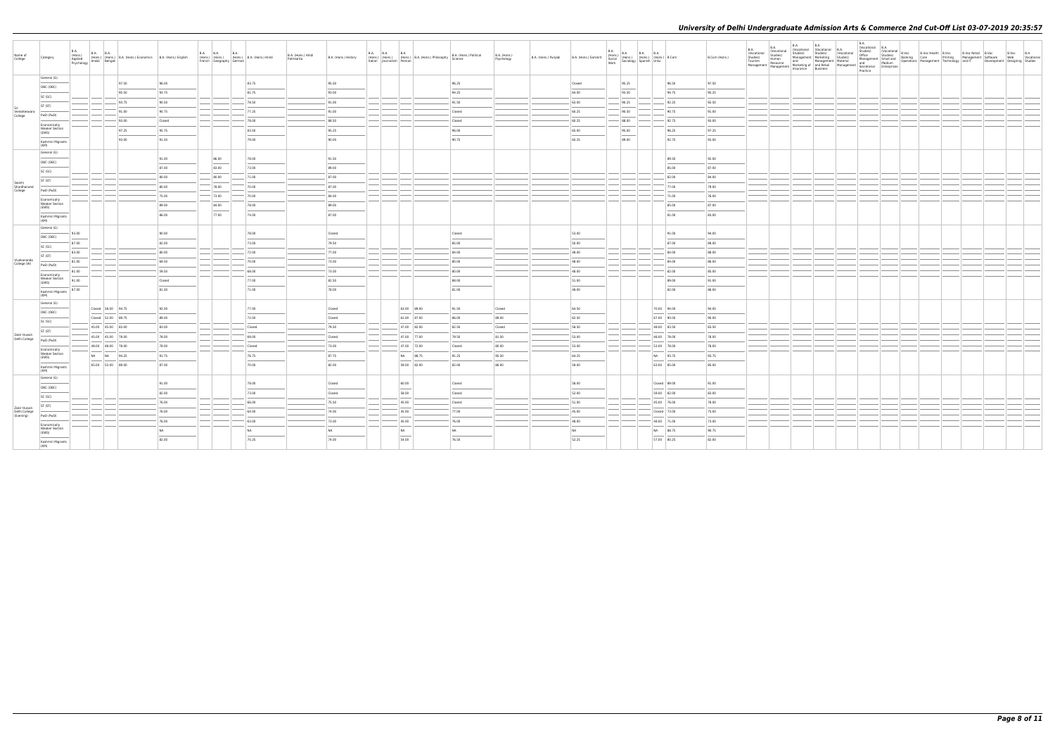| Name of<br>College              | Category                                | B.A.<br>(Hons.)<br>Applied | <b>B.A. B.A.</b><br>Psychology Arabic Bengali | (Hons.) (Hons.) B.A. (Hons.) Economics B.A. (Hons.) English |                | <b>B.A. B.A.</b><br>B.A.<br>(Hons.) (Hons.) (Hons.) B.A. (Hons.) Hindi<br>French Geography German |                | B.A. (Hons.) Hindi<br>Patrikarita | B.A. (Hons.) History | <b>B.A. B.A.</b><br>Italian Journalism Persian | <b>B.A.</b><br>(Hons.)   (Hons.)   (Hons.)   B.A. (Hons.) Philosophy | B.A. (Hons.) Political<br>Science | B.A. (Hons.)<br>Psychology | B.A. (Hons.) Punjabi | B.A. (Hons.) Sanskrit |                | B.A. (Hons.) B.A. B.A. B.A. (Hons.) B.Com<br>Social (Hons.) (Hons.) (Hons.) B.Com<br>Work Sociology Spanish Urdu |                | B.Com (Hons.)  | B.A.<br>(Vocational<br>Studies)<br>Tourism | $\begin{tabular}{c c c} $\mathsf{BA}$ & $\mathsf{BA}$ \\ \hline \texttt{~~and} & (Vocational & (Vocational) & \texttt{BA} \\ \hline \texttt{~~and} & \texttt{Student} & (Vocational) \\ \hline \texttt{~~all} & \texttt{Student} & \texttt{inductional} \\ \hline \texttt{~~all} & \texttt{Maman} & \texttt{Margement} & \texttt{Maveline} \\ \texttt{~and} & \texttt{Mengement} & \texttt{Mave} \\ \hline \texttt{~Mangement} & \texttt{Mave} \\ \end{tabular} \hspace{1.5cm} \begin{tabular}{c} $\mathsf{BA}$ & $\$<br>Management Management Marketing or and news-<br>Insurance Business | (Vocational | <b>B.A.</b><br>(Vocational B.A.<br>Practice |  | Vocational B.Voc<br>Office Studies) (Vocational B.Voc<br>Office Studies) (Vocational Banking Care Printing Management Software<br>Management Small and Deperations Management Technology and IT Development<br>thand Medium Operations |  | B.Voc B.A<br>Web Vocational<br>Development Designing Studies |
|---------------------------------|-----------------------------------------|----------------------------|-----------------------------------------------|-------------------------------------------------------------|----------------|---------------------------------------------------------------------------------------------------|----------------|-----------------------------------|----------------------|------------------------------------------------|----------------------------------------------------------------------|-----------------------------------|----------------------------|----------------------|-----------------------|----------------|------------------------------------------------------------------------------------------------------------------|----------------|----------------|--------------------------------------------|---------------------------------------------------------------------------------------------------------------------------------------------------------------------------------------------------------------------------------------------------------------------------------------------------------------------------------------------------------------------------------------------------------------------------------------------------------------------------------------------------------------------------------------------------------------------------------------------|-------------|---------------------------------------------|--|----------------------------------------------------------------------------------------------------------------------------------------------------------------------------------------------------------------------------------------|--|--------------------------------------------------------------|
|                                 | General (G)<br>OBC (OBC)                |                            |                                               | 97.50<br>95.50                                              | 96.00<br>93.75 |                                                                                                   | 83.75<br>81.75 |                                   | 95.50<br>93.00       |                                                |                                                                      | 96.25<br>94.25                    |                            |                      | Closed<br>64.00       | 95.25<br>93.50 |                                                                                                                  | 96.50<br>94.75 | 97.50<br>95.25 |                                            |                                                                                                                                                                                                                                                                                                                                                                                                                                                                                                                                                                                             |             |                                             |  |                                                                                                                                                                                                                                        |  |                                                              |
|                                 | SC (SC)                                 |                            |                                               |                                                             |                |                                                                                                   |                |                                   |                      |                                                |                                                                      |                                   |                            |                      |                       |                |                                                                                                                  |                |                |                                            |                                                                                                                                                                                                                                                                                                                                                                                                                                                                                                                                                                                             |             |                                             |  |                                                                                                                                                                                                                                        |  |                                                              |
|                                 | ST (ST)                                 |                            |                                               | 93.75                                                       | 90.50          |                                                                                                   | 78.50          |                                   | 91.00                |                                                |                                                                      | 91.50                             |                            |                      | 63.00                 | 90.25          |                                                                                                                  | 92.25          | 92.50          |                                            |                                                                                                                                                                                                                                                                                                                                                                                                                                                                                                                                                                                             |             |                                             |  |                                                                                                                                                                                                                                        |  |                                                              |
| Venketeswara<br>College         | PwD (PwD)                               |                            |                                               | 91.00                                                       | 90.75          |                                                                                                   | 77.25          |                                   | 91.00                |                                                |                                                                      | Closed                            |                            |                      | 60.25                 | 90.50          |                                                                                                                  | 90.75          | 91.00          |                                            |                                                                                                                                                                                                                                                                                                                                                                                                                                                                                                                                                                                             |             |                                             |  |                                                                                                                                                                                                                                        |  |                                                              |
|                                 | Fronomically                            |                            |                                               | 93.00                                                       | Closed         |                                                                                                   | 78.00          |                                   | 88.50                |                                                |                                                                      | Closed                            |                            |                      | 60.25                 | 88.00          |                                                                                                                  | 92.75          | 93.00          |                                            |                                                                                                                                                                                                                                                                                                                                                                                                                                                                                                                                                                                             |             |                                             |  |                                                                                                                                                                                                                                        |  |                                                              |
|                                 | Weaker Section<br>(EWS)                 |                            |                                               | 97.25                                                       | 95.75          |                                                                                                   | 83.50          |                                   | 95.25                |                                                |                                                                      | 96.00                             |                            |                      | 65.00                 | 95.00          |                                                                                                                  | 96.25          | 97.25          |                                            |                                                                                                                                                                                                                                                                                                                                                                                                                                                                                                                                                                                             |             |                                             |  |                                                                                                                                                                                                                                        |  |                                                              |
|                                 | Kashmiri Migrants<br>(KM)               |                            |                                               | 93.00                                                       | 91.50          |                                                                                                   | 79.00          |                                   | 90.00                |                                                |                                                                      | 90.75                             |                            |                      | 60.25                 | 89.00          |                                                                                                                  | 92.75          | 93.00          |                                            |                                                                                                                                                                                                                                                                                                                                                                                                                                                                                                                                                                                             |             |                                             |  |                                                                                                                                                                                                                                        |  |                                                              |
|                                 | General (G)                             |                            |                                               |                                                             |                |                                                                                                   |                |                                   |                      |                                                |                                                                      |                                   |                            |                      |                       |                |                                                                                                                  |                |                |                                            |                                                                                                                                                                                                                                                                                                                                                                                                                                                                                                                                                                                             |             |                                             |  |                                                                                                                                                                                                                                        |  |                                                              |
|                                 | OBC (OBC)                               |                            |                                               |                                                             | 91.00          | 86.00                                                                                             | 78.00          |                                   | 91.50                |                                                |                                                                      |                                   |                            |                      |                       |                |                                                                                                                  | 89.50          | 92.00          |                                            |                                                                                                                                                                                                                                                                                                                                                                                                                                                                                                                                                                                             |             |                                             |  |                                                                                                                                                                                                                                        |  |                                                              |
|                                 | SC (SC)                                 |                            |                                               |                                                             | 87.00          | 83.00                                                                                             | 73.00          |                                   | 89.00                |                                                |                                                                      |                                   |                            |                      |                       |                |                                                                                                                  | 85.00          | 87.00          |                                            |                                                                                                                                                                                                                                                                                                                                                                                                                                                                                                                                                                                             |             |                                             |  |                                                                                                                                                                                                                                        |  |                                                              |
|                                 | ST (ST)                                 |                            |                                               |                                                             | 80.00          | 80.00                                                                                             | 71.00          |                                   | 87.00                |                                                |                                                                      |                                   |                            |                      |                       |                |                                                                                                                  | 82.00          | 84.00          |                                            |                                                                                                                                                                                                                                                                                                                                                                                                                                                                                                                                                                                             |             |                                             |  |                                                                                                                                                                                                                                        |  |                                                              |
| Swami<br>Shardhanand<br>College | PwD (PwD)                               |                            |                                               |                                                             | 80.00          | 78.00                                                                                             | 70.00          |                                   | 87.00                |                                                |                                                                      |                                   |                            |                      |                       |                |                                                                                                                  | 77.00          | 79.00          |                                            |                                                                                                                                                                                                                                                                                                                                                                                                                                                                                                                                                                                             |             |                                             |  |                                                                                                                                                                                                                                        |  |                                                              |
|                                 |                                         |                            |                                               |                                                             | 75.00          | 73.00                                                                                             | 70.00          |                                   | 84.00                |                                                |                                                                      |                                   |                            |                      |                       |                |                                                                                                                  | 71.00          | 76.00          |                                            |                                                                                                                                                                                                                                                                                                                                                                                                                                                                                                                                                                                             |             |                                             |  |                                                                                                                                                                                                                                        |  |                                                              |
|                                 | Economically<br>Weaker Section<br>(EWS) |                            |                                               |                                                             | 89.00          | 84.00                                                                                             | 78.00          |                                   | 89.00                |                                                |                                                                      |                                   |                            |                      |                       |                |                                                                                                                  | 85.00          | 87.00          |                                            |                                                                                                                                                                                                                                                                                                                                                                                                                                                                                                                                                                                             |             |                                             |  |                                                                                                                                                                                                                                        |  |                                                              |
|                                 | Kashmiri Migrants                       |                            |                                               |                                                             | 86.00          | 77.00                                                                                             | 74.00          |                                   | 87.00                |                                                |                                                                      |                                   |                            |                      |                       |                |                                                                                                                  | 81.00          | 83.00          |                                            |                                                                                                                                                                                                                                                                                                                                                                                                                                                                                                                                                                                             |             |                                             |  |                                                                                                                                                                                                                                        |  |                                                              |
|                                 | (KM)                                    |                            |                                               |                                                             |                |                                                                                                   |                |                                   |                      |                                                |                                                                      |                                   |                            |                      |                       |                |                                                                                                                  |                |                |                                            |                                                                                                                                                                                                                                                                                                                                                                                                                                                                                                                                                                                             |             |                                             |  |                                                                                                                                                                                                                                        |  |                                                              |
|                                 | General (G)                             | 93.00                      |                                               |                                                             | 90.00          |                                                                                                   | 78.00          |                                   | Closed               |                                                |                                                                      | Closed                            |                            |                      | 53.00                 |                |                                                                                                                  | 91.00          | 94.00          |                                            |                                                                                                                                                                                                                                                                                                                                                                                                                                                                                                                                                                                             |             |                                             |  |                                                                                                                                                                                                                                        |  |                                                              |
|                                 | OBC (OBC)                               | 87.00                      |                                               |                                                             | 82.00          |                                                                                                   | 73.00          |                                   | 79.50                |                                                |                                                                      | 85.00                             |                            |                      | 50.00                 |                |                                                                                                                  | 87.00          | 89.00          |                                            |                                                                                                                                                                                                                                                                                                                                                                                                                                                                                                                                                                                             |             |                                             |  |                                                                                                                                                                                                                                        |  |                                                              |
|                                 | SC (SC)                                 | 83.00                      |                                               |                                                             | 80.00          |                                                                                                   | ,  72.00       |                                   | 77.00                |                                                |                                                                      | 84.00                             |                            |                      | 48.00                 |                |                                                                                                                  | 84.00          | 88.00          |                                            |                                                                                                                                                                                                                                                                                                                                                                                                                                                                                                                                                                                             |             |                                             |  |                                                                                                                                                                                                                                        |  |                                                              |
| Vivekananda                     | ST (ST)                                 | 81.00                      |                                               |                                                             | 69.50          |                                                                                                   | 70.00          |                                   | 73.00                |                                                |                                                                      | 80.00                             |                            |                      | 48.00                 |                |                                                                                                                  | 84.00          | 86.00          |                                            |                                                                                                                                                                                                                                                                                                                                                                                                                                                                                                                                                                                             |             |                                             |  |                                                                                                                                                                                                                                        |  |                                                              |
| College (W)                     | PwD (PwD)                               | 81.00                      |                                               |                                                             | 59.50          |                                                                                                   | 68.00          |                                   | 73.00                |                                                |                                                                      | 80.00                             |                            |                      | 48.00                 |                |                                                                                                                  | 82.00          | 85.00          |                                            |                                                                                                                                                                                                                                                                                                                                                                                                                                                                                                                                                                                             |             |                                             |  |                                                                                                                                                                                                                                        |  |                                                              |
|                                 | Economically<br><b>Weaker Section</b>   |                            |                                               |                                                             |                |                                                                                                   |                |                                   |                      |                                                |                                                                      |                                   |                            |                      |                       |                |                                                                                                                  |                |                |                                            |                                                                                                                                                                                                                                                                                                                                                                                                                                                                                                                                                                                             |             |                                             |  |                                                                                                                                                                                                                                        |  |                                                              |
|                                 | (EWS)                                   | 91.00                      |                                               |                                                             | Closed         |                                                                                                   | 77.00          |                                   | 82.50                |                                                |                                                                      | 88.00                             |                            |                      | 51.00                 |                |                                                                                                                  | 89.00          | 91.00          |                                            |                                                                                                                                                                                                                                                                                                                                                                                                                                                                                                                                                                                             |             |                                             |  |                                                                                                                                                                                                                                        |  |                                                              |
|                                 | Kashmiri Migrants<br>(KM)               | 87.00                      |                                               |                                                             | 81.00          |                                                                                                   | 71.00          |                                   | 78.00                |                                                |                                                                      | 81.00                             |                            |                      | 48.00                 |                |                                                                                                                  | 82.00          | 86.00          |                                            |                                                                                                                                                                                                                                                                                                                                                                                                                                                                                                                                                                                             |             |                                             |  |                                                                                                                                                                                                                                        |  |                                                              |
|                                 | General (G)                             |                            |                                               | Closed 58.00 94.75                                          | 92.00          |                                                                                                   | 77.00          |                                   | Closed               |                                                | 63.00 89.00                                                          | 91.50                             | Closed                     |                      | 64.50                 |                | 70.00 94.00                                                                                                      |                | 94.00          |                                            |                                                                                                                                                                                                                                                                                                                                                                                                                                                                                                                                                                                             |             |                                             |  |                                                                                                                                                                                                                                        |  |                                                              |
|                                 | OBC (OBC)                               |                            |                                               |                                                             |                |                                                                                                   |                |                                   |                      |                                                |                                                                      |                                   |                            |                      |                       |                |                                                                                                                  |                |                |                                            |                                                                                                                                                                                                                                                                                                                                                                                                                                                                                                                                                                                             |             |                                             |  |                                                                                                                                                                                                                                        |  |                                                              |
|                                 | SC (SC)                                 |                            |                                               | Closed 52.00 89.75                                          | 89.00          |                                                                                                   | 72.00          |                                   | Closed               |                                                | 61.00 87.00                                                          | 86.00                             | 89.00                      |                      | 62.50                 |                | 67.00 90.00                                                                                                      |                | 90.00          |                                            |                                                                                                                                                                                                                                                                                                                                                                                                                                                                                                                                                                                             |             |                                             |  |                                                                                                                                                                                                                                        |  |                                                              |
| Zakir Husain                    | ST (ST)                                 |                            |                                               | 45.00 45.00 83.00                                           | 83.00          |                                                                                                   | Closed         |                                   | 79.50                |                                                | 47.00 82.00                                                          | 82.50                             | Closed                     |                      | 58.50                 |                | 48.00 83.50                                                                                                      |                | 83.50          |                                            |                                                                                                                                                                                                                                                                                                                                                                                                                                                                                                                                                                                             |             |                                             |  |                                                                                                                                                                                                                                        |  |                                                              |
| Delhi College                   | PwD (PwD)                               |                            |                                               | 45.00 45.00 78.00                                           | 78.00          |                                                                                                   | 69.00          |                                   | Closed               |                                                | 47.00 77.00                                                          | 79.50                             | 81.50                      |                      | 53.00                 |                | 48.00 78.00                                                                                                      |                | 78.00          |                                            |                                                                                                                                                                                                                                                                                                                                                                                                                                                                                                                                                                                             |             |                                             |  |                                                                                                                                                                                                                                        |  |                                                              |
|                                 | Economically                            |                            |                                               | 48.00 48.00 78.00                                           | 78.00          |                                                                                                   | Closed         |                                   | 73.00                |                                                | 47.00 72.00                                                          | Closed                            | 80.00                      |                      | 53.00                 |                | 53.00 78.00                                                                                                      |                | 78.00          |                                            |                                                                                                                                                                                                                                                                                                                                                                                                                                                                                                                                                                                             |             |                                             |  |                                                                                                                                                                                                                                        |  |                                                              |
|                                 | <b>Weaker Section</b><br>(EWS)          |                            |                                               | NA NA 94.25                                                 | 91.75          |                                                                                                   | 76.75          |                                   | 87.75                |                                                | NA 88.75                                                             | 91.25                             | 95.50                      |                      | 64.25                 |                | NA 93.75                                                                                                         |                | 93.75          |                                            |                                                                                                                                                                                                                                                                                                                                                                                                                                                                                                                                                                                             |             |                                             |  |                                                                                                                                                                                                                                        |  |                                                              |
|                                 | Kashmiri Migrants<br>(KM)               |                            |                                               | 65.00 53.00 89.00                                           | 87.00          |                                                                                                   | 70.00          |                                   | 82.00                |                                                | 59.00 82.00                                                          | 82.00                             | 86.00                      |                      | 59.00                 |                | 63.00 85.00                                                                                                      |                | 85.00          |                                            |                                                                                                                                                                                                                                                                                                                                                                                                                                                                                                                                                                                             |             |                                             |  |                                                                                                                                                                                                                                        |  |                                                              |
|                                 | General (G)                             |                            |                                               |                                                             |                |                                                                                                   |                |                                   |                      |                                                |                                                                      |                                   |                            |                      |                       |                |                                                                                                                  |                |                |                                            |                                                                                                                                                                                                                                                                                                                                                                                                                                                                                                                                                                                             |             |                                             |  |                                                                                                                                                                                                                                        |  |                                                              |
|                                 | OBC (OBC)                               |                            |                                               |                                                             | 91.00          |                                                                                                   | 78.00          |                                   | Closed               |                                                | 60.00                                                                | Closed                            |                            |                      | 58.00                 |                | Closed 89.00                                                                                                     |                | 91.00          |                                            |                                                                                                                                                                                                                                                                                                                                                                                                                                                                                                                                                                                             |             |                                             |  |                                                                                                                                                                                                                                        |  |                                                              |
|                                 | SC (SC)                                 |                            |                                               |                                                             | 82.00          |                                                                                                   | 73.00          |                                   | Closed               |                                                | 58.00                                                                | Closed                            |                            |                      | 52.00                 |                | 59.00 82.00                                                                                                      |                | 83.00          |                                            |                                                                                                                                                                                                                                                                                                                                                                                                                                                                                                                                                                                             |             |                                             |  |                                                                                                                                                                                                                                        |  |                                                              |
| Zakir Husain                    | ST (ST)                                 |                            |                                               |                                                             | 76.00          |                                                                                                   | 66.00          |                                   | 75.50                |                                                | 45.00                                                                | Closed                            |                            |                      | 51.00                 |                | 45.00 76.00                                                                                                      |                | 78.00          |                                            |                                                                                                                                                                                                                                                                                                                                                                                                                                                                                                                                                                                             |             |                                             |  |                                                                                                                                                                                                                                        |  |                                                              |
| Delhi College<br>(Evening)      | PwD (PwD)                               |                            |                                               |                                                             | 76.00          |                                                                                                   | 64.00          |                                   | 74.00                |                                                | 45.00                                                                | 77.00                             |                            |                      | 45.00                 |                | Closed 73.00                                                                                                     |                | 75.00          |                                            |                                                                                                                                                                                                                                                                                                                                                                                                                                                                                                                                                                                             |             |                                             |  |                                                                                                                                                                                                                                        |  |                                                              |
|                                 | Economically                            |                            |                                               |                                                             | 76.00          |                                                                                                   | 63.00          |                                   | 73.00                |                                                | 45.00                                                                | 76.00                             |                            |                      | 48.00                 |                | 48.00 71.00                                                                                                      |                | 73.00          |                                            |                                                                                                                                                                                                                                                                                                                                                                                                                                                                                                                                                                                             |             |                                             |  |                                                                                                                                                                                                                                        |  |                                                              |
|                                 | <b>Weaker Section</b><br>(EWS)          |                            |                                               |                                                             | <b>NA</b>      |                                                                                                   | <b>NA</b>      |                                   | NA                   |                                                | NA                                                                   | NA                                |                            |                      | <b>NA</b>             |                | NA 88.75                                                                                                         |                | 90.75          |                                            |                                                                                                                                                                                                                                                                                                                                                                                                                                                                                                                                                                                             |             |                                             |  |                                                                                                                                                                                                                                        |  |                                                              |
|                                 | Kashmiri Migrants                       |                            |                                               |                                                             | 82.00          |                                                                                                   | 70.25          |                                   | 74.00                |                                                | 54.00                                                                | 76.50                             |                            |                      | 52.25                 |                | 57.00 80.25                                                                                                      |                | 82.00          |                                            |                                                                                                                                                                                                                                                                                                                                                                                                                                                                                                                                                                                             |             |                                             |  |                                                                                                                                                                                                                                        |  |                                                              |
|                                 | (KM)                                    |                            |                                               |                                                             |                |                                                                                                   |                |                                   |                      |                                                |                                                                      |                                   |                            |                      |                       |                |                                                                                                                  |                |                |                                            |                                                                                                                                                                                                                                                                                                                                                                                                                                                                                                                                                                                             |             |                                             |  |                                                                                                                                                                                                                                        |  |                                                              |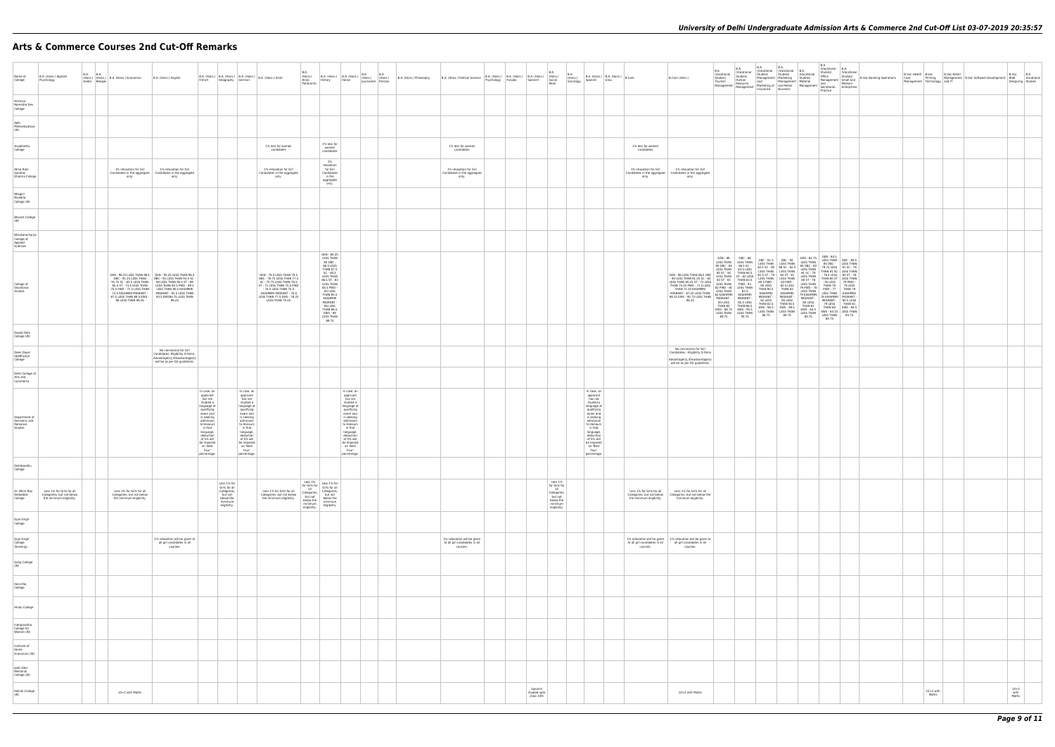# **Arts & Commerce Courses 2nd Cut-Off Remarks**

| Name of<br>College                                  | B.A. (Hons.) Applied<br>Psychology                                                 | <b>B.A. B.A.</b> | (Hons.) (Hons.) B.A. (Hons.) Economics<br>Arabic Bengali                                                                                                         | B.A. (Hons.) English                                                                                                                                                                                                                                             | French                                                                                                                                                                                                                                  | Geography German                                                                               |                                                                                                                                                                                                                                         | $\left  \begin{array}{c c c c} B.A. (Hons.) & B.A. (Hons.) & B.A. (Hons.) & B.A. (Hons.) & Hindi \end{array} \right $                                                                                                    | B.A.<br>(Hons.)<br>Hindi<br>Patrikarita                                          |                                                                                                                                                                                                                                                                       |                                                                                                                                                                                                                                         | B.A. (Hons.) B.A. (Hons.) B.A. (Hons.) B.A. (Hons.) (Hons.) (Hons.) (Hons.) | B.A. (Hons.) Philosophy | B.A. (Hons.) Political Science                                           |  | B.A.<br>$\begin{tabular}{  l   l   l   l  } \hline B.A. (Hons.) & B.A. (Hons.) & B.A. (Hons.) & (Hons.) \\ \hline {\color{red}Pexchologv} & \color{red}Punjabi & \color{red}Sanskrit & \color{red}Social \\ \hline \end{tabular}$ | <b>B.A.</b><br>Work                                                                               | (Hons.)<br>Sociology<br>Spanish                                                                                                                                                                                                         | $B.A.$ (Hons.) $B.A.$ (Hons.) $B.Com$<br>Urdu |                                                                                    | B.Com (Hons.)                                                                                                                                                                                                         | B.A.<br>(Vocational<br>Studies)<br>Tourism                     | <b>B.A.</b><br>(Vocational<br>Studies)<br>Human<br>Tourism<br>Management Management                                                                                                                                                                                                                                               | B.A.<br>(Vocational (Vocational<br>Studies)<br>Management   Marketing<br>and<br>Marketing of Managemen<br>Marketing of and Retail<br>Insurance Business                                                                                                                                  | B.A.<br>Studies)                                                                          |
|-----------------------------------------------------|------------------------------------------------------------------------------------|------------------|------------------------------------------------------------------------------------------------------------------------------------------------------------------|------------------------------------------------------------------------------------------------------------------------------------------------------------------------------------------------------------------------------------------------------------------|-----------------------------------------------------------------------------------------------------------------------------------------------------------------------------------------------------------------------------------------|------------------------------------------------------------------------------------------------|-----------------------------------------------------------------------------------------------------------------------------------------------------------------------------------------------------------------------------------------|--------------------------------------------------------------------------------------------------------------------------------------------------------------------------------------------------------------------------|----------------------------------------------------------------------------------|-----------------------------------------------------------------------------------------------------------------------------------------------------------------------------------------------------------------------------------------------------------------------|-----------------------------------------------------------------------------------------------------------------------------------------------------------------------------------------------------------------------------------------|-----------------------------------------------------------------------------|-------------------------|--------------------------------------------------------------------------|--|-----------------------------------------------------------------------------------------------------------------------------------------------------------------------------------------------------------------------------------|---------------------------------------------------------------------------------------------------|-----------------------------------------------------------------------------------------------------------------------------------------------------------------------------------------------------------------------------------------|-----------------------------------------------|------------------------------------------------------------------------------------|-----------------------------------------------------------------------------------------------------------------------------------------------------------------------------------------------------------------------|----------------------------------------------------------------|-----------------------------------------------------------------------------------------------------------------------------------------------------------------------------------------------------------------------------------------------------------------------------------------------------------------------------------|------------------------------------------------------------------------------------------------------------------------------------------------------------------------------------------------------------------------------------------------------------------------------------------|-------------------------------------------------------------------------------------------|
| Acharya<br>Narendra Dev<br>College                  |                                                                                    |                  |                                                                                                                                                                  |                                                                                                                                                                                                                                                                  |                                                                                                                                                                                                                                         |                                                                                                |                                                                                                                                                                                                                                         |                                                                                                                                                                                                                          |                                                                                  |                                                                                                                                                                                                                                                                       |                                                                                                                                                                                                                                         |                                                                             |                         |                                                                          |  |                                                                                                                                                                                                                                   |                                                                                                   |                                                                                                                                                                                                                                         |                                               |                                                                                    |                                                                                                                                                                                                                       |                                                                |                                                                                                                                                                                                                                                                                                                                   |                                                                                                                                                                                                                                                                                          |                                                                                           |
| Aditi<br>Mahavidyalaya<br>(W)                       |                                                                                    |                  |                                                                                                                                                                  |                                                                                                                                                                                                                                                                  |                                                                                                                                                                                                                                         |                                                                                                |                                                                                                                                                                                                                                         |                                                                                                                                                                                                                          |                                                                                  |                                                                                                                                                                                                                                                                       |                                                                                                                                                                                                                                         |                                                                             |                         |                                                                          |  |                                                                                                                                                                                                                                   |                                                                                                   |                                                                                                                                                                                                                                         |                                               |                                                                                    |                                                                                                                                                                                                                       |                                                                |                                                                                                                                                                                                                                                                                                                                   |                                                                                                                                                                                                                                                                                          |                                                                                           |
| Aryabhatta<br>College                               |                                                                                    |                  |                                                                                                                                                                  |                                                                                                                                                                                                                                                                  |                                                                                                                                                                                                                                         |                                                                                                |                                                                                                                                                                                                                                         | 1% less for women<br>candidates                                                                                                                                                                                          |                                                                                  | 1% less for<br>women<br>candidates                                                                                                                                                                                                                                    |                                                                                                                                                                                                                                         |                                                                             |                         | 1% less for women<br>candidates                                          |  |                                                                                                                                                                                                                                   |                                                                                                   |                                                                                                                                                                                                                                         |                                               | 1% less for women<br>candidates                                                    |                                                                                                                                                                                                                       |                                                                |                                                                                                                                                                                                                                                                                                                                   |                                                                                                                                                                                                                                                                                          |                                                                                           |
| Atma Ram<br>Sanatan<br>Dharma College               |                                                                                    |                  | 1% relaxation for Girl<br>only.                                                                                                                                  | 1% relaxation for Girl<br>Candidates in the aggregate   Candidates in the aggregate<br>only.                                                                                                                                                                     |                                                                                                                                                                                                                                         |                                                                                                |                                                                                                                                                                                                                                         | 1% relaxation for Girl<br>Candidates in the aggregate<br>only.                                                                                                                                                           |                                                                                  | 1%<br>relaxation<br>for Girl<br>Candidates<br>in the<br>aggregate<br>only.                                                                                                                                                                                            |                                                                                                                                                                                                                                         |                                                                             |                         | 1% relaxation for Girl<br>Candidates in the aggregate<br>only.           |  |                                                                                                                                                                                                                                   |                                                                                                   |                                                                                                                                                                                                                                         |                                               | 1% relaxation for Girl<br>only.                                                    | 1% relaxation for Girl<br>Candidates in the aggregate   Candidates in the aggregate<br>only.                                                                                                                          |                                                                |                                                                                                                                                                                                                                                                                                                                   |                                                                                                                                                                                                                                                                                          |                                                                                           |
| Bhagini<br>Nivedita<br>College (W)                  |                                                                                    |                  |                                                                                                                                                                  |                                                                                                                                                                                                                                                                  |                                                                                                                                                                                                                                         |                                                                                                |                                                                                                                                                                                                                                         |                                                                                                                                                                                                                          |                                                                                  |                                                                                                                                                                                                                                                                       |                                                                                                                                                                                                                                         |                                                                             |                         |                                                                          |  |                                                                                                                                                                                                                                   |                                                                                                   |                                                                                                                                                                                                                                         |                                               |                                                                                    |                                                                                                                                                                                                                       |                                                                |                                                                                                                                                                                                                                                                                                                                   |                                                                                                                                                                                                                                                                                          |                                                                                           |
| <b>Bharati College</b><br>(W)                       |                                                                                    |                  |                                                                                                                                                                  |                                                                                                                                                                                                                                                                  |                                                                                                                                                                                                                                         |                                                                                                |                                                                                                                                                                                                                                         |                                                                                                                                                                                                                          |                                                                                  |                                                                                                                                                                                                                                                                       |                                                                                                                                                                                                                                         |                                                                             |                         |                                                                          |  |                                                                                                                                                                                                                                   |                                                                                                   |                                                                                                                                                                                                                                         |                                               |                                                                                    |                                                                                                                                                                                                                       |                                                                |                                                                                                                                                                                                                                                                                                                                   |                                                                                                                                                                                                                                                                                          |                                                                                           |
| Bhaskaracharya<br>College of<br>Applied<br>Sciences |                                                                                    |                  |                                                                                                                                                                  |                                                                                                                                                                                                                                                                  |                                                                                                                                                                                                                                         |                                                                                                |                                                                                                                                                                                                                                         |                                                                                                                                                                                                                          |                                                                                  |                                                                                                                                                                                                                                                                       |                                                                                                                                                                                                                                         |                                                                             |                         |                                                                          |  |                                                                                                                                                                                                                                   |                                                                                                   |                                                                                                                                                                                                                                         |                                               |                                                                                    |                                                                                                                                                                                                                       |                                                                |                                                                                                                                                                                                                                                                                                                                   |                                                                                                                                                                                                                                                                                          |                                                                                           |
| College of<br>Vocational<br>Studies                 |                                                                                    |                  | 91.75 SC - 83.5 LESS THAN<br>85.5 ST - 73.5 LESS THAN<br>75.5 PWD - 71.5 LESS THAN<br>72.5 KASHMIRI MIGRANT -<br>87.5 LESS THAN 88.5 EWS -<br>96 LESS THAN 96.25 | GEN - 96.25 LESS THAN 96.5 GEN - 95.25 LESS THAN 96.5<br>OBC - 91.25 LESS THAN OBC - 92 LESS THAN 93.5 SC -<br>89 LESS THAN 90.5 ST - 89<br>LESS THAN 90.5 PWD - 89.5<br>LESS THAN 90.5 KASHMIRI<br>MIGRANT - 92.5 LESS THAN<br>93.5 EWS94.75 LESS THAN<br>96.25 |                                                                                                                                                                                                                                         |                                                                                                |                                                                                                                                                                                                                                         | GEN - 78.5 LESS THAN 79.5<br>OBC - 76.75 LESS THAN 77.5<br>SC - 75.75 LESS THAN 76.5<br>ST - 71 LESS THAN 75.5 PWD<br>- 74.5 LESS THAN 75.5<br>.KASHMIRI MIGRANT - 76.5<br>LESS THAN 77.5 EWS - 78.25<br>LESS THAN 79.25 |                                                                                  | GEN - 89.25<br><b>LESS THAN</b><br>90 OBC -<br>86.5 LESS<br><b>THAN 87.5</b><br>$SC - 85.5$<br>LESS THAN<br>86.5 ST - 83<br>85.5 PWD -<br>85 LESS<br><b>THAN 85.5</b><br>KASHMIRI<br>MIGRANT-<br>86 LESS<br><b>THAN 86.5</b><br>EWS - 89<br><b>LESS THAN</b><br>89.75 |                                                                                                                                                                                                                                         |                                                                             |                         |                                                                          |  |                                                                                                                                                                                                                                   |                                                                                                   |                                                                                                                                                                                                                                         |                                               |                                                                                    | GEN - 96 LESS THAN 96.5 OBC<br>- 90 LESS THAN 91.25 SC - 83<br>LESS THAN 85.25 ST - 72 LESS<br>THAN 75.25 PWD - 71.5 LESS<br>THAN 72.25 KASHMIRI<br>MIGRANT - 87.25 LESS THAN<br>88.25 EWS - 95.75 LESS THAN<br>96.25 | GEN - 89<br>85 SC - 82<br><b>LESS THAN</b><br>84 LESS<br>89.75 | OBC - 86<br>LESS THAN LESS THAN<br>90 OBC - 84 86.5 SC -<br>LESS THAN 83.5 LESS<br><b>THAN 84.5</b><br>LESS THAN ST - 82 LESS<br>83 ST - 81 THAN 83.5<br>82 PWD - 81 LESS THAN<br>83.5<br>82 KASHMIRI KASHMIRI<br>MIGRANT - MIGRANT -<br>85.5 LESS<br>THAN 85 THAN 86.5<br>EWS - 88.75 EWS - 90.5<br>LESS THAN LESS THAN<br>90.75 | OBC-81.5 OBC-85<br>LESS THAN LESS THAN<br>82.5 SC - 80 86 SC - 82.5<br>LESS THAN LESS THAN<br>81.5 ST - 79 84 ST - 81<br>LESS THAN LESS THAN<br>80.5 PWD -<br>80 LESS<br>THAN 80.5<br>KASHMIRI<br>MIGRANT -<br>82 LESS<br>THAN 82.5<br>EWS-86.5 EWS-89.5<br>LESS THAN LESS THAN<br>86.75 | 83 PWD -<br>82.5 LESS<br>THAN 83<br>KASHMIRI<br>MIGRANT-<br>85 LESS<br>THAN 85.5<br>89.75 |
| Daulat Ram<br>College (W)                           |                                                                                    |                  |                                                                                                                                                                  |                                                                                                                                                                                                                                                                  |                                                                                                                                                                                                                                         |                                                                                                |                                                                                                                                                                                                                                         |                                                                                                                                                                                                                          |                                                                                  |                                                                                                                                                                                                                                                                       |                                                                                                                                                                                                                                         |                                                                             |                         |                                                                          |  |                                                                                                                                                                                                                                   |                                                                                                   |                                                                                                                                                                                                                                         |                                               |                                                                                    |                                                                                                                                                                                                                       |                                                                |                                                                                                                                                                                                                                                                                                                                   |                                                                                                                                                                                                                                                                                          |                                                                                           |
| Deen Dayal<br>Upadhyaya<br>College                  |                                                                                    |                  |                                                                                                                                                                  | No concession for Girl<br>Candidates. Eligibility Criteria<br>will be as per DU guidelines.                                                                                                                                                                      |                                                                                                                                                                                                                                         |                                                                                                |                                                                                                                                                                                                                                         |                                                                                                                                                                                                                          |                                                                                  |                                                                                                                                                                                                                                                                       |                                                                                                                                                                                                                                         |                                                                             |                         |                                                                          |  |                                                                                                                                                                                                                                   |                                                                                                   |                                                                                                                                                                                                                                         |                                               |                                                                                    | No concession for Girl<br>Candidates Eligibility Criteria<br>Advantage(s),/Disadvantage(s)<br>will be as per DU guidelines.                                                                                           |                                                                |                                                                                                                                                                                                                                                                                                                                   |                                                                                                                                                                                                                                                                                          |                                                                                           |
| Delhi College of<br>Arts and<br>Commerce            |                                                                                    |                  |                                                                                                                                                                  |                                                                                                                                                                                                                                                                  |                                                                                                                                                                                                                                         |                                                                                                |                                                                                                                                                                                                                                         |                                                                                                                                                                                                                          |                                                                                  |                                                                                                                                                                                                                                                                       |                                                                                                                                                                                                                                         |                                                                             |                         |                                                                          |  |                                                                                                                                                                                                                                   |                                                                                                   |                                                                                                                                                                                                                                         |                                               |                                                                                    |                                                                                                                                                                                                                       |                                                                |                                                                                                                                                                                                                                                                                                                                   |                                                                                                                                                                                                                                                                                          |                                                                                           |
| Department of<br>Germanic and<br>Romance<br>Studies |                                                                                    |                  |                                                                                                                                                                  |                                                                                                                                                                                                                                                                  | In case, an<br>applicant<br>has not<br>studied a<br>language at<br>qualifying<br>exam and<br>is seeking<br>admission<br>to Honours<br>in that<br>language,<br>deduction<br>of 5% will<br>be imposed<br>on 'Best<br>Four'<br>percentage. |                                                                                                | In case, an<br>applicant<br>has not<br>studied a<br>language at<br>qualifying<br>exam and<br>is seeking<br>admission<br>to Honours<br>in that<br>language,<br>deduction<br>of 5% will<br>be imposed<br>on 'Best<br>Four'<br>percentage. |                                                                                                                                                                                                                          |                                                                                  |                                                                                                                                                                                                                                                                       | In case, an<br>applicant<br>has not<br>studied a<br>language at<br>qualifying<br>exam and<br>is seeking<br>admission<br>to Honours<br>in that<br>language,<br>deduction<br>of 5% will<br>be imposed<br>on 'Best<br>Four'<br>percentage. |                                                                             |                         |                                                                          |  |                                                                                                                                                                                                                                   |                                                                                                   | In case, an<br>applicant<br>has not<br>studied a<br>language at<br>qualifying<br>exam and<br>is seeking<br>admission<br>to Honours<br>in that<br>language,<br>deduction<br>of 5% will<br>be imposed<br>on 'Best<br>Four'<br>percentage. |                                               |                                                                                    |                                                                                                                                                                                                                       |                                                                |                                                                                                                                                                                                                                                                                                                                   |                                                                                                                                                                                                                                                                                          |                                                                                           |
| Deshbandhu<br>College                               |                                                                                    |                  |                                                                                                                                                                  |                                                                                                                                                                                                                                                                  |                                                                                                                                                                                                                                         |                                                                                                |                                                                                                                                                                                                                                         |                                                                                                                                                                                                                          |                                                                                  |                                                                                                                                                                                                                                                                       |                                                                                                                                                                                                                                         |                                                                             |                         |                                                                          |  |                                                                                                                                                                                                                                   |                                                                                                   |                                                                                                                                                                                                                                         |                                               |                                                                                    |                                                                                                                                                                                                                       |                                                                |                                                                                                                                                                                                                                                                                                                                   |                                                                                                                                                                                                                                                                                          |                                                                                           |
| Dr. Bhim Rao<br>Ambedkar<br>College                 | Less 1% for Girls for all<br>Categories, but not below<br>the minimum eligibility. |                  | Less 1% for Girls for all<br>Categories, but not below<br>the minimum eligibility.                                                                               |                                                                                                                                                                                                                                                                  |                                                                                                                                                                                                                                         | Less 1% for<br>Girls for all<br>Categories,<br>but not<br>below the<br>minimum<br>eligibility. |                                                                                                                                                                                                                                         | Less 1% for Girls for all<br>Categories, but not below<br>the minimum eligibility.                                                                                                                                       | Less 1%<br>all<br>Categories,<br>but not<br>below the<br>minimum<br>eligibility. | Less 1% Less 1% for<br>for Girls for Girls for all<br>Categories,<br>but not<br>below the<br>minimum<br>eligibility.                                                                                                                                                  |                                                                                                                                                                                                                                         |                                                                             |                         |                                                                          |  |                                                                                                                                                                                                                                   | Less 1%<br>for Girls for<br>all<br>Categories,<br>but not<br>below the<br>minimum<br>eligibility. |                                                                                                                                                                                                                                         |                                               | Less 1% for Girls for all<br>Categories, but not below<br>the minimum eligibility. | Less 1% for Girls for all<br>Categories, but not below the<br>minimum eligibility.                                                                                                                                    |                                                                |                                                                                                                                                                                                                                                                                                                                   |                                                                                                                                                                                                                                                                                          |                                                                                           |
| Dyal Singh<br>College                               |                                                                                    |                  |                                                                                                                                                                  |                                                                                                                                                                                                                                                                  |                                                                                                                                                                                                                                         |                                                                                                |                                                                                                                                                                                                                                         |                                                                                                                                                                                                                          |                                                                                  |                                                                                                                                                                                                                                                                       |                                                                                                                                                                                                                                         |                                                                             |                         |                                                                          |  |                                                                                                                                                                                                                                   |                                                                                                   |                                                                                                                                                                                                                                         |                                               |                                                                                    |                                                                                                                                                                                                                       |                                                                |                                                                                                                                                                                                                                                                                                                                   |                                                                                                                                                                                                                                                                                          |                                                                                           |
| Dyal Singh<br>College<br>(Evening)                  |                                                                                    |                  |                                                                                                                                                                  | 1% relaxation will be given to<br>all girl candidates in all<br>courses.                                                                                                                                                                                         |                                                                                                                                                                                                                                         |                                                                                                |                                                                                                                                                                                                                                         |                                                                                                                                                                                                                          |                                                                                  |                                                                                                                                                                                                                                                                       |                                                                                                                                                                                                                                         |                                                                             |                         | 1% relaxation will be given<br>to all girl candidates in all<br>courses. |  |                                                                                                                                                                                                                                   |                                                                                                   |                                                                                                                                                                                                                                         |                                               | to all girl candidates in all<br>courses.                                          | 1% relaxation will be given   1% relaxation will be given to<br>all girl candidates in all<br>courses.                                                                                                                |                                                                |                                                                                                                                                                                                                                                                                                                                   |                                                                                                                                                                                                                                                                                          |                                                                                           |
| Gargi College<br>(W)                                |                                                                                    |                  |                                                                                                                                                                  |                                                                                                                                                                                                                                                                  |                                                                                                                                                                                                                                         |                                                                                                |                                                                                                                                                                                                                                         |                                                                                                                                                                                                                          |                                                                                  |                                                                                                                                                                                                                                                                       |                                                                                                                                                                                                                                         |                                                                             |                         |                                                                          |  |                                                                                                                                                                                                                                   |                                                                                                   |                                                                                                                                                                                                                                         |                                               |                                                                                    |                                                                                                                                                                                                                       |                                                                |                                                                                                                                                                                                                                                                                                                                   |                                                                                                                                                                                                                                                                                          |                                                                                           |
| Hans Raj<br>College                                 |                                                                                    |                  |                                                                                                                                                                  |                                                                                                                                                                                                                                                                  |                                                                                                                                                                                                                                         |                                                                                                |                                                                                                                                                                                                                                         |                                                                                                                                                                                                                          |                                                                                  |                                                                                                                                                                                                                                                                       |                                                                                                                                                                                                                                         |                                                                             |                         |                                                                          |  |                                                                                                                                                                                                                                   |                                                                                                   |                                                                                                                                                                                                                                         |                                               |                                                                                    |                                                                                                                                                                                                                       |                                                                |                                                                                                                                                                                                                                                                                                                                   |                                                                                                                                                                                                                                                                                          |                                                                                           |
| Hindu College                                       |                                                                                    |                  |                                                                                                                                                                  |                                                                                                                                                                                                                                                                  |                                                                                                                                                                                                                                         |                                                                                                |                                                                                                                                                                                                                                         |                                                                                                                                                                                                                          |                                                                                  |                                                                                                                                                                                                                                                                       |                                                                                                                                                                                                                                         |                                                                             |                         |                                                                          |  |                                                                                                                                                                                                                                   |                                                                                                   |                                                                                                                                                                                                                                         |                                               |                                                                                    |                                                                                                                                                                                                                       |                                                                |                                                                                                                                                                                                                                                                                                                                   |                                                                                                                                                                                                                                                                                          |                                                                                           |
| Indraprastha<br>College for<br>Women (W)            |                                                                                    |                  |                                                                                                                                                                  |                                                                                                                                                                                                                                                                  |                                                                                                                                                                                                                                         |                                                                                                |                                                                                                                                                                                                                                         |                                                                                                                                                                                                                          |                                                                                  |                                                                                                                                                                                                                                                                       |                                                                                                                                                                                                                                         |                                                                             |                         |                                                                          |  |                                                                                                                                                                                                                                   |                                                                                                   |                                                                                                                                                                                                                                         |                                               |                                                                                    |                                                                                                                                                                                                                       |                                                                |                                                                                                                                                                                                                                                                                                                                   |                                                                                                                                                                                                                                                                                          |                                                                                           |
| Institute of<br>Home<br>Economics (W)               |                                                                                    |                  |                                                                                                                                                                  |                                                                                                                                                                                                                                                                  |                                                                                                                                                                                                                                         |                                                                                                |                                                                                                                                                                                                                                         |                                                                                                                                                                                                                          |                                                                                  |                                                                                                                                                                                                                                                                       |                                                                                                                                                                                                                                         |                                                                             |                         |                                                                          |  |                                                                                                                                                                                                                                   |                                                                                                   |                                                                                                                                                                                                                                         |                                               |                                                                                    |                                                                                                                                                                                                                       |                                                                |                                                                                                                                                                                                                                                                                                                                   |                                                                                                                                                                                                                                                                                          |                                                                                           |
| Janki Devi<br>Memorial<br>College (W)               |                                                                                    |                  |                                                                                                                                                                  |                                                                                                                                                                                                                                                                  |                                                                                                                                                                                                                                         |                                                                                                |                                                                                                                                                                                                                                         |                                                                                                                                                                                                                          |                                                                                  |                                                                                                                                                                                                                                                                       |                                                                                                                                                                                                                                         |                                                                             |                         |                                                                          |  |                                                                                                                                                                                                                                   |                                                                                                   |                                                                                                                                                                                                                                         |                                               |                                                                                    |                                                                                                                                                                                                                       |                                                                |                                                                                                                                                                                                                                                                                                                                   |                                                                                                                                                                                                                                                                                          |                                                                                           |
| Kalindi College<br>(W)                              |                                                                                    |                  | 10+2 with Maths                                                                                                                                                  |                                                                                                                                                                                                                                                                  |                                                                                                                                                                                                                                         |                                                                                                |                                                                                                                                                                                                                                         |                                                                                                                                                                                                                          |                                                                                  |                                                                                                                                                                                                                                                                       |                                                                                                                                                                                                                                         |                                                                             |                         |                                                                          |  | Sanskrit<br>studied upto<br>class 10th                                                                                                                                                                                            |                                                                                                   |                                                                                                                                                                                                                                         |                                               |                                                                                    | 10+2 with Maths                                                                                                                                                                                                       |                                                                |                                                                                                                                                                                                                                                                                                                                   |                                                                                                                                                                                                                                                                                          |                                                                                           |
|                                                     |                                                                                    |                  |                                                                                                                                                                  |                                                                                                                                                                                                                                                                  |                                                                                                                                                                                                                                         |                                                                                                |                                                                                                                                                                                                                                         |                                                                                                                                                                                                                          |                                                                                  |                                                                                                                                                                                                                                                                       |                                                                                                                                                                                                                                         |                                                                             |                         |                                                                          |  |                                                                                                                                                                                                                                   |                                                                                                   |                                                                                                                                                                                                                                         |                                               |                                                                                    |                                                                                                                                                                                                                       |                                                                |                                                                                                                                                                                                                                                                                                                                   |                                                                                                                                                                                                                                                                                          |                                                                                           |

| B.A.<br>(Vocational<br>Studies)<br>Material<br>Management                                                                                                                             | B.A.<br>(Vocational<br>Studies)<br>Office<br>Management<br>nungeme<br>and<br>Secretarial<br>Practice                                                                                                                              | B.A.<br>(Vocational<br>Studies)<br>Small and<br>Medium<br>Enterprises                                                                                                                                 | <b>B.Voc Banking Operations</b> | B.Voc Health<br>Care<br>Management | B.Voc<br>Printing<br>Technology | <b>B.Voc Retail</b><br>Management<br>and IT | <b>B.Voc Software Development</b> | B.Voc<br>Web<br>Designing | B.A<br>Vocational<br>Studies |
|---------------------------------------------------------------------------------------------------------------------------------------------------------------------------------------|-----------------------------------------------------------------------------------------------------------------------------------------------------------------------------------------------------------------------------------|-------------------------------------------------------------------------------------------------------------------------------------------------------------------------------------------------------|---------------------------------|------------------------------------|---------------------------------|---------------------------------------------|-----------------------------------|---------------------------|------------------------------|
|                                                                                                                                                                                       |                                                                                                                                                                                                                                   |                                                                                                                                                                                                       |                                 |                                    |                                 |                                             |                                   |                           |                              |
|                                                                                                                                                                                       |                                                                                                                                                                                                                                   |                                                                                                                                                                                                       |                                 |                                    |                                 |                                             |                                   |                           |                              |
|                                                                                                                                                                                       |                                                                                                                                                                                                                                   |                                                                                                                                                                                                       |                                 |                                    |                                 |                                             |                                   |                           |                              |
|                                                                                                                                                                                       |                                                                                                                                                                                                                                   |                                                                                                                                                                                                       |                                 |                                    |                                 |                                             |                                   |                           |                              |
|                                                                                                                                                                                       |                                                                                                                                                                                                                                   |                                                                                                                                                                                                       |                                 |                                    |                                 |                                             |                                   |                           |                              |
|                                                                                                                                                                                       |                                                                                                                                                                                                                                   |                                                                                                                                                                                                       |                                 |                                    |                                 |                                             |                                   |                           |                              |
|                                                                                                                                                                                       |                                                                                                                                                                                                                                   |                                                                                                                                                                                                       |                                 |                                    |                                 |                                             |                                   |                           |                              |
|                                                                                                                                                                                       |                                                                                                                                                                                                                                   |                                                                                                                                                                                                       |                                 |                                    |                                 |                                             |                                   |                           |                              |
| GEN - 84.75<br>LESS THAN<br>85 OBC - 80<br>LESS THAN<br>81 SC - 79<br>80 ST - 78<br>79 PWD - 78<br>79 KASHMIRI<br>MIGRANT -<br>80 LESS<br>THAN 81<br>EWS - 84.5<br>LESS THAN<br>84.75 | GEN - 84.5<br>LESS THAN<br>85 OBC -<br>THAN 81 SC<br>- 78.5 LESS<br>THAN 80 ST<br>-76 LESS<br>-76 LESS<br>THAN 78<br>PWD - 77<br>LESS THAN<br>78 KASHMIRI<br>MIGRANT -<br>79 LESS<br>THAN 80<br>EWS - 84.25<br>LESS THAN<br>84.75 | OBC - 80.5<br>UBC - 80.5<br>LESS THAN<br>81 SC - 79<br>LESS THAN<br>80 ST - 78<br>LESS THAN<br>79 PWD -<br>78 LESS<br>THAN 79<br>KASHMIRI<br>MIGRANT -<br>80.5 LESS<br>THAN 81<br>EWS - 84.5<br>84.75 |                                 |                                    |                                 |                                             |                                   |                           |                              |
|                                                                                                                                                                                       |                                                                                                                                                                                                                                   |                                                                                                                                                                                                       |                                 |                                    |                                 |                                             |                                   |                           |                              |
|                                                                                                                                                                                       |                                                                                                                                                                                                                                   |                                                                                                                                                                                                       |                                 |                                    |                                 |                                             |                                   |                           |                              |
|                                                                                                                                                                                       |                                                                                                                                                                                                                                   |                                                                                                                                                                                                       |                                 |                                    |                                 |                                             |                                   |                           |                              |
|                                                                                                                                                                                       |                                                                                                                                                                                                                                   |                                                                                                                                                                                                       |                                 |                                    |                                 |                                             |                                   |                           |                              |
|                                                                                                                                                                                       |                                                                                                                                                                                                                                   |                                                                                                                                                                                                       |                                 |                                    |                                 |                                             |                                   |                           |                              |
|                                                                                                                                                                                       |                                                                                                                                                                                                                                   |                                                                                                                                                                                                       |                                 |                                    |                                 |                                             |                                   |                           |                              |
|                                                                                                                                                                                       |                                                                                                                                                                                                                                   |                                                                                                                                                                                                       |                                 |                                    |                                 |                                             |                                   |                           |                              |
|                                                                                                                                                                                       |                                                                                                                                                                                                                                   |                                                                                                                                                                                                       |                                 |                                    |                                 |                                             |                                   |                           |                              |
|                                                                                                                                                                                       |                                                                                                                                                                                                                                   |                                                                                                                                                                                                       |                                 |                                    |                                 |                                             |                                   |                           |                              |
|                                                                                                                                                                                       |                                                                                                                                                                                                                                   |                                                                                                                                                                                                       |                                 |                                    |                                 |                                             |                                   |                           |                              |
|                                                                                                                                                                                       |                                                                                                                                                                                                                                   |                                                                                                                                                                                                       |                                 |                                    |                                 |                                             |                                   |                           |                              |
|                                                                                                                                                                                       |                                                                                                                                                                                                                                   |                                                                                                                                                                                                       |                                 |                                    |                                 |                                             |                                   |                           |                              |
|                                                                                                                                                                                       |                                                                                                                                                                                                                                   |                                                                                                                                                                                                       |                                 |                                    |                                 |                                             |                                   |                           |                              |
|                                                                                                                                                                                       |                                                                                                                                                                                                                                   |                                                                                                                                                                                                       |                                 |                                    |                                 |                                             |                                   |                           |                              |
|                                                                                                                                                                                       |                                                                                                                                                                                                                                   |                                                                                                                                                                                                       |                                 |                                    | $10+2$ with<br>Maths            |                                             |                                   | $10 + 2$<br>with<br>Maths |                              |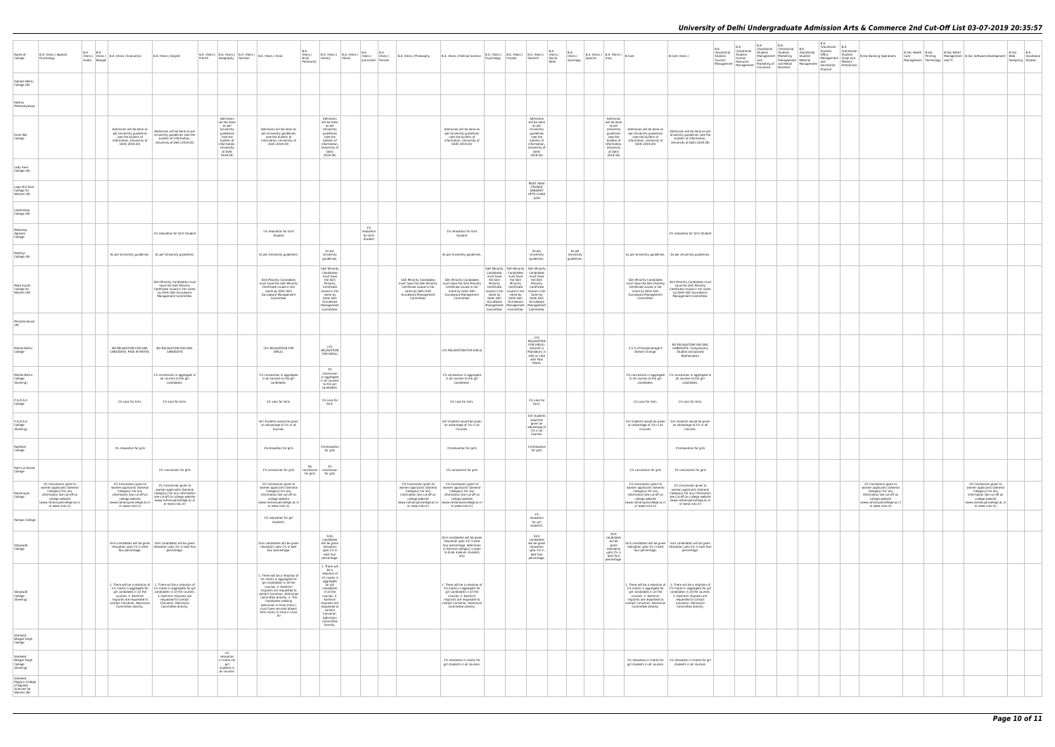| B.A.<br>(Vocational<br>Studies)<br>Material<br>Management | B.A.<br>(Vocational<br>Studies)<br>Office<br>Management<br>and<br>Secretarial<br>Practice | B.A.<br>(Vocational<br>Studies)<br>Small and<br>Medium<br>Enterprises | <b>B.Voc Banking Operations</b>                                                                                                                                                | B.Voc Health B.Voc<br>Care Printing<br>Management Technology | and IT | B.Voc Retail<br>Management B.Voc Software Development                                                                                                                         | B.Voc<br>Web<br>Designing | B.A<br>Vocational<br>Studies |
|-----------------------------------------------------------|-------------------------------------------------------------------------------------------|-----------------------------------------------------------------------|--------------------------------------------------------------------------------------------------------------------------------------------------------------------------------|--------------------------------------------------------------|--------|-------------------------------------------------------------------------------------------------------------------------------------------------------------------------------|---------------------------|------------------------------|
|                                                           |                                                                                           |                                                                       |                                                                                                                                                                                |                                                              |        |                                                                                                                                                                               |                           |                              |
|                                                           |                                                                                           |                                                                       |                                                                                                                                                                                |                                                              |        |                                                                                                                                                                               |                           |                              |
|                                                           |                                                                                           |                                                                       |                                                                                                                                                                                |                                                              |        |                                                                                                                                                                               |                           |                              |
|                                                           |                                                                                           |                                                                       |                                                                                                                                                                                |                                                              |        |                                                                                                                                                                               |                           |                              |
|                                                           |                                                                                           |                                                                       |                                                                                                                                                                                |                                                              |        |                                                                                                                                                                               |                           |                              |
|                                                           |                                                                                           |                                                                       |                                                                                                                                                                                |                                                              |        |                                                                                                                                                                               |                           |                              |
|                                                           |                                                                                           |                                                                       |                                                                                                                                                                                |                                                              |        |                                                                                                                                                                               |                           |                              |
|                                                           |                                                                                           |                                                                       |                                                                                                                                                                                |                                                              |        |                                                                                                                                                                               |                           |                              |
|                                                           |                                                                                           |                                                                       |                                                                                                                                                                                |                                                              |        |                                                                                                                                                                               |                           |                              |
|                                                           |                                                                                           |                                                                       |                                                                                                                                                                                |                                                              |        |                                                                                                                                                                               |                           |                              |
|                                                           |                                                                                           |                                                                       |                                                                                                                                                                                |                                                              |        |                                                                                                                                                                               |                           |                              |
|                                                           |                                                                                           |                                                                       |                                                                                                                                                                                |                                                              |        |                                                                                                                                                                               |                           |                              |
|                                                           |                                                                                           |                                                                       |                                                                                                                                                                                |                                                              |        |                                                                                                                                                                               |                           |                              |
|                                                           |                                                                                           |                                                                       |                                                                                                                                                                                |                                                              |        |                                                                                                                                                                               |                           |                              |
|                                                           |                                                                                           |                                                                       |                                                                                                                                                                                |                                                              |        |                                                                                                                                                                               |                           |                              |
|                                                           |                                                                                           |                                                                       |                                                                                                                                                                                |                                                              |        |                                                                                                                                                                               |                           |                              |
|                                                           |                                                                                           |                                                                       |                                                                                                                                                                                |                                                              |        |                                                                                                                                                                               |                           |                              |
|                                                           |                                                                                           |                                                                       |                                                                                                                                                                                |                                                              |        |                                                                                                                                                                               |                           |                              |
|                                                           |                                                                                           |                                                                       | $1\%$ Concession given to<br>women applicants (General<br>Category) For any<br>information see cut-off on<br>college website<br>(www.ramanujancollege.ac.in<br>or www.rcdu.in) |                                                              |        | $1\%$ Concession given to<br>women applicants (General<br>category) For any<br>infomation see cut-off on<br>college website<br>(www.ramanujancollege.ac.in<br>or www.rcdu.in) |                           |                              |
|                                                           |                                                                                           |                                                                       |                                                                                                                                                                                |                                                              |        |                                                                                                                                                                               |                           |                              |
|                                                           |                                                                                           |                                                                       |                                                                                                                                                                                |                                                              |        |                                                                                                                                                                               |                           |                              |
|                                                           |                                                                                           |                                                                       |                                                                                                                                                                                |                                                              |        |                                                                                                                                                                               |                           |                              |
|                                                           |                                                                                           |                                                                       |                                                                                                                                                                                |                                                              |        |                                                                                                                                                                               |                           |                              |
|                                                           |                                                                                           |                                                                       |                                                                                                                                                                                |                                                              |        |                                                                                                                                                                               |                           |                              |
|                                                           |                                                                                           |                                                                       |                                                                                                                                                                                |                                                              |        |                                                                                                                                                                               |                           |                              |
|                                                           |                                                                                           |                                                                       |                                                                                                                                                                                |                                                              |        |                                                                                                                                                                               |                           |                              |
|                                                           |                                                                                           |                                                                       |                                                                                                                                                                                |                                                              |        |                                                                                                                                                                               |                           |                              |

| Name of<br>College                                                    | B.A. (Hons.) Applied<br>Psychology                                                                                                                                          | <b>B.A.</b> | B.A.<br>Arabic Bengali | (Hons.) (Hons.) B.A. (Hons.) Economics                                                                                                                                      | B.A. (Hons.) English                                                                                                                                                                                                                                              | French |                                                                                                                                                  | Geography German | B.A. (Hons.) B.A. (Hons.) B.A. (Hons.) B.A. (Hons.) Hindi                                                                                                                                                                                                                                                                           | B.A.<br>(Hons.)<br>Hindi<br>Patrikarita | B.A. (Hons.) B.A. (Hons.)<br>History                                                                                                                                                                                                | Italian | <b>B.A.</b><br>(Hons.) (Hons.)<br>Journalism Persian | B.A. | B.A. (Hons.) Philosophy                                                                                                                                 | B.A. (Hons.) Political Science                                                                                                                                                                          | Psychology                                                                                                            | B.A. (Hons.) B.A. (Hons.) B.A. (Hons.)<br>Punjabi                                                                                                                                                                                     | Sanskrit                                                                                                                                         | B.A.<br>(Hons.)<br>Social<br>Work | B.A.<br>(Hons.)<br>Sociology       | Spanish | B.A. (Hons.) $B.A.$ (Hons.) $B.C.$<br>Urdu                                                                                                       |                                                                                                                                                                             | B.Com (Hons.)                                                                                                                                                                                                                                                            | B.A.<br>(Vocational<br>Studies)<br>Tourism<br>Management | <b>B.A.</b><br>Vocational<br>Studies)<br>Human<br>Resource<br>Management | <b>B.A.</b><br>(Vocational (Vocational<br>Studies)<br>Management Marketing<br>and<br>Marketing of and Retail<br>Insurance | B.A.<br>Studies)<br>Management<br>Business |
|-----------------------------------------------------------------------|-----------------------------------------------------------------------------------------------------------------------------------------------------------------------------|-------------|------------------------|-----------------------------------------------------------------------------------------------------------------------------------------------------------------------------|-------------------------------------------------------------------------------------------------------------------------------------------------------------------------------------------------------------------------------------------------------------------|--------|--------------------------------------------------------------------------------------------------------------------------------------------------|------------------|-------------------------------------------------------------------------------------------------------------------------------------------------------------------------------------------------------------------------------------------------------------------------------------------------------------------------------------|-----------------------------------------|-------------------------------------------------------------------------------------------------------------------------------------------------------------------------------------------------------------------------------------|---------|------------------------------------------------------|------|---------------------------------------------------------------------------------------------------------------------------------------------------------|---------------------------------------------------------------------------------------------------------------------------------------------------------------------------------------------------------|-----------------------------------------------------------------------------------------------------------------------|---------------------------------------------------------------------------------------------------------------------------------------------------------------------------------------------------------------------------------------|--------------------------------------------------------------------------------------------------------------------------------------------------|-----------------------------------|------------------------------------|---------|--------------------------------------------------------------------------------------------------------------------------------------------------|-----------------------------------------------------------------------------------------------------------------------------------------------------------------------------|--------------------------------------------------------------------------------------------------------------------------------------------------------------------------------------------------------------------------------------------------------------------------|----------------------------------------------------------|--------------------------------------------------------------------------|---------------------------------------------------------------------------------------------------------------------------|--------------------------------------------|
| Kamala Nehru<br>College (W)                                           |                                                                                                                                                                             |             |                        |                                                                                                                                                                             |                                                                                                                                                                                                                                                                   |        |                                                                                                                                                  |                  |                                                                                                                                                                                                                                                                                                                                     |                                         |                                                                                                                                                                                                                                     |         |                                                      |      |                                                                                                                                                         |                                                                                                                                                                                                         |                                                                                                                       |                                                                                                                                                                                                                                       |                                                                                                                                                  |                                   |                                    |         |                                                                                                                                                  |                                                                                                                                                                             |                                                                                                                                                                                                                                                                          |                                                          |                                                                          |                                                                                                                           |                                            |
| Keshav<br>Mahavidyalaya                                               |                                                                                                                                                                             |             |                        |                                                                                                                                                                             |                                                                                                                                                                                                                                                                   |        |                                                                                                                                                  |                  |                                                                                                                                                                                                                                                                                                                                     |                                         |                                                                                                                                                                                                                                     |         |                                                      |      |                                                                                                                                                         |                                                                                                                                                                                                         |                                                                                                                       |                                                                                                                                                                                                                                       |                                                                                                                                                  |                                   |                                    |         |                                                                                                                                                  |                                                                                                                                                                             |                                                                                                                                                                                                                                                                          |                                                          |                                                                          |                                                                                                                           |                                            |
| Kirori Mal<br>College                                                 |                                                                                                                                                                             |             |                        | Admission will be done as<br>per University quidelines<br>(see the bulletin of<br>information, University of<br>Delhi 2019-20)                                              | Admission will be done as per<br>University guidelines (see the<br>bulletin of information,<br>University of Delhi 2019-20)                                                                                                                                       |        | Admission<br>will be done<br>as per<br>University<br>quidelines<br>(see the<br>bulletin of<br>information,<br>University<br>of Delhi<br>2019-20) |                  | Admission will be done as<br>per University guidelines<br>(see the bulletin of<br>information, University of<br>Delhi 2019-20)                                                                                                                                                                                                      |                                         | Admission<br>will be done<br>as per<br>University<br>quidelines<br>(see the<br>bulletin of<br>information.<br>University of<br>Delhi<br>2019-20)                                                                                    |         |                                                      |      |                                                                                                                                                         | Admission will be done as<br>per University guidelines<br>(see the bulletin of<br>information, University of<br>Delhi 2019-20)                                                                          |                                                                                                                       |                                                                                                                                                                                                                                       | Admission<br>will be done<br>as per<br>University<br>quidelines<br>(see the<br>bulletin of<br>information,<br>University of<br>Delhi<br>2019-20) |                                   |                                    |         | Admission<br>will be done<br>as per<br>University<br>quidelines<br>(see the<br>bulletin of<br>information,<br>University<br>of Delhi<br>2019-20) | Admission will be done as<br>per University guidelines<br>(see the bulletin of<br>information, University of<br>Delhi 2019-20)                                              | Admission will be done as per<br>University guidelines (see the<br>bulletin of information.<br>University of Delhi 2019-20)                                                                                                                                              |                                                          |                                                                          |                                                                                                                           |                                            |
| Lady Irwin<br>College (W)                                             |                                                                                                                                                                             |             |                        |                                                                                                                                                                             |                                                                                                                                                                                                                                                                   |        |                                                                                                                                                  |                  |                                                                                                                                                                                                                                                                                                                                     |                                         |                                                                                                                                                                                                                                     |         |                                                      |      |                                                                                                                                                         |                                                                                                                                                                                                         |                                                                                                                       |                                                                                                                                                                                                                                       |                                                                                                                                                  |                                   |                                    |         |                                                                                                                                                  |                                                                                                                                                                             |                                                                                                                                                                                                                                                                          |                                                          |                                                                          |                                                                                                                           |                                            |
| Lady Shri Ram<br>College for<br>Women (W)                             |                                                                                                                                                                             |             |                        |                                                                                                                                                                             |                                                                                                                                                                                                                                                                   |        |                                                                                                                                                  |                  |                                                                                                                                                                                                                                                                                                                                     |                                         |                                                                                                                                                                                                                                     |         |                                                      |      |                                                                                                                                                         |                                                                                                                                                                                                         |                                                                                                                       |                                                                                                                                                                                                                                       | MUST HAVE<br>STUDIED<br>SANSKRIT<br>UPTO CLASS<br>10TH                                                                                           |                                   |                                    |         |                                                                                                                                                  |                                                                                                                                                                             |                                                                                                                                                                                                                                                                          |                                                          |                                                                          |                                                                                                                           |                                            |
| Lakshmibai<br>College (W)                                             |                                                                                                                                                                             |             |                        |                                                                                                                                                                             |                                                                                                                                                                                                                                                                   |        |                                                                                                                                                  |                  |                                                                                                                                                                                                                                                                                                                                     |                                         |                                                                                                                                                                                                                                     |         |                                                      |      |                                                                                                                                                         |                                                                                                                                                                                                         |                                                                                                                       |                                                                                                                                                                                                                                       |                                                                                                                                                  |                                   |                                    |         |                                                                                                                                                  |                                                                                                                                                                             |                                                                                                                                                                                                                                                                          |                                                          |                                                                          |                                                                                                                           |                                            |
| Maharaja<br>Agrasen<br>College                                        |                                                                                                                                                                             |             |                        |                                                                                                                                                                             | 1% relaxation for Girls Student                                                                                                                                                                                                                                   |        |                                                                                                                                                  |                  | 1% relaxation for Girls<br>Student                                                                                                                                                                                                                                                                                                  |                                         |                                                                                                                                                                                                                                     |         | 1%<br>relaxation<br>for Girls<br>Student             |      |                                                                                                                                                         | 1% relaxation for Girls<br>Student                                                                                                                                                                      |                                                                                                                       |                                                                                                                                                                                                                                       |                                                                                                                                                  |                                   |                                    |         |                                                                                                                                                  |                                                                                                                                                                             | 1% relaxation for Girls Student                                                                                                                                                                                                                                          |                                                          |                                                                          |                                                                                                                           |                                            |
| Maitrevi<br>College (W)                                               |                                                                                                                                                                             |             |                        |                                                                                                                                                                             | As per University guidelines.   As per University guidelines.                                                                                                                                                                                                     |        |                                                                                                                                                  |                  | As per University guidelines.                                                                                                                                                                                                                                                                                                       |                                         | As per<br>University<br>guidelines.                                                                                                                                                                                                 |         |                                                      |      |                                                                                                                                                         | As per University guidelines.                                                                                                                                                                           |                                                                                                                       |                                                                                                                                                                                                                                       | As per<br>University<br>guidelines.                                                                                                              |                                   | As per<br>University<br>quideline: |         |                                                                                                                                                  | As per University guidelines.                                                                                                                                               | As per University guidelines.                                                                                                                                                                                                                                            |                                                          |                                                                          |                                                                                                                           |                                            |
| Mata Sundri<br>College for<br>Women (W)                               |                                                                                                                                                                             |             |                        |                                                                                                                                                                             | Sikh Minority Candidates must<br>have the Sikh Minority<br>Certificate issued in her name<br>by Delhi Sikh Gurudwara<br>Management Committee.                                                                                                                     |        |                                                                                                                                                  |                  | Sikh Minority Candidates<br>must have the Sikh Minority<br>Certificate issued in her<br>name by Delhi Sikh<br>Gurudwara Management<br>Committee.                                                                                                                                                                                    |                                         | Sikh Minority<br>Candidates<br>must have<br>the Sikh<br>Minority<br>Certificate<br>issued in her<br>name by<br>Delhi Sikh<br>Gurudwara<br>Management<br>Committee.                                                                  |         |                                                      |      | <b>Sikh Minority Candidates</b><br>must have the Sikh Minority<br>Certificate issued in her<br>name by Delhi Sikh<br>Gurudwara Management<br>Committee. | <b>Sikh Minority Candidates</b><br>must have the Sikh Minority<br>Certificate issued in her<br>name by Delhi Sikh<br>Gurudwara Management<br>Committee.                                                 | Candidates<br>must have<br>the Sikh<br>Minority<br>Certificate<br>issued in her<br>name by<br>Delhi Sikh<br>Gurudwara | Sikh Minority Sikh Minority Sikh Minority<br>Candidates<br>must have<br>the Sikh<br>Minority<br>Certificate<br>issued in her<br>name by<br>Delhi Sikh<br>Management   Management   Management<br>Committee.   Committee.   Committee. | Candidates<br>must have<br>the Sikh<br>Minority<br>Certificate<br>issued in her<br>name by<br>Delhi Sikh<br>Gurudwara Gurudwara                  |                                   |                                    |         |                                                                                                                                                  | Sikh Minority Candidates<br>must have the Sikh Minority<br>Certificate issued in her<br>name by Delhi Sikh<br>Gurudwara Management<br>Committee.                            | Sikh Minority Candidates must<br>have the Sikh Minority<br>Certificate issued in her name<br>by Delhi Sikh Gurudwara<br>Management Committee.                                                                                                                            |                                                          |                                                                          |                                                                                                                           |                                            |
| Miranda House<br>(W)                                                  |                                                                                                                                                                             |             |                        |                                                                                                                                                                             |                                                                                                                                                                                                                                                                   |        |                                                                                                                                                  |                  |                                                                                                                                                                                                                                                                                                                                     |                                         |                                                                                                                                                                                                                                     |         |                                                      |      |                                                                                                                                                         |                                                                                                                                                                                                         |                                                                                                                       |                                                                                                                                                                                                                                       |                                                                                                                                                  |                                   |                                    |         |                                                                                                                                                  |                                                                                                                                                                             |                                                                                                                                                                                                                                                                          |                                                          |                                                                          |                                                                                                                           |                                            |
| Motilal Nehru<br>College                                              |                                                                                                                                                                             |             |                        | NO RELAXATION FOR GIRL<br>CANDIDATE, PASS IN MATHS.                                                                                                                         | NO RELAXATION FOR GIRL<br>CANDIDATE                                                                                                                                                                                                                               |        |                                                                                                                                                  |                  | (1% RELAXATION FOR<br>GIRLS).                                                                                                                                                                                                                                                                                                       |                                         | (1%<br>RELAXATION<br>FOR GIRLS)                                                                                                                                                                                                     |         |                                                      |      |                                                                                                                                                         | (1% RELAXATION FOR GIRLS)                                                                                                                                                                               |                                                                                                                       |                                                                                                                                                                                                                                       | (1%<br>RELAXATION<br>FOR GIRLS).<br>Sanskrit is<br>Mandatory in<br>10th or 12th<br>with Pass<br>Marks                                            |                                   |                                    |         |                                                                                                                                                  | 2.5 % of Disadvantage if<br>Stream Change.                                                                                                                                  | NO RELAXATION FOR GIRL<br>CANDIDATE. Compulsorily<br>Studied and passed<br>Mathematics                                                                                                                                                                                   |                                                          |                                                                          |                                                                                                                           |                                            |
| Motilal Nehru<br>College<br>(Evening)                                 |                                                                                                                                                                             |             |                        |                                                                                                                                                                             | 1% concession in aggregate in<br>all courses to the girl<br>candidates.                                                                                                                                                                                           |        |                                                                                                                                                  |                  | 1% concession in aggregate<br>in all courses to the girl<br>candidates.                                                                                                                                                                                                                                                             |                                         | 1%<br>concession<br>in aggregate<br>in all courses<br>to the girl<br>candidates.                                                                                                                                                    |         |                                                      |      |                                                                                                                                                         | 1% concession in aggregate<br>in all courses to the girl<br>candidates.                                                                                                                                 |                                                                                                                       |                                                                                                                                                                                                                                       |                                                                                                                                                  |                                   |                                    |         |                                                                                                                                                  | 1% concession in aggregate<br>in all courses to the girl<br>candidates.                                                                                                     | % concession in aggregate in<br>all courses to the girl<br>candidates.                                                                                                                                                                                                   |                                                          |                                                                          |                                                                                                                           |                                            |
| P.G.D.A.V.<br>College                                                 |                                                                                                                                                                             |             |                        | 1% Less for Girls.                                                                                                                                                          | 1% Less for Girls.                                                                                                                                                                                                                                                |        |                                                                                                                                                  |                  | 1% Less for Girls.                                                                                                                                                                                                                                                                                                                  |                                         | 1% Less for<br>Girls.                                                                                                                                                                                                               |         |                                                      |      |                                                                                                                                                         | 1% Less for Girls.                                                                                                                                                                                      |                                                                                                                       |                                                                                                                                                                                                                                       | 1% Less for<br>Girls.                                                                                                                            |                                   |                                    |         |                                                                                                                                                  | 1% Less for Girls.                                                                                                                                                          | 1% Less for Girls.                                                                                                                                                                                                                                                       |                                                          |                                                                          |                                                                                                                           |                                            |
| P.G.D.A.V.<br>College<br>(Evening)                                    |                                                                                                                                                                             |             |                        |                                                                                                                                                                             |                                                                                                                                                                                                                                                                   |        |                                                                                                                                                  |                  | Girl students would be given<br>an advantage of 1% in all<br>Courses.                                                                                                                                                                                                                                                               |                                         |                                                                                                                                                                                                                                     |         |                                                      |      |                                                                                                                                                         | Girl students would be given<br>an advantage of 1% in all<br>Courses.                                                                                                                                   |                                                                                                                       |                                                                                                                                                                                                                                       | Girl students<br>would be<br>given an<br>advantage of<br>1% in all<br>Courses.                                                                   |                                   |                                    |         |                                                                                                                                                  | Girl students would be given<br>an advantage of 1% in all<br>Courses.                                                                                                       | Girl students would be given<br>an advantage of 1% in all<br>Courses.                                                                                                                                                                                                    |                                                          |                                                                          |                                                                                                                           |                                            |
| Rajdhani<br>College                                                   |                                                                                                                                                                             |             |                        | 1% relaxation for girls                                                                                                                                                     |                                                                                                                                                                                                                                                                   |        |                                                                                                                                                  |                  | 1%relaxation for girls                                                                                                                                                                                                                                                                                                              |                                         | 1%relaxation<br>for girls                                                                                                                                                                                                           |         |                                                      |      |                                                                                                                                                         | 1%relaxation for girls                                                                                                                                                                                  |                                                                                                                       |                                                                                                                                                                                                                                       | 1%relaxation<br>for girls                                                                                                                        |                                   |                                    |         |                                                                                                                                                  |                                                                                                                                                                             | 1%relaxation for girls                                                                                                                                                                                                                                                   |                                                          |                                                                          |                                                                                                                           |                                            |
| Ram Lal Anand<br>College                                              |                                                                                                                                                                             |             |                        |                                                                                                                                                                             | 1% concession for girls                                                                                                                                                                                                                                           |        |                                                                                                                                                  |                  | 1% concession for girls                                                                                                                                                                                                                                                                                                             | No<br>concession<br>for girls           | 1%<br>concession<br>for girls                                                                                                                                                                                                       |         |                                                      |      |                                                                                                                                                         | 1% concession for girls                                                                                                                                                                                 |                                                                                                                       |                                                                                                                                                                                                                                       |                                                                                                                                                  |                                   |                                    |         |                                                                                                                                                  | 1% concession for girls                                                                                                                                                     | 1% concession for girls                                                                                                                                                                                                                                                  |                                                          |                                                                          |                                                                                                                           |                                            |
| Ramanujan<br>College                                                  | 1% Concession given to<br>women applicants (General<br>Category) For any<br>information see cut-off on<br>college website<br>(www.ramanujancollege.ac.in<br>or www.rcdu.in) |             |                        | 1% Concession given to<br>women applicants (General<br>Category) For any<br>information see cut-off on<br>college website<br>(www.ramanujancollege.ac.in<br>or www.rcdu.in) | 1% Concession given to<br>women applicants (General<br>Category) For any information<br>see cut-off on college website<br>(www.ramanujancollege.ac.in<br>or www.rcdu.in)                                                                                          |        |                                                                                                                                                  |                  | 1% Concession given to<br>women applicants (General<br>Category) For any<br>information see cut-off on<br>college website<br>(www.ramanujancollege.ac.in<br>or www.rcdu.in)                                                                                                                                                         |                                         |                                                                                                                                                                                                                                     |         |                                                      |      | 1% Concession given to<br>women applicants (General<br>Category) For any<br>information see cut-off on<br>college website<br>or www.rcdu.in)            | 1% Concession given to<br>vomen applicants (General<br>Category) For any<br>information see cut-off on<br>college website<br>(www.ramanujancollege.ac.in (www.ramanujancollege.ac.in<br>or www.rcdu.in) |                                                                                                                       |                                                                                                                                                                                                                                       |                                                                                                                                                  |                                   |                                    |         |                                                                                                                                                  | 1% Concession given to<br>women applicants (General<br>Category) For any<br>information see cut-off on<br>college website<br>(www.ramanujancollege.ac.in<br>or www.rcdu.in) | 1% Concession given to<br>women applicants (General<br>Category) For any information<br>see cut-off on college website<br>(www.ramanujancollege.ac.in<br>or www.rcdu.in)                                                                                                 |                                                          |                                                                          |                                                                                                                           |                                            |
| Ramjas College                                                        |                                                                                                                                                                             |             |                        |                                                                                                                                                                             |                                                                                                                                                                                                                                                                   |        |                                                                                                                                                  |                  | 1% relaxation for girl<br>students.                                                                                                                                                                                                                                                                                                 |                                         |                                                                                                                                                                                                                                     |         |                                                      |      |                                                                                                                                                         |                                                                                                                                                                                                         |                                                                                                                       |                                                                                                                                                                                                                                       | 1%<br>relaxation<br>for girl<br>students.                                                                                                        |                                   |                                    |         |                                                                                                                                                  |                                                                                                                                                                             |                                                                                                                                                                                                                                                                          |                                                          |                                                                          |                                                                                                                           |                                            |
| Satyawati<br>College                                                  |                                                                                                                                                                             |             |                        | four percentage.                                                                                                                                                            | Girls candidates will be given Girls candidates will be given<br>relaxation upto 1% in best   relaxation upto 1% in best four<br>percentage.                                                                                                                      |        |                                                                                                                                                  |                  | Girls candidates will be given<br>relaxation upto 1% in best<br>four percentage.                                                                                                                                                                                                                                                    |                                         | Girls<br>candidates<br>will be given<br>relaxation<br>upto 1% in<br>best four<br>percentage.                                                                                                                                        |         |                                                      |      |                                                                                                                                                         | Girls candidates will be given<br>relaxation upto 1% in best<br>four percentage. Admission<br>in General category is open<br>to hindi medium students<br>only                                           |                                                                                                                       |                                                                                                                                                                                                                                       | Girls<br>candidates<br>will be given<br>relaxation<br>upto 1% in<br>best four<br>percentage.                                                     |                                   |                                    |         | Girls<br>candidates<br>will be<br>given<br>relaxation<br>upto 1% in<br>best four<br>percentage.                                                  | four percentage.                                                                                                                                                            | Girls candidates will be given Girls candidates will be given<br>relaxation upto 1% in best relaxation upto 1% in best four<br>percentage.                                                                                                                               |                                                          |                                                                          |                                                                                                                           |                                            |
| Satvawati<br>College<br>(Evening)                                     |                                                                                                                                                                             |             |                        | girl candidates in all the<br>courses. 2. Kashmiri<br>migrants are requested to<br>contact Convenor, Admission<br>Committee directly.                                       | 1. There will be a relaxtion of   1. There will be a relaxtion of<br>1% marks in aggregate for 1% marks in aggregate for girl<br>candidates in all the courses.<br>2. Kashmiri migrants are<br>requested to contact<br>Convenor, Admission<br>Committee directly. |        |                                                                                                                                                  |                  | 1. There will be a relaxtion of<br>1% marks in aggregate for<br>girl candidates in all the<br>courses. 2. Kashmiri<br>migrants are requested to<br>contact Convenor, Admission<br>Committee directly. 3. The<br>Candidates seeking<br>admission in Hindi (hons.)<br>must have secured atleast<br>55% marks in hindi in class<br>XII |                                         | 1. There will<br>be a<br>relaxtion of<br>1% marks in<br>aggregate<br>for girl<br>candidates<br>in all the<br>courses. 2.<br>Kashmiri<br>migrants are<br>requested to<br>contact<br>Convenor,<br>Admission<br>Committee<br>directly. |         |                                                      |      |                                                                                                                                                         | 1. There will be a relaxtion of<br>1% marks in aggregate for<br>girl candidates in all the<br>courses. 2. Kashmiri<br>migrants are requested to<br>contact Convenor, Admission<br>Committee directly.   |                                                                                                                       |                                                                                                                                                                                                                                       |                                                                                                                                                  |                                   |                                    |         |                                                                                                                                                  | 1% marks in aggregate for<br>girl candidates in all the<br>courses. 2. Kashmiri<br>migrants are requested to<br>contact Convenor, Admission<br>Committee directly.          | 1. There will be a relaxtion of $\begin{array}{ c c } 1. \end{array}$ There will be a relaxtion of<br>1% marks in aggregate for girl<br>candidates in all the courses.<br>2. Kashmiri migrants are<br>requested to contact<br>Convenor, Admission<br>Committee directly. |                                                          |                                                                          |                                                                                                                           |                                            |
| Shaheed<br><b>Bhagat Singh</b><br>College                             |                                                                                                                                                                             |             |                        |                                                                                                                                                                             |                                                                                                                                                                                                                                                                   |        |                                                                                                                                                  |                  |                                                                                                                                                                                                                                                                                                                                     |                                         |                                                                                                                                                                                                                                     |         |                                                      |      |                                                                                                                                                         |                                                                                                                                                                                                         |                                                                                                                       |                                                                                                                                                                                                                                       |                                                                                                                                                  |                                   |                                    |         |                                                                                                                                                  |                                                                                                                                                                             |                                                                                                                                                                                                                                                                          |                                                          |                                                                          |                                                                                                                           |                                            |
| Shaheed<br><b>Bhagat Singh</b><br>College<br>(Evening)                |                                                                                                                                                                             |             |                        |                                                                                                                                                                             |                                                                                                                                                                                                                                                                   |        | 1%<br>relaxation<br>in marks for<br>girl<br>students in                                                                                          |                  |                                                                                                                                                                                                                                                                                                                                     |                                         |                                                                                                                                                                                                                                     |         |                                                      |      |                                                                                                                                                         | 1% relaxation in marks for<br>girl students in all courses.                                                                                                                                             |                                                                                                                       |                                                                                                                                                                                                                                       |                                                                                                                                                  |                                   |                                    |         |                                                                                                                                                  | girl students in all courses.                                                                                                                                               | 1% relaxation in marks for 1% relaxation in marks for girl<br>students in all courses.                                                                                                                                                                                   |                                                          |                                                                          |                                                                                                                           |                                            |
| Shaheed<br>Rajguru College<br>of Applied<br>Sciences for<br>Women (W) |                                                                                                                                                                             |             |                        |                                                                                                                                                                             |                                                                                                                                                                                                                                                                   |        | all courses.                                                                                                                                     |                  |                                                                                                                                                                                                                                                                                                                                     |                                         |                                                                                                                                                                                                                                     |         |                                                      |      |                                                                                                                                                         |                                                                                                                                                                                                         |                                                                                                                       |                                                                                                                                                                                                                                       |                                                                                                                                                  |                                   |                                    |         |                                                                                                                                                  |                                                                                                                                                                             |                                                                                                                                                                                                                                                                          |                                                          |                                                                          |                                                                                                                           |                                            |